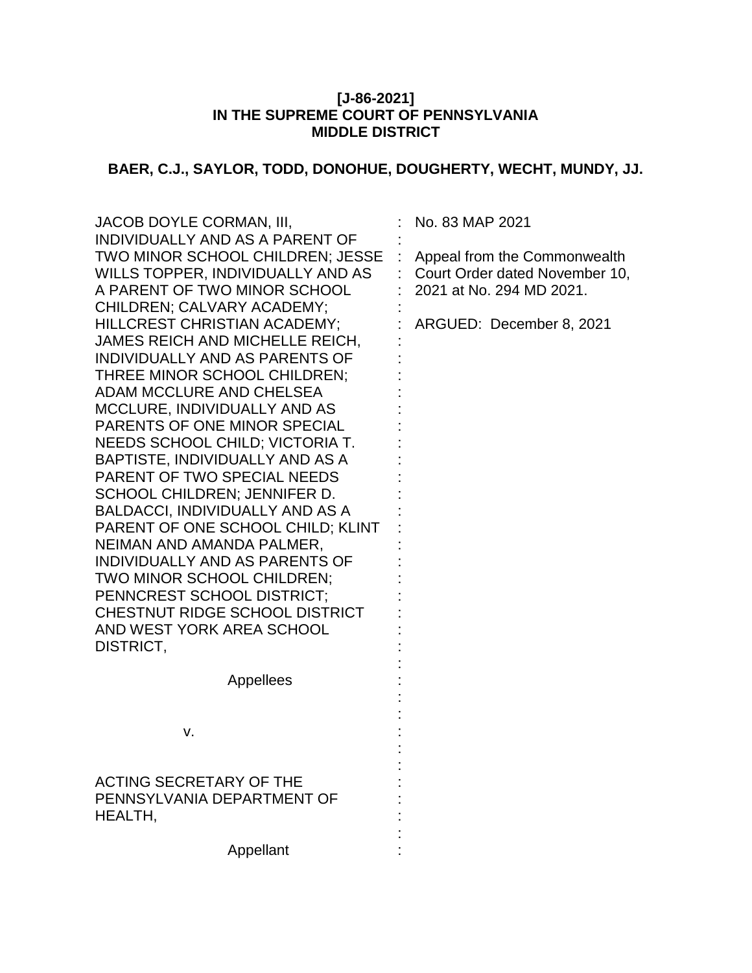# **[J-86-2021] IN THE SUPREME COURT OF PENNSYLVANIA MIDDLE DISTRICT**

# **BAER, C.J., SAYLOR, TODD, DONOHUE, DOUGHERTY, WECHT, MUNDY, JJ.**

| JACOB DOYLE CORMAN, III,<br>INDIVIDUALLY AND AS A PARENT OF                                                                               | No. 83 MAP 2021                                                                            |
|-------------------------------------------------------------------------------------------------------------------------------------------|--------------------------------------------------------------------------------------------|
| TWO MINOR SCHOOL CHILDREN; JESSE<br>WILLS TOPPER, INDIVIDUALLY AND AS<br>A PARENT OF TWO MINOR SCHOOL                                     | Appeal from the Commonwealth<br>Court Order dated November 10,<br>2021 at No. 294 MD 2021. |
| CHILDREN; CALVARY ACADEMY;<br>HILLCREST CHRISTIAN ACADEMY;<br>JAMES REICH AND MICHELLE REICH,                                             | ARGUED: December 8, 2021                                                                   |
| INDIVIDUALLY AND AS PARENTS OF<br>THREE MINOR SCHOOL CHILDREN;<br>ADAM MCCLURE AND CHELSEA                                                |                                                                                            |
| <b>MCCLURE, INDIVIDUALLY AND AS</b><br>PARENTS OF ONE MINOR SPECIAL<br>NEEDS SCHOOL CHILD; VICTORIA T.<br>BAPTISTE, INDIVIDUALLY AND AS A |                                                                                            |
| <b>PARENT OF TWO SPECIAL NEEDS</b><br>SCHOOL CHILDREN; JENNIFER D.<br><b>BALDACCI, INDIVIDUALLY AND AS A</b>                              |                                                                                            |
| PARENT OF ONE SCHOOL CHILD; KLINT<br>NEIMAN AND AMANDA PALMER,<br>INDIVIDUALLY AND AS PARENTS OF                                          |                                                                                            |
| TWO MINOR SCHOOL CHILDREN;<br>PENNCREST SCHOOL DISTRICT;<br>CHESTNUT RIDGE SCHOOL DISTRICT<br>AND WEST YORK AREA SCHOOL                   |                                                                                            |
| DISTRICT,                                                                                                                                 |                                                                                            |
| Appellees                                                                                                                                 |                                                                                            |
| v.                                                                                                                                        |                                                                                            |
| ACTING SECRETARY OF THE<br>PENNSYLVANIA DEPARTMENT OF<br>HEALTH,                                                                          |                                                                                            |
| Appellant                                                                                                                                 |                                                                                            |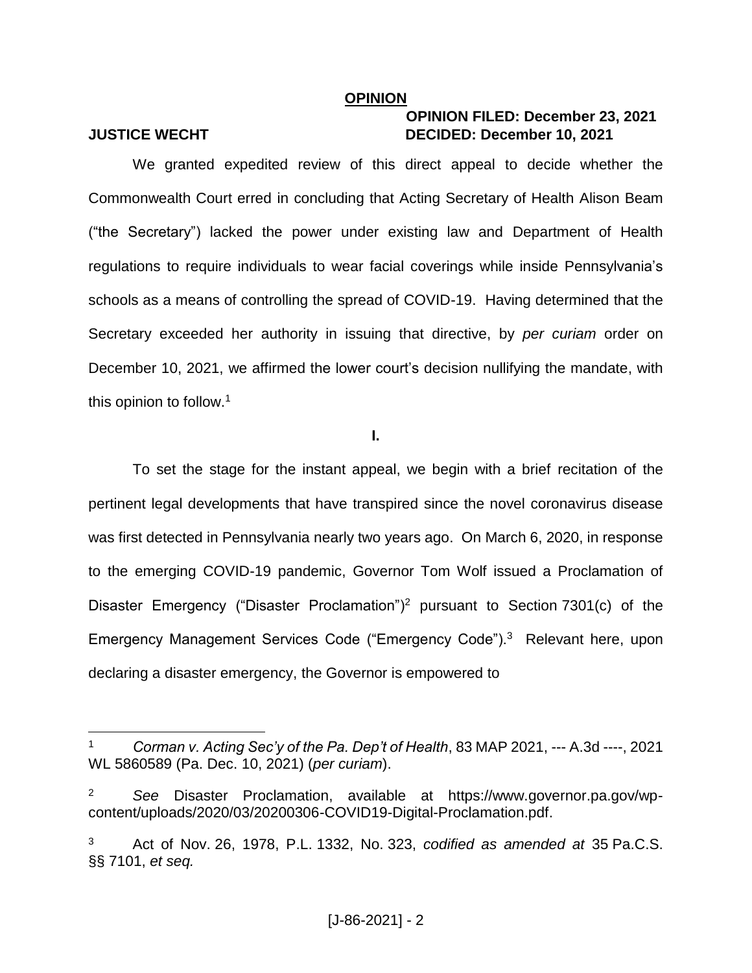#### **OPINION**

 $\overline{a}$ 

# **OPINION FILED: December 23, 2021 JUSTICE WECHT DECIDED: December 10, 2021**

We granted expedited review of this direct appeal to decide whether the Commonwealth Court erred in concluding that Acting Secretary of Health Alison Beam ("the Secretary") lacked the power under existing law and Department of Health regulations to require individuals to wear facial coverings while inside Pennsylvania's schools as a means of controlling the spread of COVID-19. Having determined that the Secretary exceeded her authority in issuing that directive, by *per curiam* order on December 10, 2021, we affirmed the lower court's decision nullifying the mandate, with this opinion to follow. 1

**I.**

To set the stage for the instant appeal, we begin with a brief recitation of the pertinent legal developments that have transpired since the novel coronavirus disease was first detected in Pennsylvania nearly two years ago. On March 6, 2020, in response to the emerging COVID-19 pandemic, Governor Tom Wolf issued a Proclamation of Disaster Emergency ("Disaster Proclamation")<sup>2</sup> pursuant to Section 7301(c) of the Emergency Management Services Code ("Emergency Code").<sup>3</sup> Relevant here, upon declaring a disaster emergency, the Governor is empowered to

<sup>1</sup> *Corman v. Acting Sec'y of the Pa. Dep't of Health*, 83 MAP 2021, --- A.3d ----, 2021 WL 5860589 (Pa. Dec. 10, 2021) (*per curiam*).

<sup>2</sup> *See* Disaster Proclamation, available at https://www.governor.pa.gov/wpcontent/uploads/2020/03/20200306-COVID19-Digital-Proclamation.pdf.

<sup>3</sup> Act of Nov. 26, 1978, P.L. 1332, No. 323, *codified as amended at* 35 Pa.C.S. §§ 7101, *et seq.*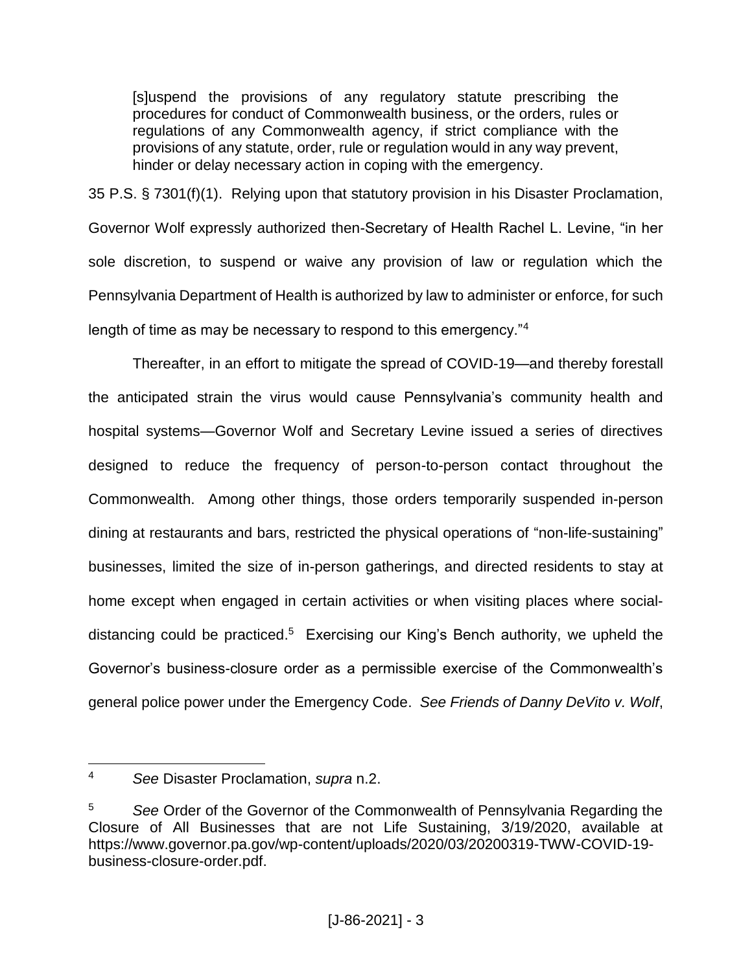[s]uspend the provisions of any regulatory statute prescribing the procedures for conduct of Commonwealth business, or the orders, rules or regulations of any Commonwealth agency, if strict compliance with the provisions of any statute, order, rule or regulation would in any way prevent, hinder or delay necessary action in coping with the emergency.

35 P.S. § 7301(f)(1). Relying upon that statutory provision in his Disaster Proclamation, Governor Wolf expressly authorized then-Secretary of Health Rachel L. Levine, "in her sole discretion, to suspend or waive any provision of law or regulation which the Pennsylvania Department of Health is authorized by law to administer or enforce, for such length of time as may be necessary to respond to this emergency."<sup>4</sup>

Thereafter, in an effort to mitigate the spread of COVID-19—and thereby forestall the anticipated strain the virus would cause Pennsylvania's community health and hospital systems—Governor Wolf and Secretary Levine issued a series of directives designed to reduce the frequency of person-to-person contact throughout the Commonwealth. Among other things, those orders temporarily suspended in-person dining at restaurants and bars, restricted the physical operations of "non-life-sustaining" businesses, limited the size of in-person gatherings, and directed residents to stay at home except when engaged in certain activities or when visiting places where socialdistancing could be practiced.<sup>5</sup> Exercising our King's Bench authority, we upheld the Governor's business-closure order as a permissible exercise of the Commonwealth's general police power under the Emergency Code. *See Friends of Danny DeVito v. Wolf*,

 $\overline{a}$ <sup>4</sup> *See* Disaster Proclamation, *supra* n.2.

<sup>5</sup> *See* Order of the Governor of the Commonwealth of Pennsylvania Regarding the Closure of All Businesses that are not Life Sustaining, 3/19/2020, available at https://www.governor.pa.gov/wp-content/uploads/2020/03/20200319-TWW-COVID-19 business-closure-order.pdf.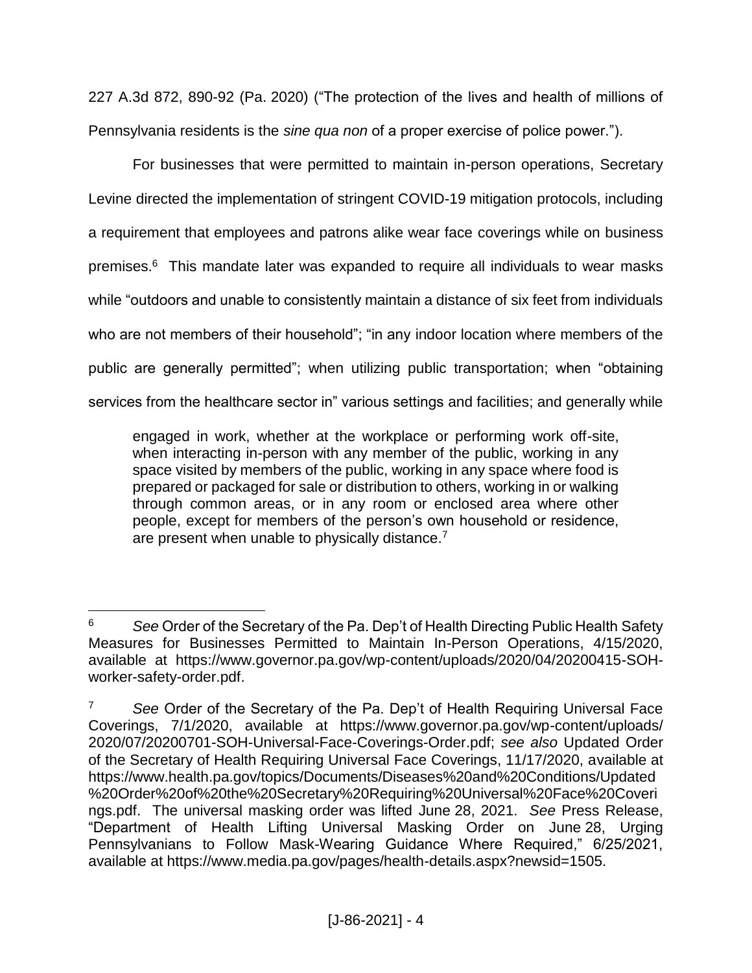227 A.3d 872, 890-92 (Pa. 2020) ("The protection of the lives and health of millions of Pennsylvania residents is the *sine qua non* of a proper exercise of police power.").

For businesses that were permitted to maintain in-person operations, Secretary Levine directed the implementation of stringent COVID-19 mitigation protocols, including a requirement that employees and patrons alike wear face coverings while on business premises.<sup>6</sup> This mandate later was expanded to require all individuals to wear masks while "outdoors and unable to consistently maintain a distance of six feet from individuals who are not members of their household"; "in any indoor location where members of the public are generally permitted"; when utilizing public transportation; when "obtaining services from the healthcare sector in" various settings and facilities; and generally while

engaged in work, whether at the workplace or performing work off-site, when interacting in-person with any member of the public, working in any space visited by members of the public, working in any space where food is prepared or packaged for sale or distribution to others, working in or walking through common areas, or in any room or enclosed area where other people, except for members of the person's own household or residence, are present when unable to physically distance.<sup>7</sup>

 $\overline{a}$ <sup>6</sup> *See* Order of the Secretary of the Pa. Dep't of Health Directing Public Health Safety Measures for Businesses Permitted to Maintain In-Person Operations, 4/15/2020, available at https://www.governor.pa.gov/wp-content/uploads/2020/04/20200415-SOHworker-safety-order.pdf.

<sup>7</sup> *See* Order of the Secretary of the Pa. Dep't of Health Requiring Universal Face Coverings, 7/1/2020, available at https://www.governor.pa.gov/wp-content/uploads/ 2020/07/20200701-SOH-Universal-Face-Coverings-Order.pdf; *see also* Updated Order of the Secretary of Health Requiring Universal Face Coverings, 11/17/2020, available at https://www.health.pa.gov/topics/Documents/Diseases%20and%20Conditions/Updated %20Order%20of%20the%20Secretary%20Requiring%20Universal%20Face%20Coveri ngs.pdf. The universal masking order was lifted June 28, 2021. *See* Press Release, "Department of Health Lifting Universal Masking Order on June 28, Urging Pennsylvanians to Follow Mask-Wearing Guidance Where Required," 6/25/2021, available at https://www.media.pa.gov/pages/health-details.aspx?newsid=1505.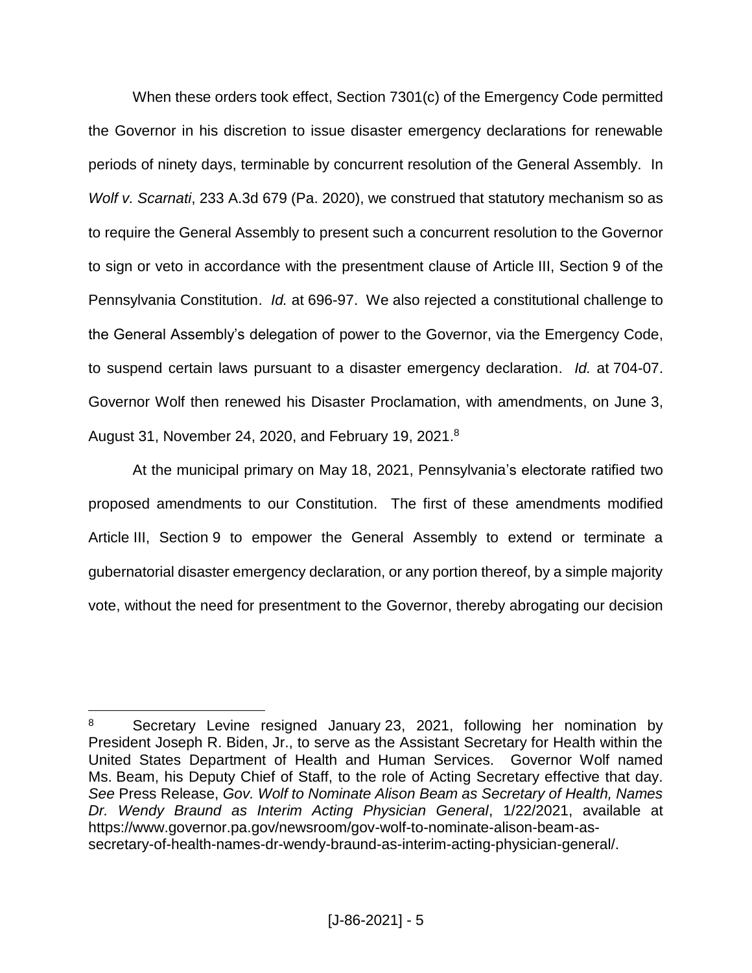When these orders took effect, Section 7301(c) of the Emergency Code permitted the Governor in his discretion to issue disaster emergency declarations for renewable periods of ninety days, terminable by concurrent resolution of the General Assembly. In *Wolf v. Scarnati*, 233 A.3d 679 (Pa. 2020), we construed that statutory mechanism so as to require the General Assembly to present such a concurrent resolution to the Governor to sign or veto in accordance with the presentment clause of Article III, Section 9 of the Pennsylvania Constitution. *Id.* at 696-97. We also rejected a constitutional challenge to the General Assembly's delegation of power to the Governor, via the Emergency Code, to suspend certain laws pursuant to a disaster emergency declaration. *Id.* at 704-07. Governor Wolf then renewed his Disaster Proclamation, with amendments, on June 3, August 31, November 24, 2020, and February 19, 2021.<sup>8</sup>

At the municipal primary on May 18, 2021, Pennsylvania's electorate ratified two proposed amendments to our Constitution. The first of these amendments modified Article III, Section 9 to empower the General Assembly to extend or terminate a gubernatorial disaster emergency declaration, or any portion thereof, by a simple majority vote, without the need for presentment to the Governor, thereby abrogating our decision

<sup>8</sup> Secretary Levine resigned January 23, 2021, following her nomination by President Joseph R. Biden, Jr., to serve as the Assistant Secretary for Health within the United States Department of Health and Human Services. Governor Wolf named Ms. Beam, his Deputy Chief of Staff, to the role of Acting Secretary effective that day. *See* Press Release, *Gov. Wolf to Nominate Alison Beam as Secretary of Health, Names Dr. Wendy Braund as Interim Acting Physician General*, 1/22/2021, available at https://www.governor.pa.gov/newsroom/gov-wolf-to-nominate-alison-beam-assecretary-of-health-names-dr-wendy-braund-as-interim-acting-physician-general/.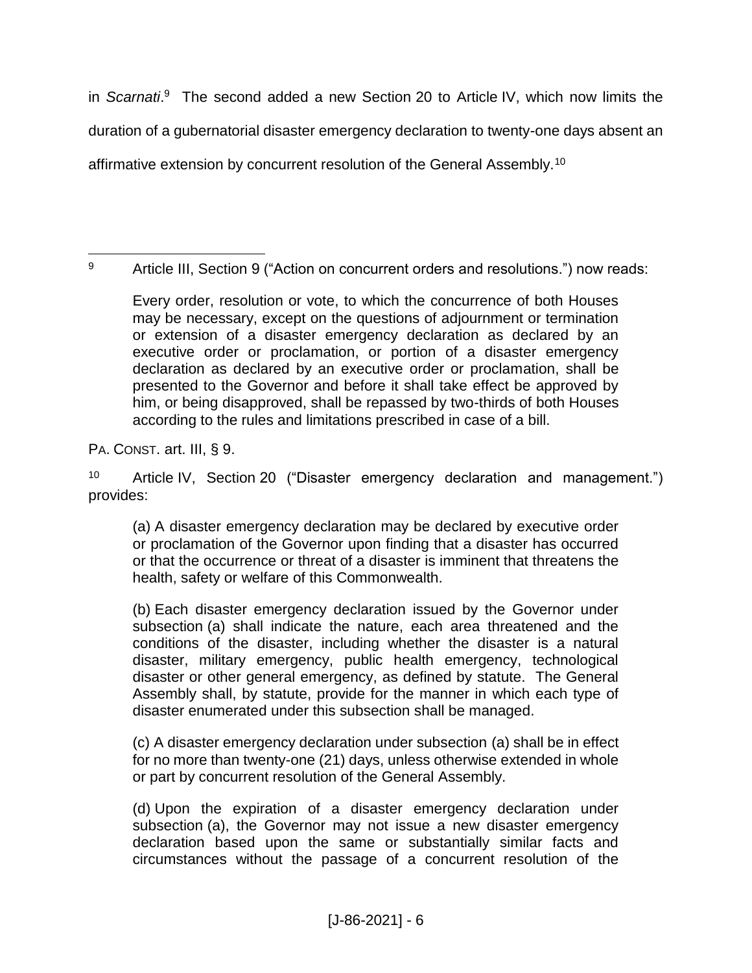in *Scarnati*. 9 The second added a new Section 20 to Article IV, which now limits the duration of a gubernatorial disaster emergency declaration to twenty-one days absent an affirmative extension by concurrent resolution of the General Assembly.<sup>10</sup>

 $\overline{a}$ 9 Article III, Section 9 ("Action on concurrent orders and resolutions.") now reads:

Every order, resolution or vote, to which the concurrence of both Houses may be necessary, except on the questions of adjournment or termination or extension of a disaster emergency declaration as declared by an executive order or proclamation, or portion of a disaster emergency declaration as declared by an executive order or proclamation, shall be presented to the Governor and before it shall take effect be approved by him, or being disapproved, shall be repassed by two-thirds of both Houses according to the rules and limitations prescribed in case of a bill.

PA. CONST. art. III, § 9.

<sup>10</sup> Article IV, Section 20 ("Disaster emergency declaration and management.") provides:

(a) A disaster emergency declaration may be declared by executive order or proclamation of the Governor upon finding that a disaster has occurred or that the occurrence or threat of a disaster is imminent that threatens the health, safety or welfare of this Commonwealth.

(b) Each disaster emergency declaration issued by the Governor under subsection (a) shall indicate the nature, each area threatened and the conditions of the disaster, including whether the disaster is a natural disaster, military emergency, public health emergency, technological disaster or other general emergency, as defined by statute. The General Assembly shall, by statute, provide for the manner in which each type of disaster enumerated under this subsection shall be managed.

(c) A disaster emergency declaration under subsection (a) shall be in effect for no more than twenty-one (21) days, unless otherwise extended in whole or part by concurrent resolution of the General Assembly.

(d) Upon the expiration of a disaster emergency declaration under subsection (a), the Governor may not issue a new disaster emergency declaration based upon the same or substantially similar facts and circumstances without the passage of a concurrent resolution of the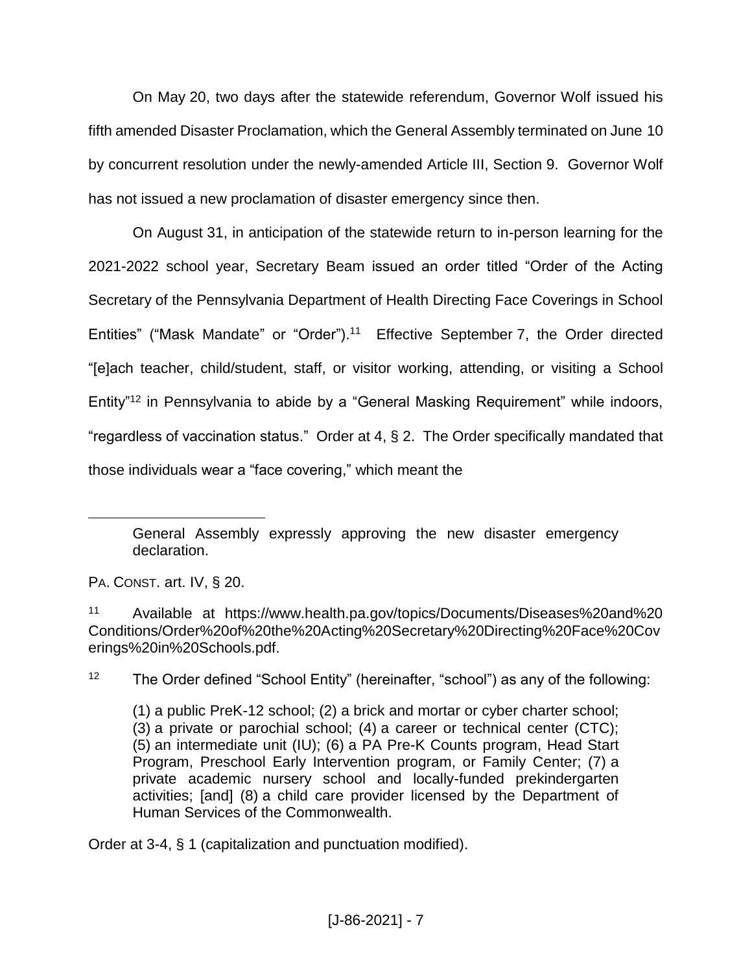On May 20, two days after the statewide referendum, Governor Wolf issued his fifth amended Disaster Proclamation, which the General Assembly terminated on June 10 by concurrent resolution under the newly-amended Article III, Section 9. Governor Wolf has not issued a new proclamation of disaster emergency since then.

On August 31, in anticipation of the statewide return to in-person learning for the 2021-2022 school year, Secretary Beam issued an order titled "Order of the Acting Secretary of the Pennsylvania Department of Health Directing Face Coverings in School Entities" ("Mask Mandate" or "Order").<sup>11</sup> Effective September 7, the Order directed "[e]ach teacher, child/student, staff, or visitor working, attending, or visiting a School Entity"<sup>12</sup> in Pennsylvania to abide by a "General Masking Requirement" while indoors, "regardless of vaccination status." Order at 4, § 2. The Order specifically mandated that those individuals wear a "face covering," which meant the

PA. CONST. art. IV, § 20.

 $\overline{a}$ 

<sup>12</sup> The Order defined "School Entity" (hereinafter, "school") as any of the following:

Order at 3-4, § 1 (capitalization and punctuation modified).

General Assembly expressly approving the new disaster emergency declaration.

<sup>11</sup> Available at https://www.health.pa.gov/topics/Documents/Diseases%20and%20 Conditions/Order%20of%20the%20Acting%20Secretary%20Directing%20Face%20Cov erings%20in%20Schools.pdf.

<sup>(1)</sup> a public PreK-12 school; (2) a brick and mortar or cyber charter school; (3) a private or parochial school; (4) a career or technical center (CTC); (5) an intermediate unit (IU); (6) a PA Pre-K Counts program, Head Start Program, Preschool Early Intervention program, or Family Center; (7) a private academic nursery school and locally-funded prekindergarten activities; [and] (8) a child care provider licensed by the Department of Human Services of the Commonwealth.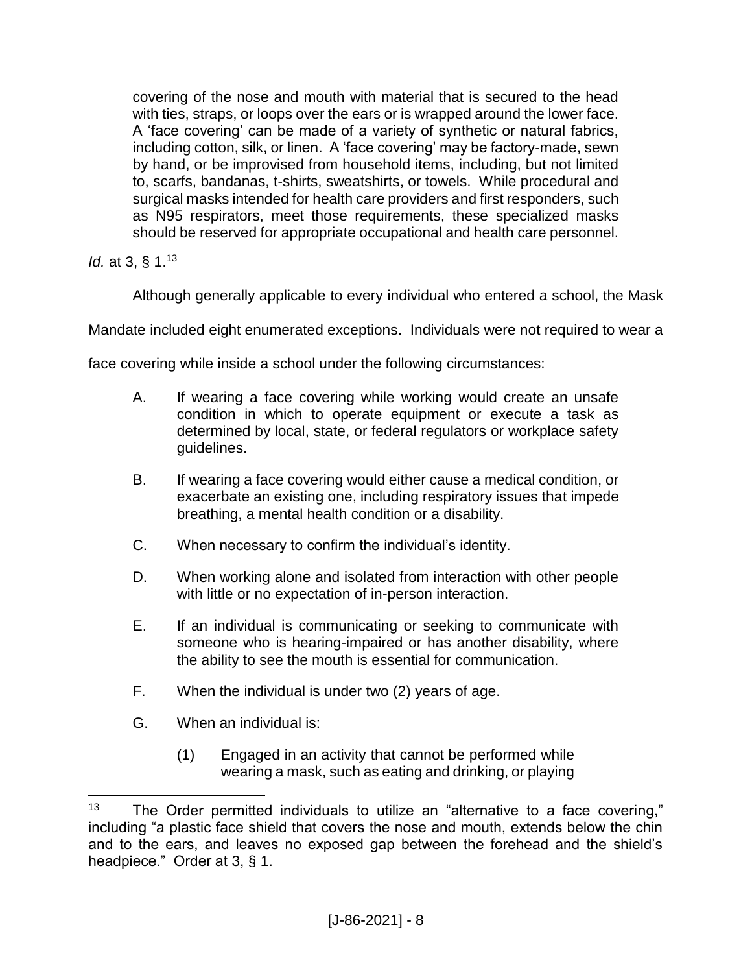covering of the nose and mouth with material that is secured to the head with ties, straps, or loops over the ears or is wrapped around the lower face. A 'face covering' can be made of a variety of synthetic or natural fabrics, including cotton, silk, or linen. A 'face covering' may be factory-made, sewn by hand, or be improvised from household items, including, but not limited to, scarfs, bandanas, t-shirts, sweatshirts, or towels. While procedural and surgical masks intended for health care providers and first responders, such as N95 respirators, meet those requirements, these specialized masks should be reserved for appropriate occupational and health care personnel.

*Id.* at 3, § 1.<sup>13</sup>

 $\overline{a}$ 

Although generally applicable to every individual who entered a school, the Mask

Mandate included eight enumerated exceptions. Individuals were not required to wear a

face covering while inside a school under the following circumstances:

- A. If wearing a face covering while working would create an unsafe condition in which to operate equipment or execute a task as determined by local, state, or federal regulators or workplace safety guidelines.
- B. If wearing a face covering would either cause a medical condition, or exacerbate an existing one, including respiratory issues that impede breathing, a mental health condition or a disability.
- C. When necessary to confirm the individual's identity.
- D. When working alone and isolated from interaction with other people with little or no expectation of in-person interaction.
- E. If an individual is communicating or seeking to communicate with someone who is hearing-impaired or has another disability, where the ability to see the mouth is essential for communication.
- F. When the individual is under two (2) years of age.
- G. When an individual is:
	- (1) Engaged in an activity that cannot be performed while wearing a mask, such as eating and drinking, or playing

 $13$  The Order permitted individuals to utilize an "alternative to a face covering," including "a plastic face shield that covers the nose and mouth, extends below the chin and to the ears, and leaves no exposed gap between the forehead and the shield's headpiece." Order at 3, § 1.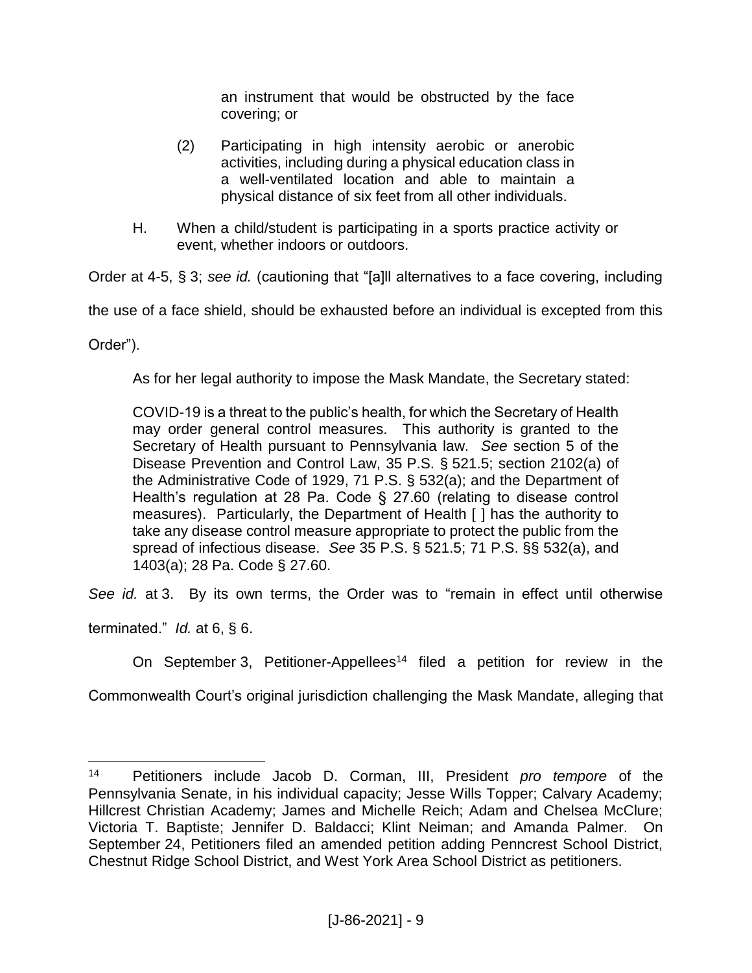an instrument that would be obstructed by the face covering; or

- (2) Participating in high intensity aerobic or anerobic activities, including during a physical education class in a well-ventilated location and able to maintain a physical distance of six feet from all other individuals.
- H. When a child/student is participating in a sports practice activity or event, whether indoors or outdoors.

Order at 4-5, § 3; *see id.* (cautioning that "[a]ll alternatives to a face covering, including

the use of a face shield, should be exhausted before an individual is excepted from this

Order").

 $\overline{a}$ 

As for her legal authority to impose the Mask Mandate, the Secretary stated:

COVID-19 is a threat to the public's health, for which the Secretary of Health may order general control measures. This authority is granted to the Secretary of Health pursuant to Pennsylvania law. *See* section 5 of the Disease Prevention and Control Law, 35 P.S. § 521.5; section 2102(a) of the Administrative Code of 1929, 71 P.S. § 532(a); and the Department of Health's regulation at 28 Pa. Code § 27.60 (relating to disease control measures). Particularly, the Department of Health [ ] has the authority to take any disease control measure appropriate to protect the public from the spread of infectious disease. *See* 35 P.S. § 521.5; 71 P.S. §§ 532(a), and 1403(a); 28 Pa. Code § 27.60.

*See id.* at 3. By its own terms, the Order was to "remain in effect until otherwise

terminated." *Id.* at 6, § 6.

On September 3, Petitioner-Appellees<sup>14</sup> filed a petition for review in the

Commonwealth Court's original jurisdiction challenging the Mask Mandate, alleging that

<sup>14</sup> Petitioners include Jacob D. Corman, III, President *pro tempore* of the Pennsylvania Senate, in his individual capacity; Jesse Wills Topper; Calvary Academy; Hillcrest Christian Academy; James and Michelle Reich; Adam and Chelsea McClure; Victoria T. Baptiste; Jennifer D. Baldacci; Klint Neiman; and Amanda Palmer. On September 24, Petitioners filed an amended petition adding Penncrest School District, Chestnut Ridge School District, and West York Area School District as petitioners.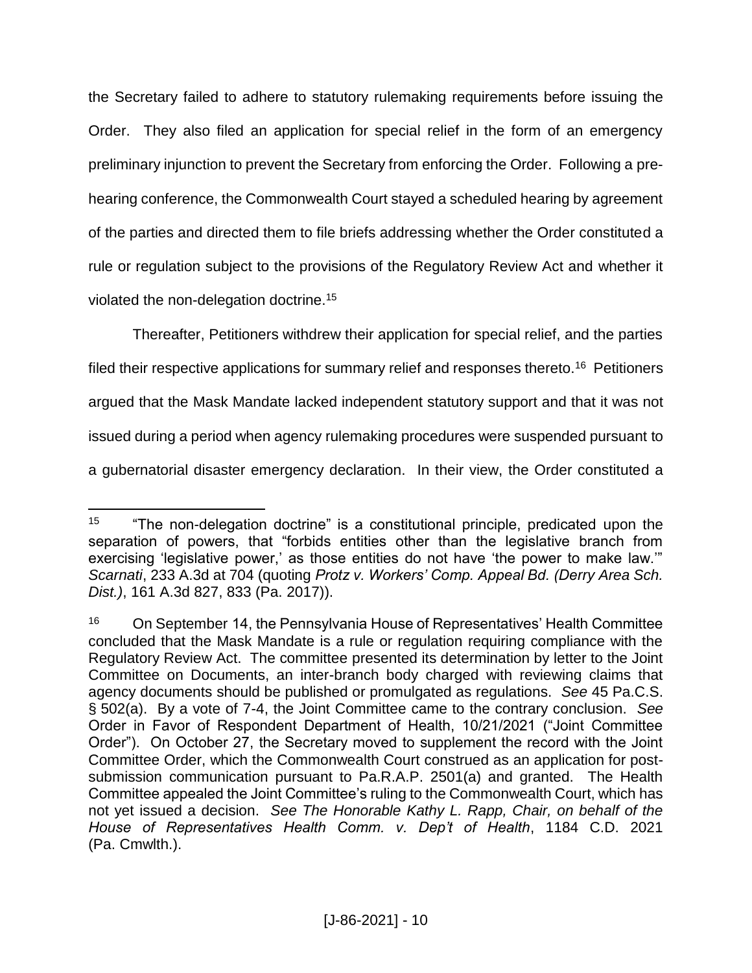the Secretary failed to adhere to statutory rulemaking requirements before issuing the Order. They also filed an application for special relief in the form of an emergency preliminary injunction to prevent the Secretary from enforcing the Order. Following a prehearing conference, the Commonwealth Court stayed a scheduled hearing by agreement of the parties and directed them to file briefs addressing whether the Order constituted a rule or regulation subject to the provisions of the Regulatory Review Act and whether it violated the non-delegation doctrine.<sup>15</sup>

Thereafter, Petitioners withdrew their application for special relief, and the parties filed their respective applications for summary relief and responses thereto.<sup>16</sup> Petitioners argued that the Mask Mandate lacked independent statutory support and that it was not issued during a period when agency rulemaking procedures were suspended pursuant to a gubernatorial disaster emergency declaration. In their view, the Order constituted a

<sup>&</sup>lt;sup>15</sup> "The non-delegation doctrine" is a constitutional principle, predicated upon the separation of powers, that "forbids entities other than the legislative branch from exercising 'legislative power,' as those entities do not have 'the power to make law."" *Scarnati*, 233 A.3d at 704 (quoting *Protz v. Workers' Comp. Appeal Bd. (Derry Area Sch. Dist.)*, 161 A.3d 827, 833 (Pa. 2017)).

<sup>&</sup>lt;sup>16</sup> On September 14, the Pennsylvania House of Representatives' Health Committee concluded that the Mask Mandate is a rule or regulation requiring compliance with the Regulatory Review Act. The committee presented its determination by letter to the Joint Committee on Documents, an inter-branch body charged with reviewing claims that agency documents should be published or promulgated as regulations. *See* 45 Pa.C.S. § 502(a). By a vote of 7-4, the Joint Committee came to the contrary conclusion. *See* Order in Favor of Respondent Department of Health, 10/21/2021 ("Joint Committee Order"). On October 27, the Secretary moved to supplement the record with the Joint Committee Order, which the Commonwealth Court construed as an application for postsubmission communication pursuant to Pa.R.A.P. 2501(a) and granted. The Health Committee appealed the Joint Committee's ruling to the Commonwealth Court, which has not yet issued a decision. *See The Honorable Kathy L. Rapp, Chair, on behalf of the House of Representatives Health Comm. v. Dep't of Health*, 1184 C.D. 2021 (Pa. Cmwlth.).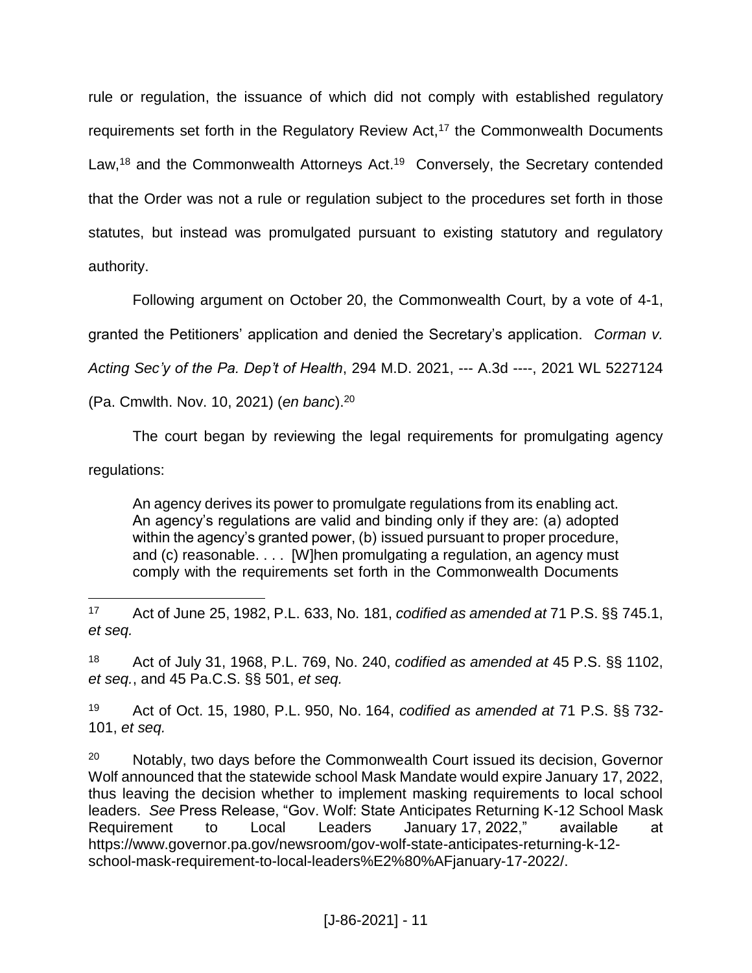rule or regulation, the issuance of which did not comply with established regulatory requirements set forth in the Regulatory Review Act,<sup>17</sup> the Commonwealth Documents Law,<sup>18</sup> and the Commonwealth Attorneys Act.<sup>19</sup> Conversely, the Secretary contended that the Order was not a rule or regulation subject to the procedures set forth in those statutes, but instead was promulgated pursuant to existing statutory and regulatory authority.

Following argument on October 20, the Commonwealth Court, by a vote of 4-1,

granted the Petitioners' application and denied the Secretary's application. *Corman v.* 

*Acting Sec'y of the Pa. Dep't of Health*, 294 M.D. 2021, --- A.3d ----, 2021 WL 5227124

(Pa. Cmwlth. Nov. 10, 2021) (*en banc*).<sup>20</sup>

The court began by reviewing the legal requirements for promulgating agency regulations:

An agency derives its power to promulgate regulations from its enabling act. An agency's regulations are valid and binding only if they are: (a) adopted within the agency's granted power, (b) issued pursuant to proper procedure, and (c) reasonable. . . . [W]hen promulgating a regulation, an agency must comply with the requirements set forth in the Commonwealth Documents

 $\overline{a}$ <sup>17</sup> Act of June 25, 1982, P.L. 633, No. 181, *codified as amended at* 71 P.S. §§ 745.1, *et seq.*

<sup>18</sup> Act of July 31, 1968, P.L. 769, No. 240, *codified as amended at* 45 P.S. §§ 1102, *et seq.*, and 45 Pa.C.S. §§ 501, *et seq.*

<sup>19</sup> Act of Oct. 15, 1980, P.L. 950, No. 164, *codified as amended at* 71 P.S. §§ 732- 101, *et seq.*

 $20$  Notably, two days before the Commonwealth Court issued its decision, Governor Wolf announced that the statewide school Mask Mandate would expire January 17, 2022, thus leaving the decision whether to implement masking requirements to local school leaders. *See* Press Release, "Gov. Wolf: State Anticipates Returning K-12 School Mask Requirement to Local Leaders January 17, 2022," available at https://www.governor.pa.gov/newsroom/gov-wolf-state-anticipates-returning-k-12 school-mask-requirement-to-local-leaders%E2%80%AFjanuary-17-2022/.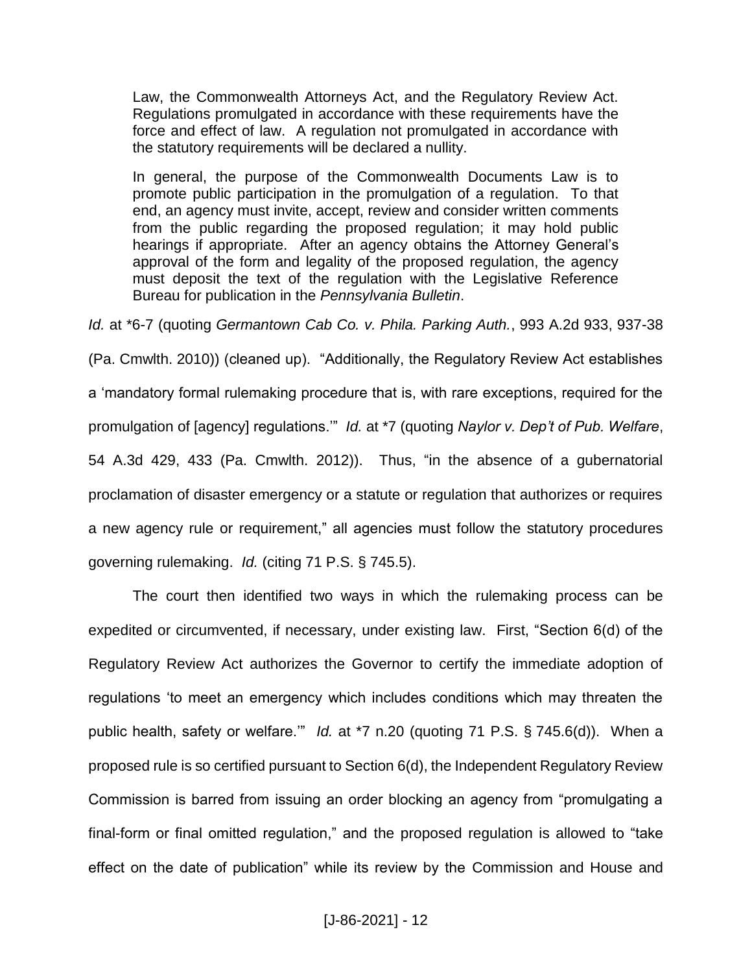Law, the Commonwealth Attorneys Act, and the Regulatory Review Act. Regulations promulgated in accordance with these requirements have the force and effect of law. A regulation not promulgated in accordance with the statutory requirements will be declared a nullity.

In general, the purpose of the Commonwealth Documents Law is to promote public participation in the promulgation of a regulation. To that end, an agency must invite, accept, review and consider written comments from the public regarding the proposed regulation; it may hold public hearings if appropriate. After an agency obtains the Attorney General's approval of the form and legality of the proposed regulation, the agency must deposit the text of the regulation with the Legislative Reference Bureau for publication in the *Pennsylvania Bulletin*.

*Id.* at \*6-7 (quoting *Germantown Cab Co. v. Phila. Parking Auth.*, 993 A.2d 933, 937-38

(Pa. Cmwlth. 2010)) (cleaned up). "Additionally, the Regulatory Review Act establishes a 'mandatory formal rulemaking procedure that is, with rare exceptions, required for the promulgation of [agency] regulations.'" *Id.* at \*7 (quoting *Naylor v. Dep't of Pub. Welfare*, 54 A.3d 429, 433 (Pa. Cmwlth. 2012)). Thus, "in the absence of a gubernatorial proclamation of disaster emergency or a statute or regulation that authorizes or requires a new agency rule or requirement," all agencies must follow the statutory procedures governing rulemaking. *Id.* (citing 71 P.S. § 745.5).

The court then identified two ways in which the rulemaking process can be expedited or circumvented, if necessary, under existing law. First, "Section 6(d) of the Regulatory Review Act authorizes the Governor to certify the immediate adoption of regulations 'to meet an emergency which includes conditions which may threaten the public health, safety or welfare.'" *Id.* at \*7 n.20 (quoting 71 P.S. § 745.6(d)). When a proposed rule is so certified pursuant to Section 6(d), the Independent Regulatory Review Commission is barred from issuing an order blocking an agency from "promulgating a final-form or final omitted regulation," and the proposed regulation is allowed to "take effect on the date of publication" while its review by the Commission and House and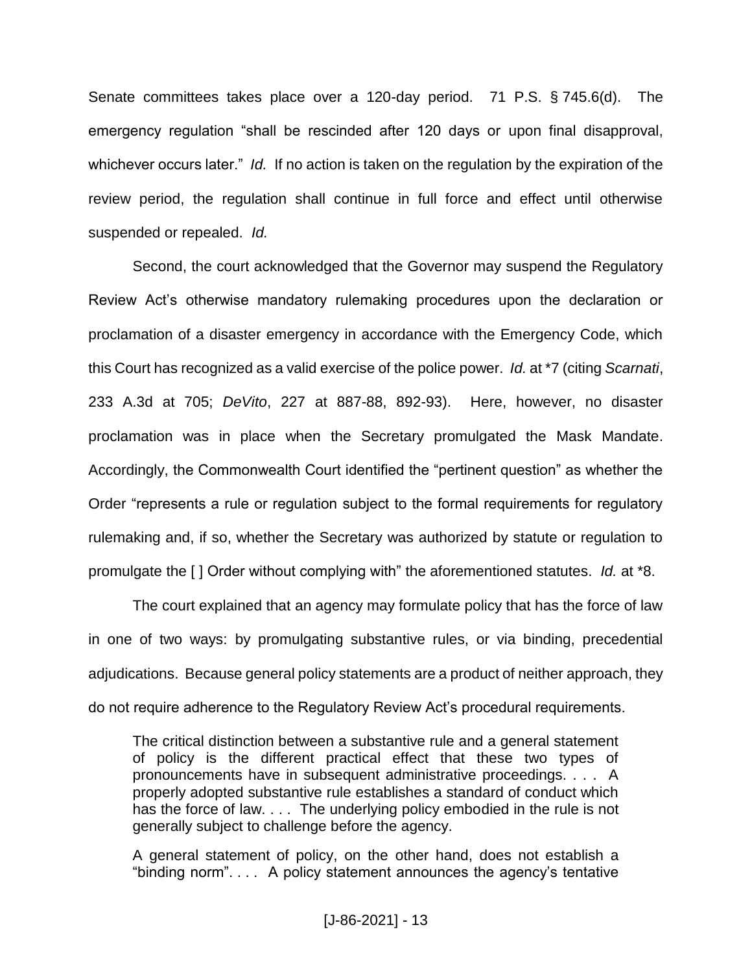Senate committees takes place over a 120-day period. 71 P.S. § 745.6(d). The emergency regulation "shall be rescinded after 120 days or upon final disapproval, whichever occurs later." *Id.* If no action is taken on the regulation by the expiration of the review period, the regulation shall continue in full force and effect until otherwise suspended or repealed. *Id.*

Second, the court acknowledged that the Governor may suspend the Regulatory Review Act's otherwise mandatory rulemaking procedures upon the declaration or proclamation of a disaster emergency in accordance with the Emergency Code, which this Court has recognized as a valid exercise of the police power. *Id.* at \*7 (citing *Scarnati*, 233 A.3d at 705; *DeVito*, 227 at 887-88, 892-93). Here, however, no disaster proclamation was in place when the Secretary promulgated the Mask Mandate. Accordingly, the Commonwealth Court identified the "pertinent question" as whether the Order "represents a rule or regulation subject to the formal requirements for regulatory rulemaking and, if so, whether the Secretary was authorized by statute or regulation to promulgate the [ ] Order without complying with" the aforementioned statutes. *Id.* at \*8.

The court explained that an agency may formulate policy that has the force of law in one of two ways: by promulgating substantive rules, or via binding, precedential adjudications. Because general policy statements are a product of neither approach, they do not require adherence to the Regulatory Review Act's procedural requirements.

The critical distinction between a substantive rule and a general statement of policy is the different practical effect that these two types of pronouncements have in subsequent administrative proceedings. . . . A properly adopted substantive rule establishes a standard of conduct which has the force of law. . . . The underlying policy embodied in the rule is not generally subject to challenge before the agency.

A general statement of policy, on the other hand, does not establish a "binding norm". . . . A policy statement announces the agency's tentative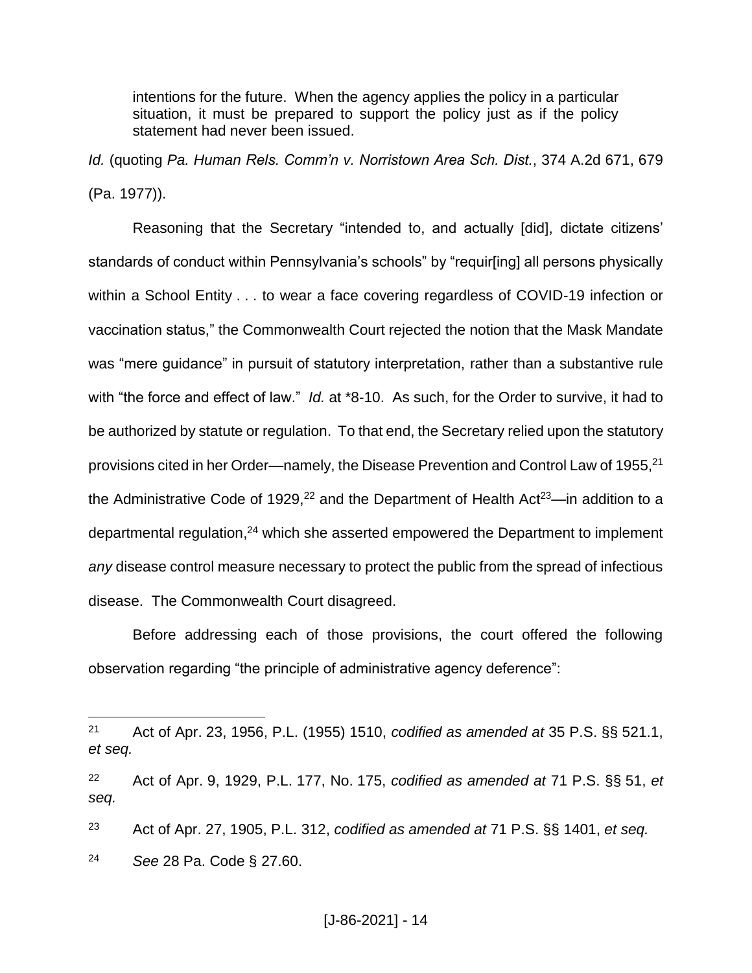intentions for the future. When the agency applies the policy in a particular situation, it must be prepared to support the policy just as if the policy statement had never been issued.

*Id.* (quoting *Pa. Human Rels. Comm'n v. Norristown Area Sch. Dist.*, 374 A.2d 671, 679 (Pa. 1977)).

Reasoning that the Secretary "intended to, and actually [did], dictate citizens' standards of conduct within Pennsylvania's schools" by "requir[ing] all persons physically within a School Entity . . . to wear a face covering regardless of COVID-19 infection or vaccination status," the Commonwealth Court rejected the notion that the Mask Mandate was "mere guidance" in pursuit of statutory interpretation, rather than a substantive rule with "the force and effect of law." *Id.* at \*8-10. As such, for the Order to survive, it had to be authorized by statute or regulation. To that end, the Secretary relied upon the statutory provisions cited in her Order—namely, the Disease Prevention and Control Law of 1955,<sup>21</sup> the Administrative Code of 1929,<sup>22</sup> and the Department of Health Act<sup>23</sup>—in addition to a departmental regulation,<sup>24</sup> which she asserted empowered the Department to implement *any* disease control measure necessary to protect the public from the spread of infectious disease. The Commonwealth Court disagreed.

Before addressing each of those provisions, the court offered the following observation regarding "the principle of administrative agency deference":

<sup>24</sup> *See* 28 Pa. Code § 27.60.

<sup>21</sup> Act of Apr. 23, 1956, P.L. (1955) 1510, *codified as amended at* 35 P.S. §§ 521.1, *et seq.*

<sup>22</sup> Act of Apr. 9, 1929, P.L. 177, No. 175, *codified as amended at* 71 P.S. §§ 51, *et seq.*

<sup>23</sup> Act of Apr. 27, 1905, P.L. 312, *codified as amended at* 71 P.S. §§ 1401, *et seq.*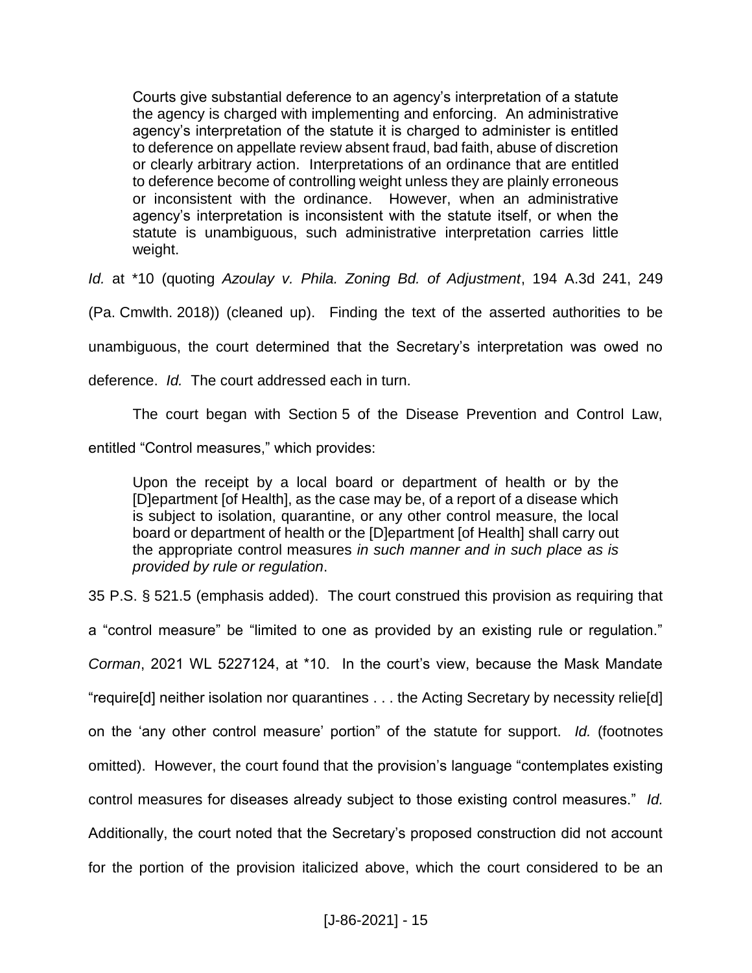Courts give substantial deference to an agency's interpretation of a statute the agency is charged with implementing and enforcing. An administrative agency's interpretation of the statute it is charged to administer is entitled to deference on appellate review absent fraud, bad faith, abuse of discretion or clearly arbitrary action. Interpretations of an ordinance that are entitled to deference become of controlling weight unless they are plainly erroneous or inconsistent with the ordinance. However, when an administrative agency's interpretation is inconsistent with the statute itself, or when the statute is unambiguous, such administrative interpretation carries little weight.

*Id.* at \*10 (quoting *Azoulay v. Phila. Zoning Bd. of Adjustment*, 194 A.3d 241, 249

(Pa. Cmwlth. 2018)) (cleaned up). Finding the text of the asserted authorities to be

unambiguous, the court determined that the Secretary's interpretation was owed no

deference. *Id.* The court addressed each in turn.

The court began with Section 5 of the Disease Prevention and Control Law,

entitled "Control measures," which provides:

Upon the receipt by a local board or department of health or by the [D]epartment [of Health], as the case may be, of a report of a disease which is subject to isolation, quarantine, or any other control measure, the local board or department of health or the [D]epartment [of Health] shall carry out the appropriate control measures *in such manner and in such place as is provided by rule or regulation*.

35 P.S. § 521.5 (emphasis added). The court construed this provision as requiring that

a "control measure" be "limited to one as provided by an existing rule or regulation."

*Corman*, 2021 WL 5227124, at \*10. In the court's view, because the Mask Mandate

"require[d] neither isolation nor quarantines . . . the Acting Secretary by necessity relie[d]

on the 'any other control measure' portion" of the statute for support. *Id.* (footnotes

omitted). However, the court found that the provision's language "contemplates existing

control measures for diseases already subject to those existing control measures." *Id.*

Additionally, the court noted that the Secretary's proposed construction did not account

for the portion of the provision italicized above, which the court considered to be an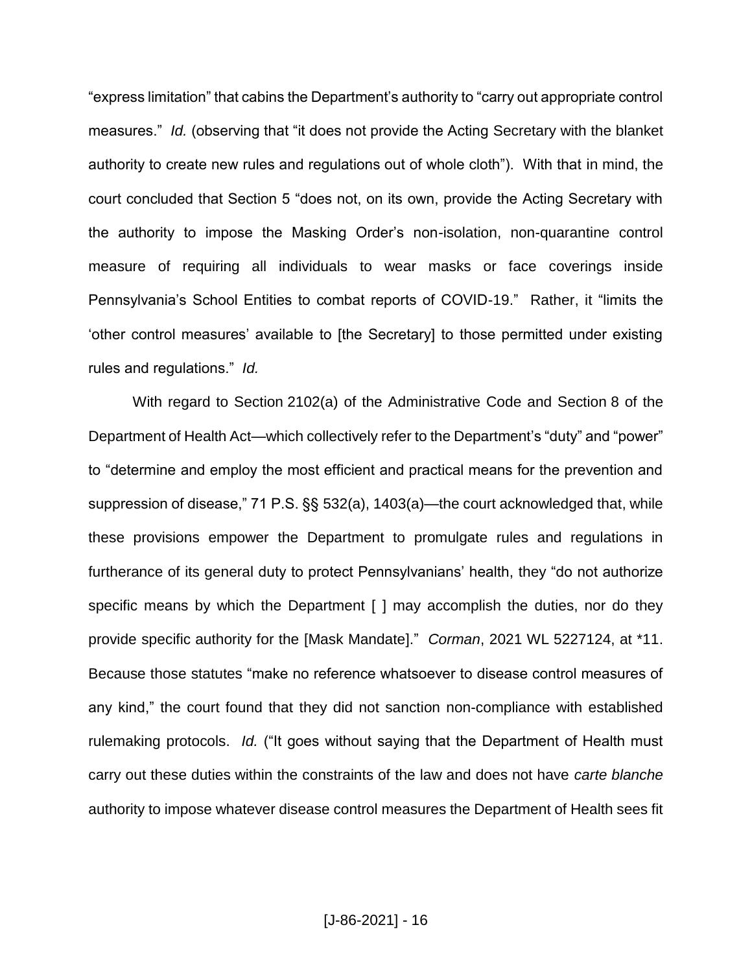"express limitation" that cabins the Department's authority to "carry out appropriate control measures." *Id.* (observing that "it does not provide the Acting Secretary with the blanket authority to create new rules and regulations out of whole cloth"). With that in mind, the court concluded that Section 5 "does not, on its own, provide the Acting Secretary with the authority to impose the Masking Order's non-isolation, non-quarantine control measure of requiring all individuals to wear masks or face coverings inside Pennsylvania's School Entities to combat reports of COVID-19." Rather, it "limits the 'other control measures' available to [the Secretary] to those permitted under existing rules and regulations." *Id.*

With regard to Section 2102(a) of the Administrative Code and Section 8 of the Department of Health Act—which collectively refer to the Department's "duty" and "power" to "determine and employ the most efficient and practical means for the prevention and suppression of disease," 71 P.S. §§ 532(a), 1403(a)—the court acknowledged that, while these provisions empower the Department to promulgate rules and regulations in furtherance of its general duty to protect Pennsylvanians' health, they "do not authorize specific means by which the Department [ ] may accomplish the duties, nor do they provide specific authority for the [Mask Mandate]." *Corman*, 2021 WL 5227124, at \*11. Because those statutes "make no reference whatsoever to disease control measures of any kind," the court found that they did not sanction non-compliance with established rulemaking protocols. *Id.* ("It goes without saying that the Department of Health must carry out these duties within the constraints of the law and does not have *carte blanche* authority to impose whatever disease control measures the Department of Health sees fit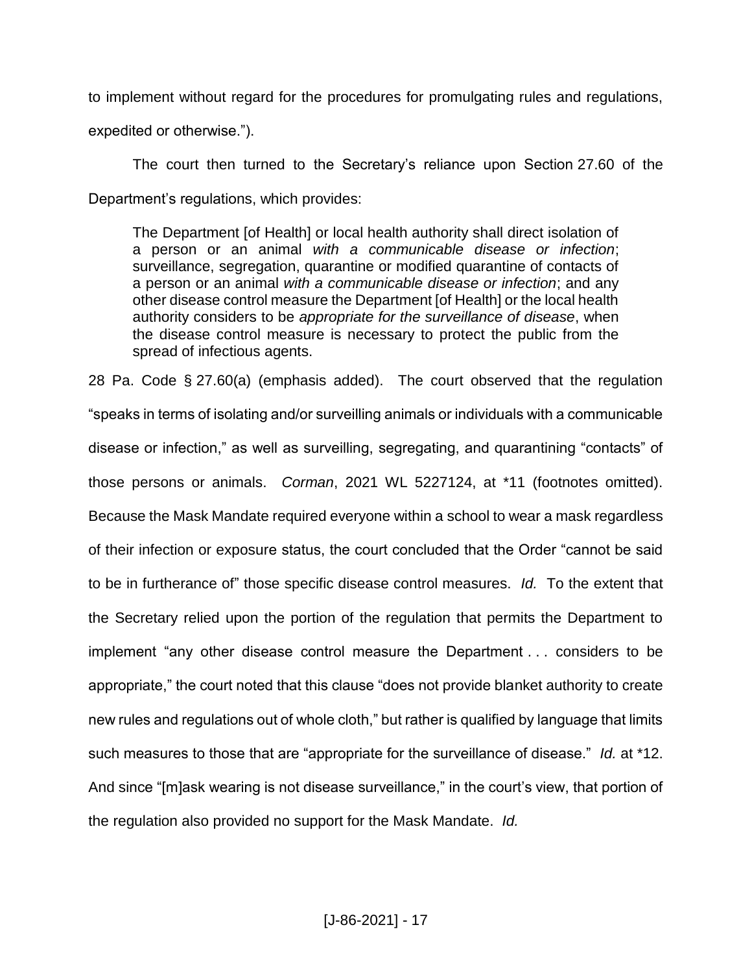to implement without regard for the procedures for promulgating rules and regulations,

expedited or otherwise.").

The court then turned to the Secretary's reliance upon Section 27.60 of the Department's regulations, which provides:

The Department [of Health] or local health authority shall direct isolation of a person or an animal *with a communicable disease or infection*; surveillance, segregation, quarantine or modified quarantine of contacts of a person or an animal *with a communicable disease or infection*; and any other disease control measure the Department [of Health] or the local health authority considers to be *appropriate for the surveillance of disease*, when the disease control measure is necessary to protect the public from the spread of infectious agents.

28 Pa. Code § 27.60(a) (emphasis added). The court observed that the regulation "speaks in terms of isolating and/or surveilling animals or individuals with a communicable disease or infection," as well as surveilling, segregating, and quarantining "contacts" of those persons or animals. *Corman*, 2021 WL 5227124, at \*11 (footnotes omitted). Because the Mask Mandate required everyone within a school to wear a mask regardless of their infection or exposure status, the court concluded that the Order "cannot be said to be in furtherance of" those specific disease control measures. *Id.* To the extent that the Secretary relied upon the portion of the regulation that permits the Department to implement "any other disease control measure the Department . . . considers to be appropriate," the court noted that this clause "does not provide blanket authority to create new rules and regulations out of whole cloth," but rather is qualified by language that limits such measures to those that are "appropriate for the surveillance of disease." *Id.* at \*12. And since "[m]ask wearing is not disease surveillance," in the court's view, that portion of the regulation also provided no support for the Mask Mandate. *Id.*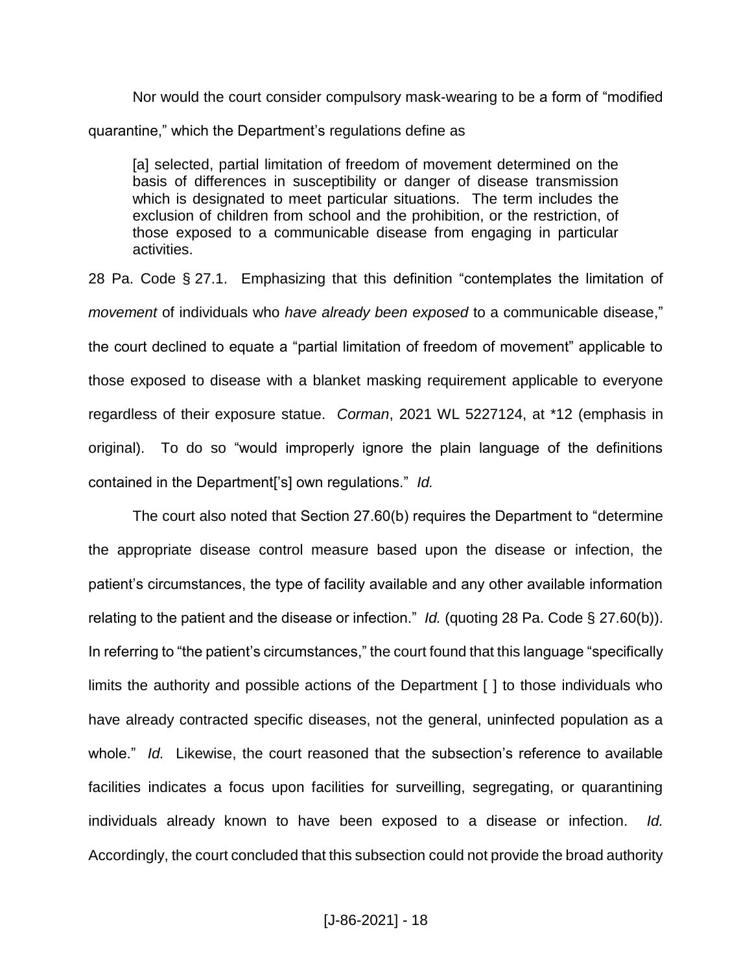Nor would the court consider compulsory mask-wearing to be a form of "modified quarantine," which the Department's regulations define as

[a] selected, partial limitation of freedom of movement determined on the basis of differences in susceptibility or danger of disease transmission which is designated to meet particular situations. The term includes the exclusion of children from school and the prohibition, or the restriction, of those exposed to a communicable disease from engaging in particular activities.

28 Pa. Code § 27.1. Emphasizing that this definition "contemplates the limitation of *movement* of individuals who *have already been exposed* to a communicable disease," the court declined to equate a "partial limitation of freedom of movement" applicable to those exposed to disease with a blanket masking requirement applicable to everyone regardless of their exposure statue. *Corman*, 2021 WL 5227124, at \*12 (emphasis in original). To do so "would improperly ignore the plain language of the definitions contained in the Department['s] own regulations." *Id.*

The court also noted that Section 27.60(b) requires the Department to "determine the appropriate disease control measure based upon the disease or infection, the patient's circumstances, the type of facility available and any other available information relating to the patient and the disease or infection." *Id.* (quoting 28 Pa. Code § 27.60(b)). In referring to "the patient's circumstances," the court found that this language "specifically limits the authority and possible actions of the Department [ ] to those individuals who have already contracted specific diseases, not the general, uninfected population as a whole." *Id.* Likewise, the court reasoned that the subsection's reference to available facilities indicates a focus upon facilities for surveilling, segregating, or quarantining individuals already known to have been exposed to a disease or infection. *Id.* Accordingly, the court concluded that this subsection could not provide the broad authority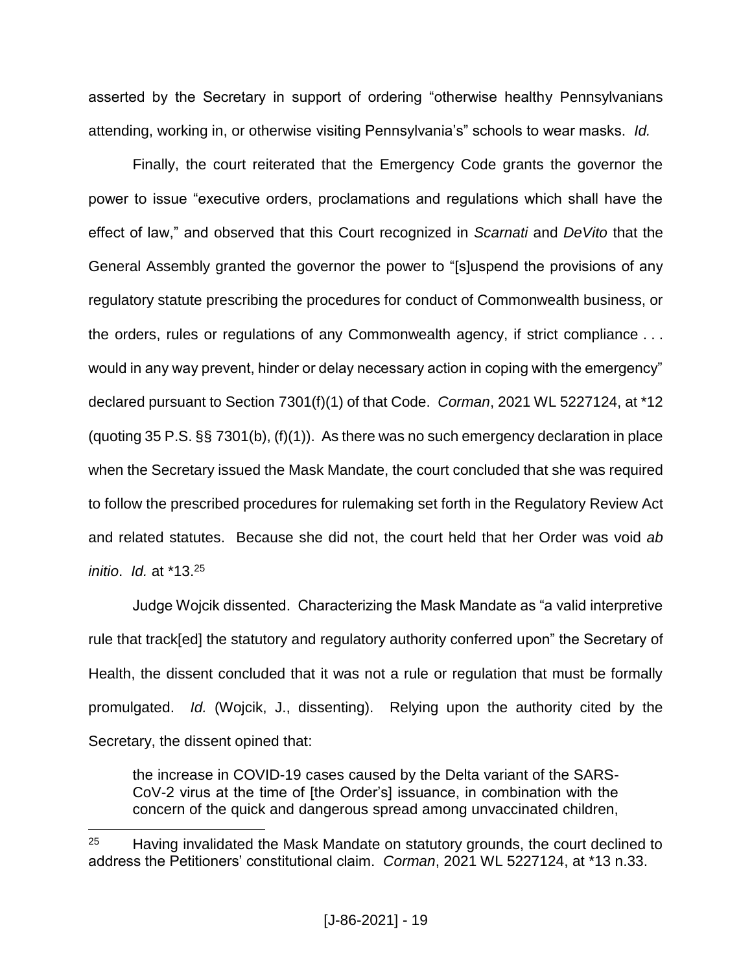asserted by the Secretary in support of ordering "otherwise healthy Pennsylvanians attending, working in, or otherwise visiting Pennsylvania's" schools to wear masks. *Id.*

Finally, the court reiterated that the Emergency Code grants the governor the power to issue "executive orders, proclamations and regulations which shall have the effect of law," and observed that this Court recognized in *Scarnati* and *DeVito* that the General Assembly granted the governor the power to "[s]uspend the provisions of any regulatory statute prescribing the procedures for conduct of Commonwealth business, or the orders, rules or regulations of any Commonwealth agency, if strict compliance . . . would in any way prevent, hinder or delay necessary action in coping with the emergency" declared pursuant to Section 7301(f)(1) of that Code. *Corman*, 2021 WL 5227124, at \*12 (quoting 35 P.S. §§ 7301(b), (f)(1)). As there was no such emergency declaration in place when the Secretary issued the Mask Mandate, the court concluded that she was required to follow the prescribed procedures for rulemaking set forth in the Regulatory Review Act and related statutes. Because she did not, the court held that her Order was void *ab initio*. *Id.* at \*13.<sup>25</sup>

Judge Wojcik dissented. Characterizing the Mask Mandate as "a valid interpretive rule that track[ed] the statutory and regulatory authority conferred upon" the Secretary of Health, the dissent concluded that it was not a rule or regulation that must be formally promulgated. *Id.* (Wojcik, J., dissenting). Relying upon the authority cited by the Secretary, the dissent opined that:

the increase in COVID-19 cases caused by the Delta variant of the SARS-CoV-2 virus at the time of [the Order's] issuance, in combination with the concern of the quick and dangerous spread among unvaccinated children,

 $25$  Having invalidated the Mask Mandate on statutory grounds, the court declined to address the Petitioners' constitutional claim. *Corman*, 2021 WL 5227124, at \*13 n.33.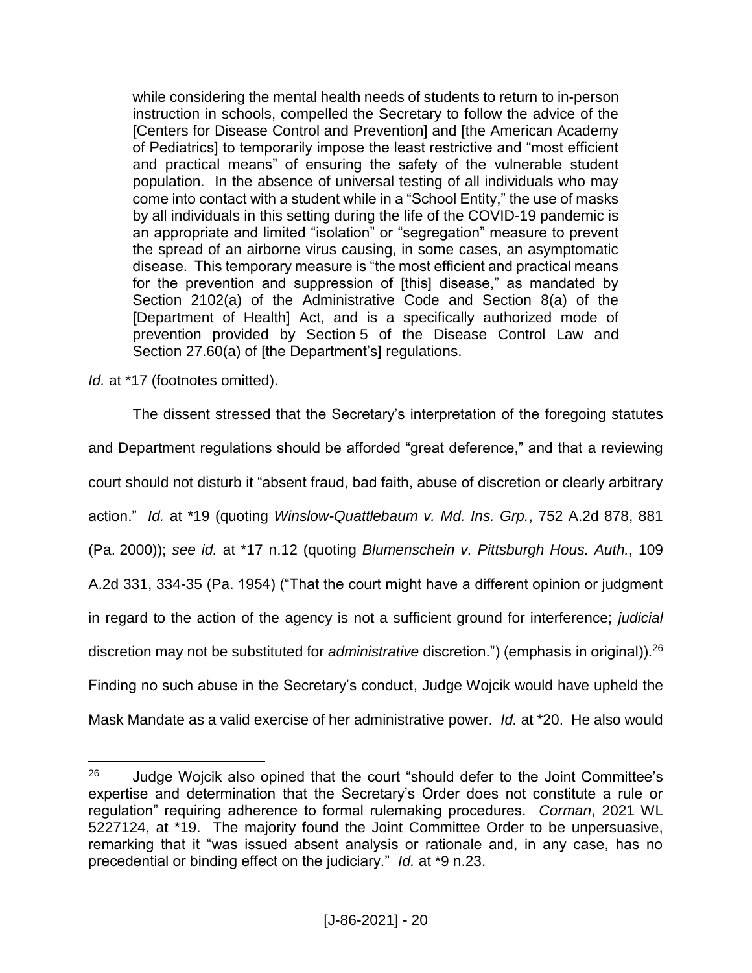while considering the mental health needs of students to return to in-person instruction in schools, compelled the Secretary to follow the advice of the [Centers for Disease Control and Prevention] and [the American Academy of Pediatrics] to temporarily impose the least restrictive and "most efficient and practical means" of ensuring the safety of the vulnerable student population. In the absence of universal testing of all individuals who may come into contact with a student while in a "School Entity," the use of masks by all individuals in this setting during the life of the COVID-19 pandemic is an appropriate and limited "isolation" or "segregation" measure to prevent the spread of an airborne virus causing, in some cases, an asymptomatic disease. This temporary measure is "the most efficient and practical means for the prevention and suppression of [this] disease," as mandated by Section 2102(a) of the Administrative Code and Section 8(a) of the [Department of Health] Act, and is a specifically authorized mode of prevention provided by Section 5 of the Disease Control Law and Section 27.60(a) of [the Department's] regulations.

*Id.* at \*17 (footnotes omitted).

 $\overline{a}$ 

The dissent stressed that the Secretary's interpretation of the foregoing statutes and Department regulations should be afforded "great deference," and that a reviewing court should not disturb it "absent fraud, bad faith, abuse of discretion or clearly arbitrary action." *Id.* at \*19 (quoting *Winslow-Quattlebaum v. Md. Ins. Grp.*, 752 A.2d 878, 881 (Pa. 2000)); *see id.* at \*17 n.12 (quoting *Blumenschein v. Pittsburgh Hous. Auth.*, 109 A.2d 331, 334-35 (Pa. 1954) ("That the court might have a different opinion or judgment in regard to the action of the agency is not a sufficient ground for interference; *judicial* discretion may not be substituted for *administrative* discretion.") (emphasis in original)).<sup>26</sup> Finding no such abuse in the Secretary's conduct, Judge Wojcik would have upheld the Mask Mandate as a valid exercise of her administrative power. *Id.* at \*20. He also would

 $26$  Judge Wojcik also opined that the court "should defer to the Joint Committee's expertise and determination that the Secretary's Order does not constitute a rule or regulation" requiring adherence to formal rulemaking procedures. *Corman*, 2021 WL 5227124, at \*19. The majority found the Joint Committee Order to be unpersuasive, remarking that it "was issued absent analysis or rationale and, in any case, has no precedential or binding effect on the judiciary." *Id.* at \*9 n.23.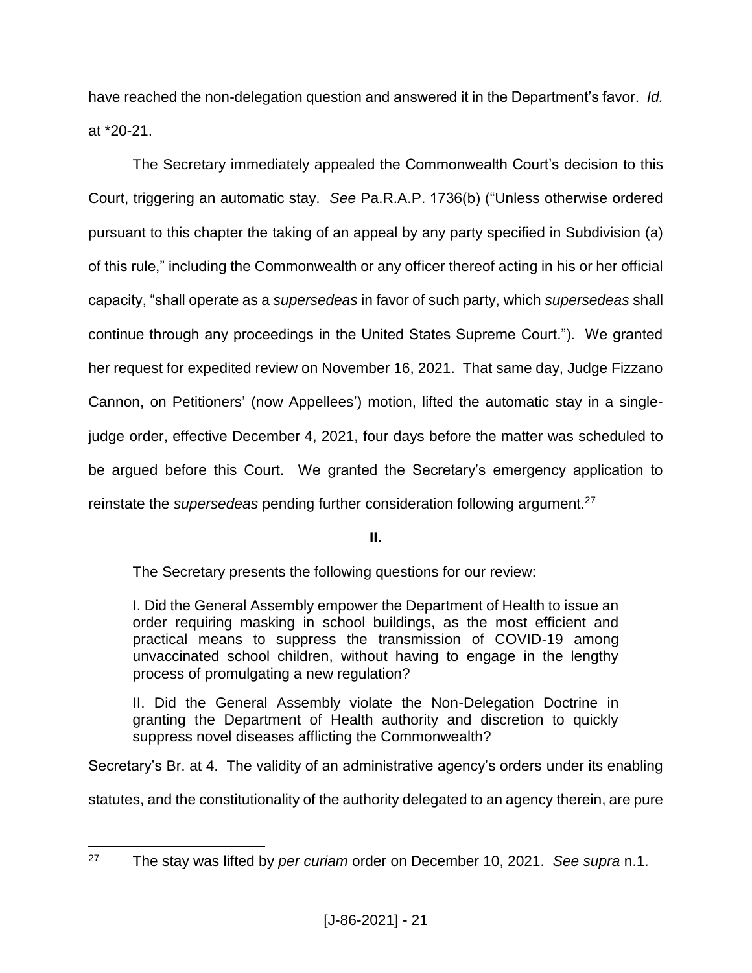have reached the non-delegation question and answered it in the Department's favor. *Id.* at \*20-21.

The Secretary immediately appealed the Commonwealth Court's decision to this Court, triggering an automatic stay. *See* Pa.R.A.P. 1736(b) ("Unless otherwise ordered pursuant to this chapter the taking of an appeal by any party specified in Subdivision (a) of this rule," including the Commonwealth or any officer thereof acting in his or her official capacity, "shall operate as a *supersedeas* in favor of such party, which *supersedeas* shall continue through any proceedings in the United States Supreme Court."). We granted her request for expedited review on November 16, 2021. That same day, Judge Fizzano Cannon, on Petitioners' (now Appellees') motion, lifted the automatic stay in a singlejudge order, effective December 4, 2021, four days before the matter was scheduled to be argued before this Court. We granted the Secretary's emergency application to reinstate the *supersedeas* pending further consideration following argument.<sup>27</sup>

**II.**

The Secretary presents the following questions for our review:

I. Did the General Assembly empower the Department of Health to issue an order requiring masking in school buildings, as the most efficient and practical means to suppress the transmission of COVID-19 among unvaccinated school children, without having to engage in the lengthy process of promulgating a new regulation?

II. Did the General Assembly violate the Non-Delegation Doctrine in granting the Department of Health authority and discretion to quickly suppress novel diseases afflicting the Commonwealth?

Secretary's Br. at 4. The validity of an administrative agency's orders under its enabling

statutes, and the constitutionality of the authority delegated to an agency therein, are pure

<sup>27</sup> <sup>27</sup> The stay was lifted by *per curiam* order on December 10, 2021. *See supra* n.1.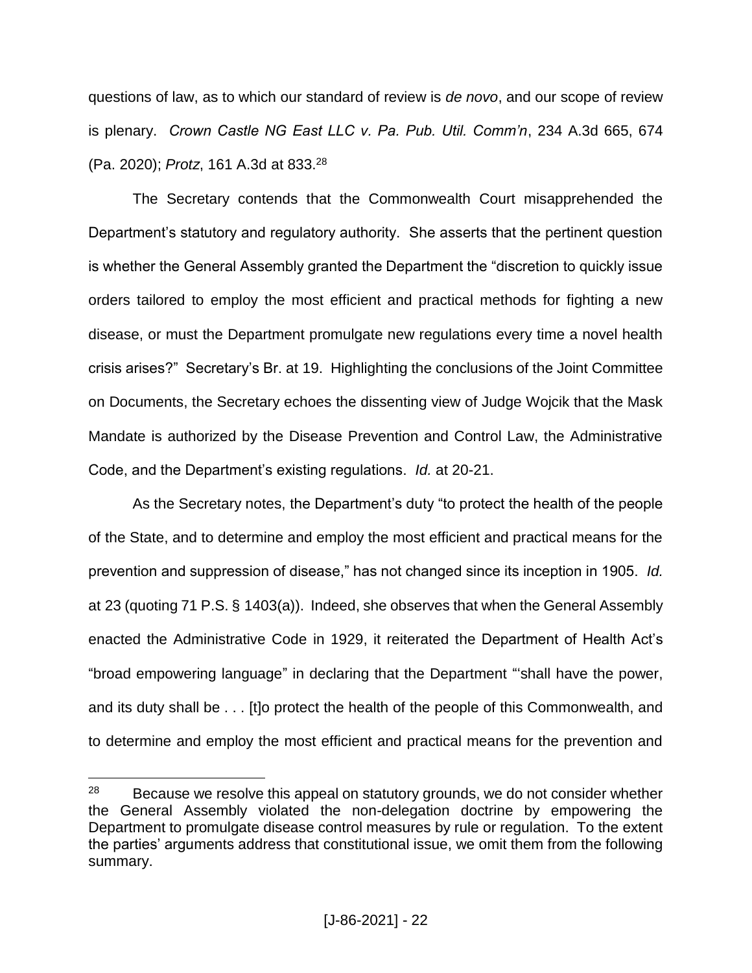questions of law, as to which our standard of review is *de novo*, and our scope of review is plenary. *Crown Castle NG East LLC v. Pa. Pub. Util. Comm'n*, 234 A.3d 665, 674 (Pa. 2020); *Protz*, 161 A.3d at 833.<sup>28</sup>

The Secretary contends that the Commonwealth Court misapprehended the Department's statutory and regulatory authority. She asserts that the pertinent question is whether the General Assembly granted the Department the "discretion to quickly issue orders tailored to employ the most efficient and practical methods for fighting a new disease, or must the Department promulgate new regulations every time a novel health crisis arises?" Secretary's Br. at 19. Highlighting the conclusions of the Joint Committee on Documents, the Secretary echoes the dissenting view of Judge Wojcik that the Mask Mandate is authorized by the Disease Prevention and Control Law, the Administrative Code, and the Department's existing regulations. *Id.* at 20-21.

As the Secretary notes, the Department's duty "to protect the health of the people of the State, and to determine and employ the most efficient and practical means for the prevention and suppression of disease," has not changed since its inception in 1905. *Id.* at 23 (quoting 71 P.S. § 1403(a)). Indeed, she observes that when the General Assembly enacted the Administrative Code in 1929, it reiterated the Department of Health Act's "broad empowering language" in declaring that the Department "'shall have the power, and its duty shall be . . . [t]o protect the health of the people of this Commonwealth, and to determine and employ the most efficient and practical means for the prevention and

 $28$  Because we resolve this appeal on statutory grounds, we do not consider whether the General Assembly violated the non-delegation doctrine by empowering the Department to promulgate disease control measures by rule or regulation. To the extent the parties' arguments address that constitutional issue, we omit them from the following summary.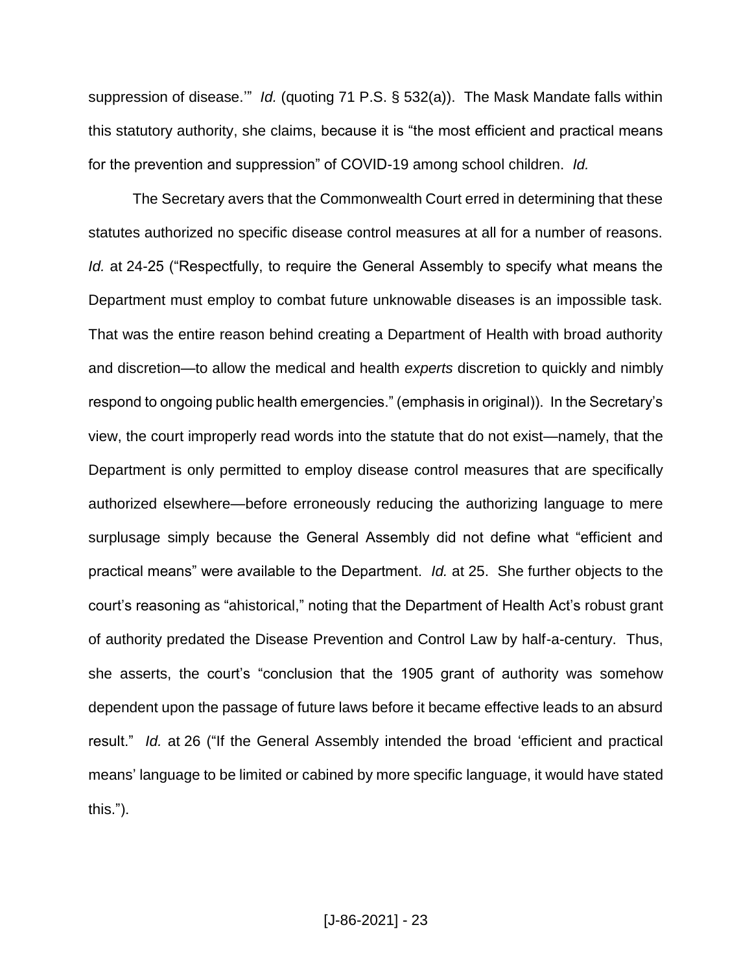suppression of disease.'" *Id.* (quoting 71 P.S. § 532(a)). The Mask Mandate falls within this statutory authority, she claims, because it is "the most efficient and practical means for the prevention and suppression" of COVID-19 among school children. *Id.*

The Secretary avers that the Commonwealth Court erred in determining that these statutes authorized no specific disease control measures at all for a number of reasons. *Id.* at 24-25 ("Respectfully, to require the General Assembly to specify what means the Department must employ to combat future unknowable diseases is an impossible task. That was the entire reason behind creating a Department of Health with broad authority and discretion—to allow the medical and health *experts* discretion to quickly and nimbly respond to ongoing public health emergencies." (emphasis in original)). In the Secretary's view, the court improperly read words into the statute that do not exist—namely, that the Department is only permitted to employ disease control measures that are specifically authorized elsewhere—before erroneously reducing the authorizing language to mere surplusage simply because the General Assembly did not define what "efficient and practical means" were available to the Department. *Id.* at 25. She further objects to the court's reasoning as "ahistorical," noting that the Department of Health Act's robust grant of authority predated the Disease Prevention and Control Law by half-a-century. Thus, she asserts, the court's "conclusion that the 1905 grant of authority was somehow dependent upon the passage of future laws before it became effective leads to an absurd result." *Id.* at 26 ("If the General Assembly intended the broad 'efficient and practical means' language to be limited or cabined by more specific language, it would have stated this.").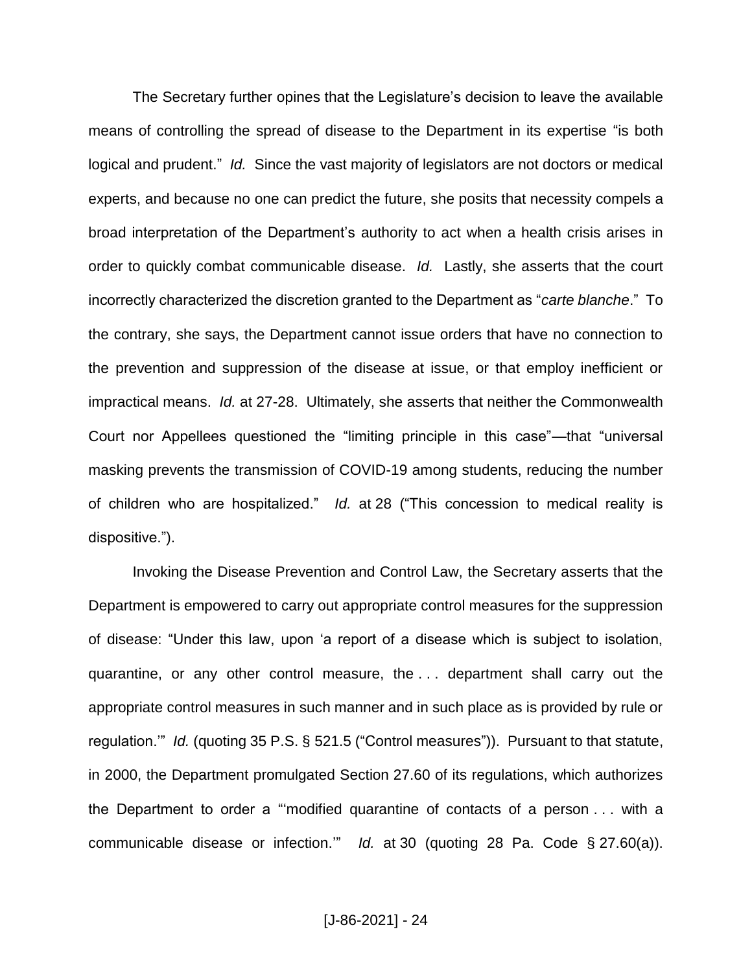The Secretary further opines that the Legislature's decision to leave the available means of controlling the spread of disease to the Department in its expertise "is both logical and prudent." *Id.* Since the vast majority of legislators are not doctors or medical experts, and because no one can predict the future, she posits that necessity compels a broad interpretation of the Department's authority to act when a health crisis arises in order to quickly combat communicable disease. *Id.* Lastly, she asserts that the court incorrectly characterized the discretion granted to the Department as "*carte blanche*." To the contrary, she says, the Department cannot issue orders that have no connection to the prevention and suppression of the disease at issue, or that employ inefficient or impractical means. *Id.* at 27-28. Ultimately, she asserts that neither the Commonwealth Court nor Appellees questioned the "limiting principle in this case"—that "universal masking prevents the transmission of COVID-19 among students, reducing the number of children who are hospitalized." *Id.* at 28 ("This concession to medical reality is dispositive.").

Invoking the Disease Prevention and Control Law, the Secretary asserts that the Department is empowered to carry out appropriate control measures for the suppression of disease: "Under this law, upon 'a report of a disease which is subject to isolation, quarantine, or any other control measure, the . . . department shall carry out the appropriate control measures in such manner and in such place as is provided by rule or regulation.'" *Id.* (quoting 35 P.S. § 521.5 ("Control measures")). Pursuant to that statute, in 2000, the Department promulgated Section 27.60 of its regulations, which authorizes the Department to order a "'modified quarantine of contacts of a person . . . with a communicable disease or infection.'" *Id.* at 30 (quoting 28 Pa. Code § 27.60(a)).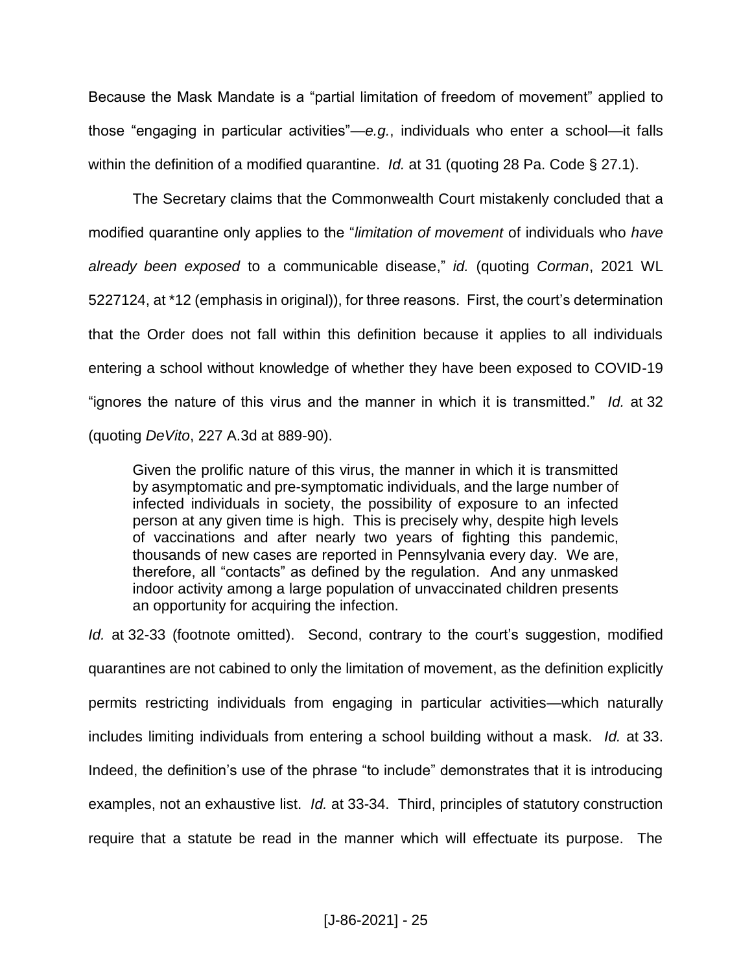Because the Mask Mandate is a "partial limitation of freedom of movement" applied to those "engaging in particular activities"—*e.g.*, individuals who enter a school—it falls within the definition of a modified quarantine. *Id.* at 31 (quoting 28 Pa. Code § 27.1).

The Secretary claims that the Commonwealth Court mistakenly concluded that a modified quarantine only applies to the "*limitation of movement* of individuals who *have already been exposed* to a communicable disease," *id.* (quoting *Corman*, 2021 WL 5227124, at \*12 (emphasis in original)), for three reasons. First, the court's determination that the Order does not fall within this definition because it applies to all individuals entering a school without knowledge of whether they have been exposed to COVID-19 "ignores the nature of this virus and the manner in which it is transmitted." *Id.* at 32 (quoting *DeVito*, 227 A.3d at 889-90).

Given the prolific nature of this virus, the manner in which it is transmitted by asymptomatic and pre-symptomatic individuals, and the large number of infected individuals in society, the possibility of exposure to an infected person at any given time is high. This is precisely why, despite high levels of vaccinations and after nearly two years of fighting this pandemic, thousands of new cases are reported in Pennsylvania every day. We are, therefore, all "contacts" as defined by the regulation. And any unmasked indoor activity among a large population of unvaccinated children presents an opportunity for acquiring the infection.

*Id.* at 32-33 (footnote omitted). Second, contrary to the court's suggestion, modified quarantines are not cabined to only the limitation of movement, as the definition explicitly permits restricting individuals from engaging in particular activities—which naturally includes limiting individuals from entering a school building without a mask. *Id.* at 33. Indeed, the definition's use of the phrase "to include" demonstrates that it is introducing examples, not an exhaustive list. *Id.* at 33-34. Third, principles of statutory construction require that a statute be read in the manner which will effectuate its purpose. The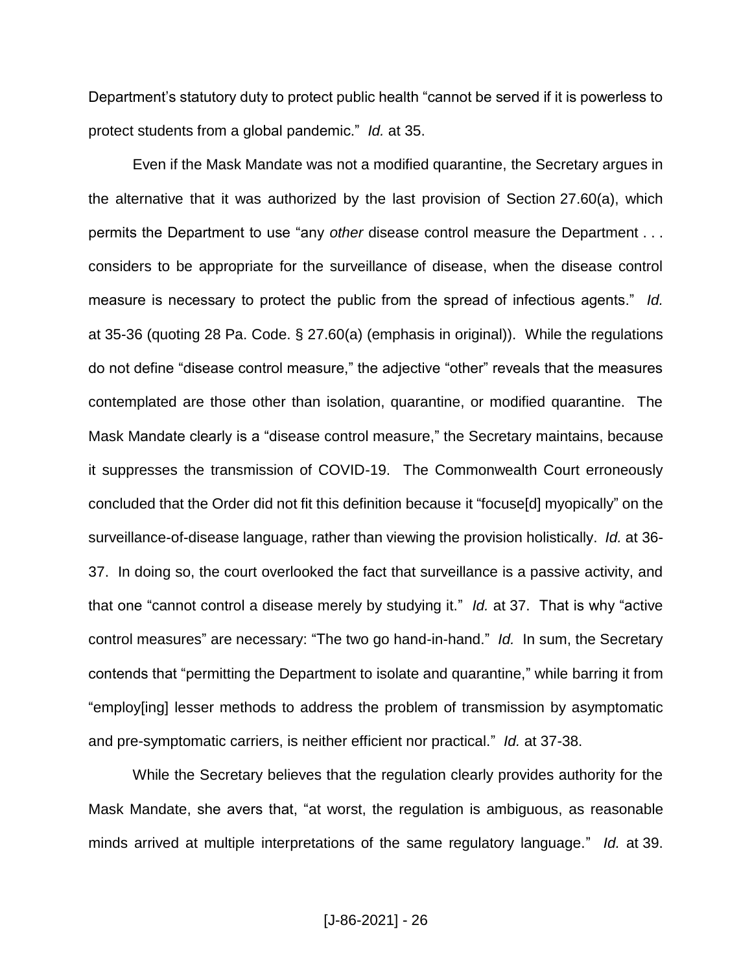Department's statutory duty to protect public health "cannot be served if it is powerless to protect students from a global pandemic." *Id.* at 35.

Even if the Mask Mandate was not a modified quarantine, the Secretary argues in the alternative that it was authorized by the last provision of Section 27.60(a), which permits the Department to use "any *other* disease control measure the Department . . . considers to be appropriate for the surveillance of disease, when the disease control measure is necessary to protect the public from the spread of infectious agents." *Id.* at 35-36 (quoting 28 Pa. Code. § 27.60(a) (emphasis in original)). While the regulations do not define "disease control measure," the adjective "other" reveals that the measures contemplated are those other than isolation, quarantine, or modified quarantine. The Mask Mandate clearly is a "disease control measure," the Secretary maintains, because it suppresses the transmission of COVID-19. The Commonwealth Court erroneously concluded that the Order did not fit this definition because it "focuse[d] myopically" on the surveillance-of-disease language, rather than viewing the provision holistically. *Id.* at 36- 37. In doing so, the court overlooked the fact that surveillance is a passive activity, and that one "cannot control a disease merely by studying it." *Id.* at 37. That is why "active control measures" are necessary: "The two go hand-in-hand." *Id.* In sum, the Secretary contends that "permitting the Department to isolate and quarantine," while barring it from "employ[ing] lesser methods to address the problem of transmission by asymptomatic and pre-symptomatic carriers, is neither efficient nor practical." *Id.* at 37-38.

While the Secretary believes that the regulation clearly provides authority for the Mask Mandate, she avers that, "at worst, the regulation is ambiguous, as reasonable minds arrived at multiple interpretations of the same regulatory language." *Id.* at 39.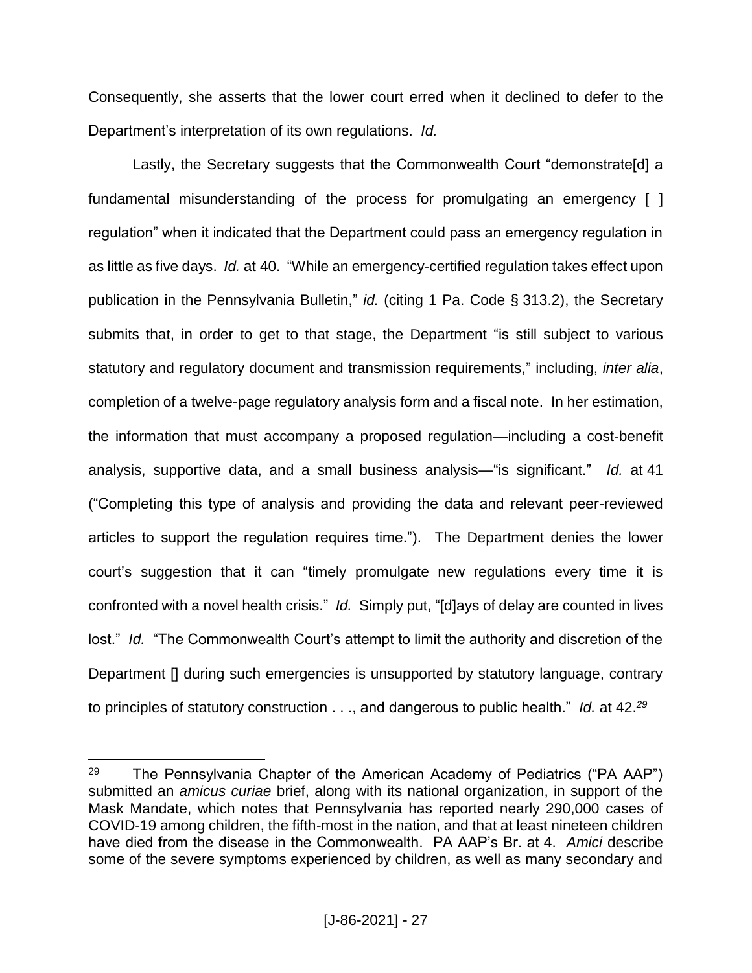Consequently, she asserts that the lower court erred when it declined to defer to the Department's interpretation of its own regulations. *Id.*

Lastly, the Secretary suggests that the Commonwealth Court "demonstrate[d] a fundamental misunderstanding of the process for promulgating an emergency [ ] regulation" when it indicated that the Department could pass an emergency regulation in as little as five days. *Id.* at 40. "While an emergency-certified regulation takes effect upon publication in the Pennsylvania Bulletin," *id.* (citing 1 Pa. Code § 313.2), the Secretary submits that, in order to get to that stage, the Department "is still subject to various statutory and regulatory document and transmission requirements," including, *inter alia*, completion of a twelve-page regulatory analysis form and a fiscal note. In her estimation, the information that must accompany a proposed regulation—including a cost-benefit analysis, supportive data, and a small business analysis—"is significant." *Id.* at 41 ("Completing this type of analysis and providing the data and relevant peer-reviewed articles to support the regulation requires time."). The Department denies the lower court's suggestion that it can "timely promulgate new regulations every time it is confronted with a novel health crisis." *Id.* Simply put, "[d]ays of delay are counted in lives lost." *Id.* "The Commonwealth Court's attempt to limit the authority and discretion of the Department [] during such emergencies is unsupported by statutory language, contrary to principles of statutory construction . . ., and dangerous to public health." *Id.* at 42. *29*

<sup>&</sup>lt;sup>29</sup> The Pennsylvania Chapter of the American Academy of Pediatrics ("PA AAP") submitted an *amicus curiae* brief, along with its national organization, in support of the Mask Mandate, which notes that Pennsylvania has reported nearly 290,000 cases of COVID-19 among children, the fifth-most in the nation, and that at least nineteen children have died from the disease in the Commonwealth. PA AAP's Br. at 4. *Amici* describe some of the severe symptoms experienced by children, as well as many secondary and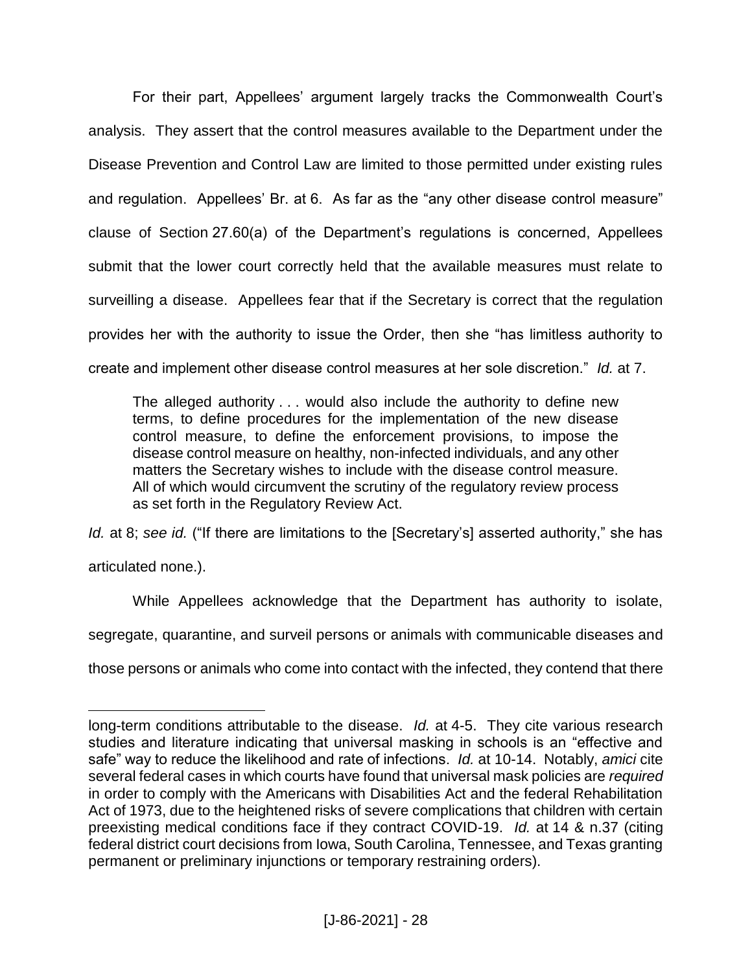For their part, Appellees' argument largely tracks the Commonwealth Court's analysis. They assert that the control measures available to the Department under the Disease Prevention and Control Law are limited to those permitted under existing rules and regulation. Appellees' Br. at 6. As far as the "any other disease control measure" clause of Section 27.60(a) of the Department's regulations is concerned, Appellees submit that the lower court correctly held that the available measures must relate to surveilling a disease. Appellees fear that if the Secretary is correct that the regulation provides her with the authority to issue the Order, then she "has limitless authority to create and implement other disease control measures at her sole discretion." *Id.* at 7.

The alleged authority . . . would also include the authority to define new terms, to define procedures for the implementation of the new disease control measure, to define the enforcement provisions, to impose the disease control measure on healthy, non-infected individuals, and any other matters the Secretary wishes to include with the disease control measure. All of which would circumvent the scrutiny of the regulatory review process as set forth in the Regulatory Review Act.

*Id.* at 8; see *id.* ("If there are limitations to the [Secretary's] asserted authority," she has

articulated none.).

 $\overline{a}$ 

While Appellees acknowledge that the Department has authority to isolate,

segregate, quarantine, and surveil persons or animals with communicable diseases and

those persons or animals who come into contact with the infected, they contend that there

long-term conditions attributable to the disease. *Id.* at 4-5. They cite various research studies and literature indicating that universal masking in schools is an "effective and safe" way to reduce the likelihood and rate of infections. *Id.* at 10-14. Notably, *amici* cite several federal cases in which courts have found that universal mask policies are *required* in order to comply with the Americans with Disabilities Act and the federal Rehabilitation Act of 1973, due to the heightened risks of severe complications that children with certain preexisting medical conditions face if they contract COVID-19. *Id.* at 14 & n.37 (citing federal district court decisions from Iowa, South Carolina, Tennessee, and Texas granting permanent or preliminary injunctions or temporary restraining orders).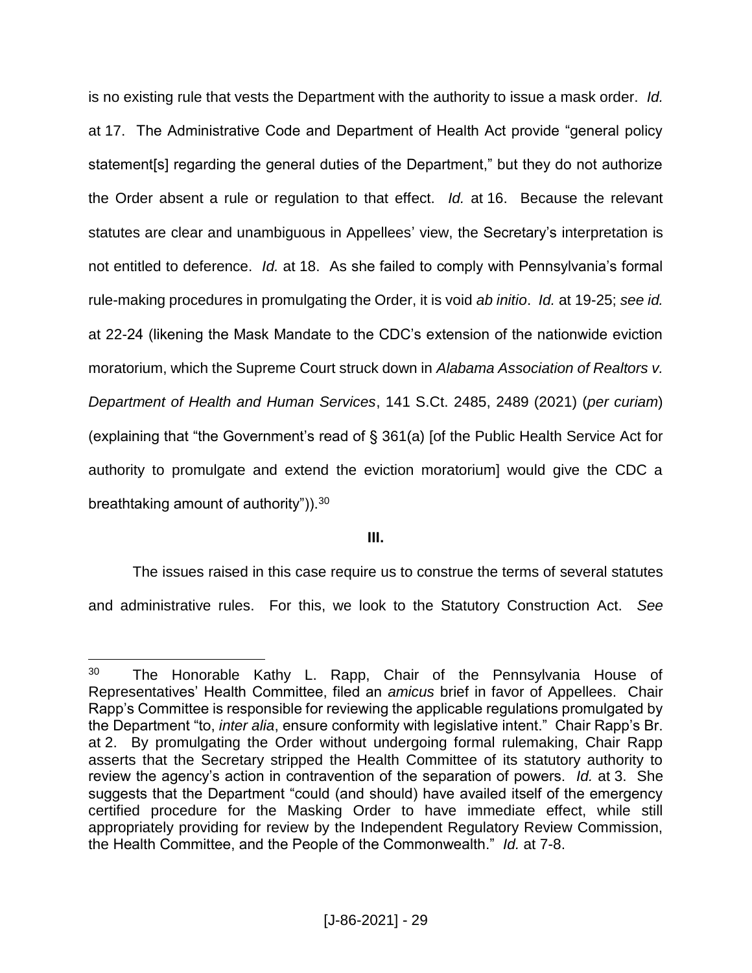is no existing rule that vests the Department with the authority to issue a mask order. *Id.* at 17. The Administrative Code and Department of Health Act provide "general policy statement[s] regarding the general duties of the Department," but they do not authorize the Order absent a rule or regulation to that effect. *Id.* at 16. Because the relevant statutes are clear and unambiguous in Appellees' view, the Secretary's interpretation is not entitled to deference. *Id.* at 18. As she failed to comply with Pennsylvania's formal rule-making procedures in promulgating the Order, it is void *ab initio*. *Id.* at 19-25; *see id.* at 22-24 (likening the Mask Mandate to the CDC's extension of the nationwide eviction moratorium, which the Supreme Court struck down in *Alabama Association of Realtors v. Department of Health and Human Services*, 141 S.Ct. 2485, 2489 (2021) (*per curiam*) (explaining that "the Government's read of § 361(a) [of the Public Health Service Act for authority to promulgate and extend the eviction moratorium] would give the CDC a breathtaking amount of authority")).<sup>30</sup>

# **III.**

The issues raised in this case require us to construe the terms of several statutes and administrative rules. For this, we look to the Statutory Construction Act. *See* 

<sup>&</sup>lt;sup>30</sup> The Honorable Kathy L. Rapp, Chair of the Pennsylvania House of Representatives' Health Committee, filed an *amicus* brief in favor of Appellees. Chair Rapp's Committee is responsible for reviewing the applicable regulations promulgated by the Department "to, *inter alia*, ensure conformity with legislative intent." Chair Rapp's Br. at 2. By promulgating the Order without undergoing formal rulemaking, Chair Rapp asserts that the Secretary stripped the Health Committee of its statutory authority to review the agency's action in contravention of the separation of powers. *Id.* at 3. She suggests that the Department "could (and should) have availed itself of the emergency certified procedure for the Masking Order to have immediate effect, while still appropriately providing for review by the Independent Regulatory Review Commission, the Health Committee, and the People of the Commonwealth." *Id.* at 7-8.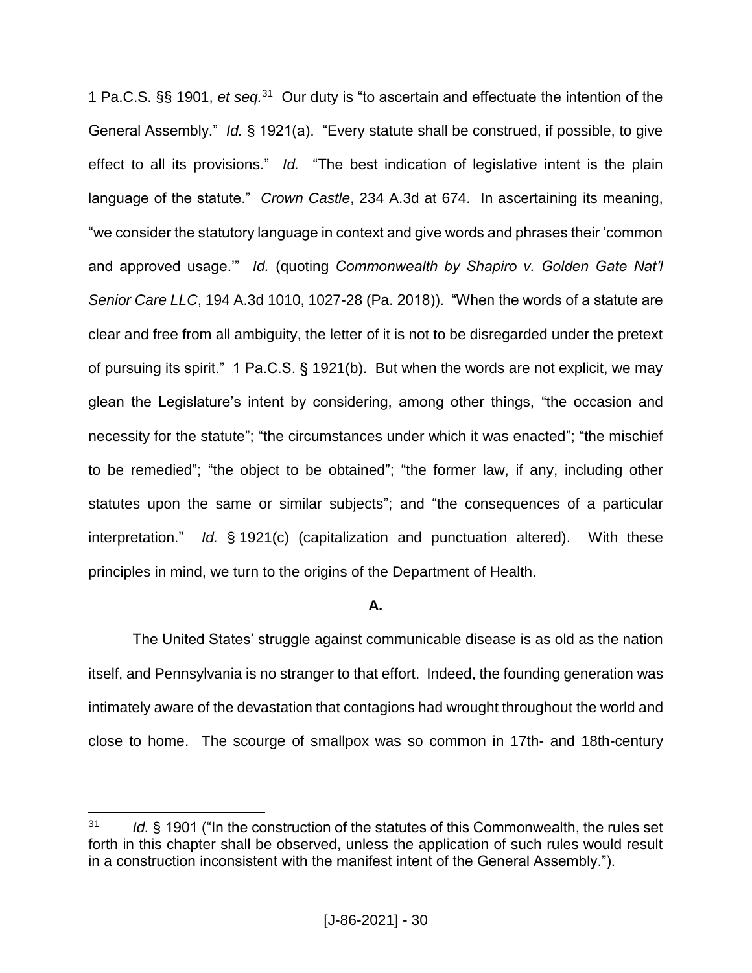1 Pa.C.S. §§ 1901, *et seq.*<sup>31</sup> Our duty is "to ascertain and effectuate the intention of the General Assembly." *Id.* § 1921(a). "Every statute shall be construed, if possible, to give effect to all its provisions." *Id.* "The best indication of legislative intent is the plain language of the statute." *Crown Castle*, 234 A.3d at 674. In ascertaining its meaning, "we consider the statutory language in context and give words and phrases their 'common and approved usage.'" *Id.* (quoting *Commonwealth by Shapiro v. Golden Gate Nat'l Senior Care LLC*, 194 A.3d 1010, 1027-28 (Pa. 2018)). "When the words of a statute are clear and free from all ambiguity, the letter of it is not to be disregarded under the pretext of pursuing its spirit." 1 Pa.C.S. § 1921(b). But when the words are not explicit, we may glean the Legislature's intent by considering, among other things, "the occasion and necessity for the statute"; "the circumstances under which it was enacted"; "the mischief to be remedied"; "the object to be obtained"; "the former law, if any, including other statutes upon the same or similar subjects"; and "the consequences of a particular interpretation." *Id.* § 1921(c) (capitalization and punctuation altered). With these principles in mind, we turn to the origins of the Department of Health.

#### **A.**

The United States' struggle against communicable disease is as old as the nation itself, and Pennsylvania is no stranger to that effort. Indeed, the founding generation was intimately aware of the devastation that contagions had wrought throughout the world and close to home. The scourge of smallpox was so common in 17th- and 18th-century

<sup>31</sup> *Id.* § 1901 ("In the construction of the statutes of this Commonwealth, the rules set forth in this chapter shall be observed, unless the application of such rules would result in a construction inconsistent with the manifest intent of the General Assembly.").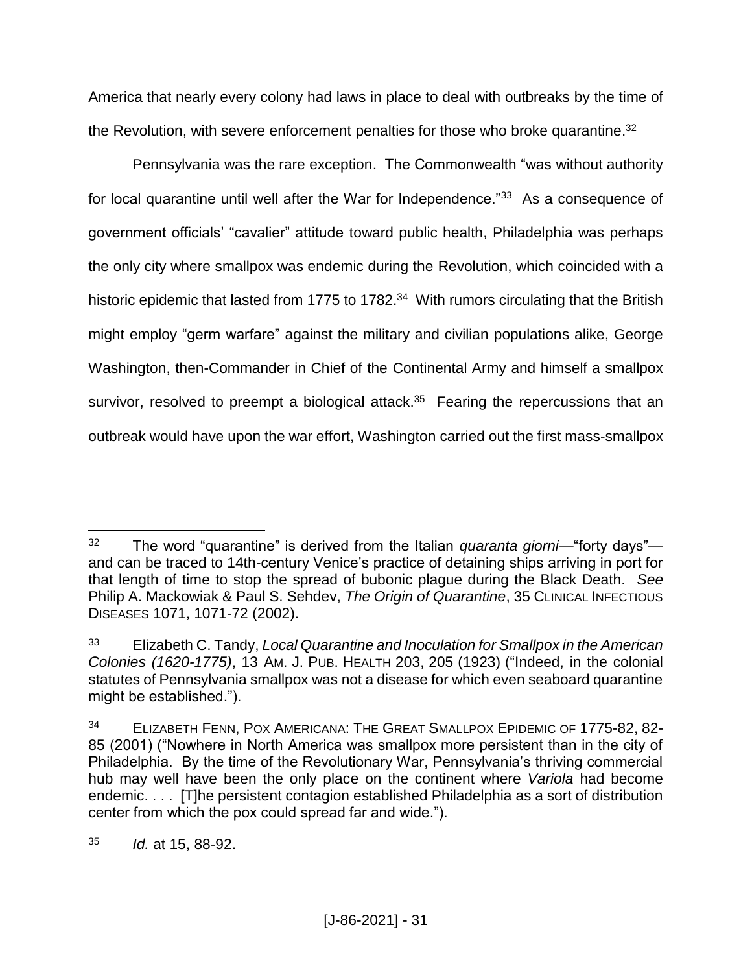America that nearly every colony had laws in place to deal with outbreaks by the time of the Revolution, with severe enforcement penalties for those who broke quarantine.<sup>32</sup>

Pennsylvania was the rare exception. The Commonwealth "was without authority for local quarantine until well after the War for Independence."<sup>33</sup> As a consequence of government officials' "cavalier" attitude toward public health, Philadelphia was perhaps the only city where smallpox was endemic during the Revolution, which coincided with a historic epidemic that lasted from 1775 to 1782.<sup>34</sup> With rumors circulating that the British might employ "germ warfare" against the military and civilian populations alike, George Washington, then-Commander in Chief of the Continental Army and himself a smallpox survivor, resolved to preempt a biological attack.<sup>35</sup> Fearing the repercussions that an outbreak would have upon the war effort, Washington carried out the first mass-smallpox

<sup>32</sup> The word "quarantine" is derived from the Italian *quaranta giorni*—"forty days" and can be traced to 14th-century Venice's practice of detaining ships arriving in port for that length of time to stop the spread of bubonic plague during the Black Death. *See* Philip A. Mackowiak & Paul S. Sehdev, *The Origin of Quarantine*, 35 CLINICAL INFECTIOUS DISEASES 1071, 1071-72 (2002).

<sup>33</sup> Elizabeth C. Tandy, *Local Quarantine and Inoculation for Smallpox in the American Colonies (1620-1775)*, 13 AM. J. PUB. HEALTH 203, 205 (1923) ("Indeed, in the colonial statutes of Pennsylvania smallpox was not a disease for which even seaboard quarantine might be established.").

<sup>34</sup> ELIZABETH FENN, POX AMERICANA: THE GREAT SMALLPOX EPIDEMIC OF 1775-82, 82- 85 (2001) ("Nowhere in North America was smallpox more persistent than in the city of Philadelphia. By the time of the Revolutionary War, Pennsylvania's thriving commercial hub may well have been the only place on the continent where *Variola* had become endemic. . . . [T]he persistent contagion established Philadelphia as a sort of distribution center from which the pox could spread far and wide.").

<sup>35</sup> *Id.* at 15, 88-92.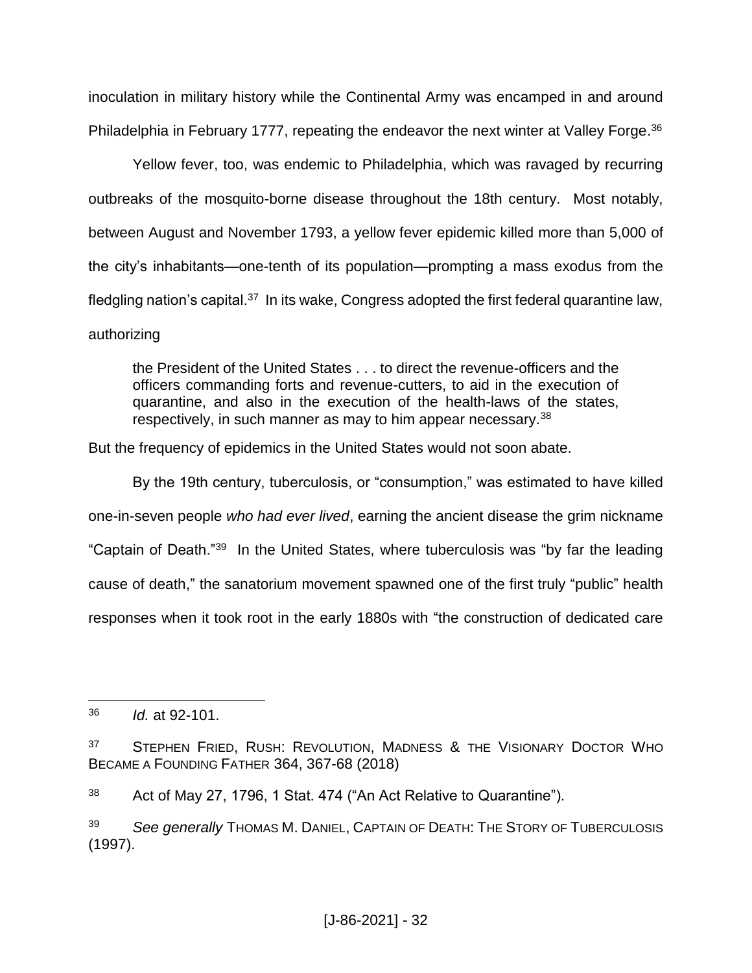inoculation in military history while the Continental Army was encamped in and around Philadelphia in February 1777, repeating the endeavor the next winter at Valley Forge.<sup>36</sup>

Yellow fever, too, was endemic to Philadelphia, which was ravaged by recurring outbreaks of the mosquito-borne disease throughout the 18th century. Most notably, between August and November 1793, a yellow fever epidemic killed more than 5,000 of the city's inhabitants—one-tenth of its population—prompting a mass exodus from the fledgling nation's capital.<sup>37</sup> In its wake, Congress adopted the first federal quarantine law, authorizing

the President of the United States . . . to direct the revenue-officers and the officers commanding forts and revenue-cutters, to aid in the execution of quarantine, and also in the execution of the health-laws of the states, respectively, in such manner as may to him appear necessary.<sup>38</sup>

But the frequency of epidemics in the United States would not soon abate.

By the 19th century, tuberculosis, or "consumption," was estimated to have killed one-in-seven people *who had ever lived*, earning the ancient disease the grim nickname "Captain of Death."<sup>39</sup> In the United States, where tuberculosis was "by far the leading cause of death," the sanatorium movement spawned one of the first truly "public" health responses when it took root in the early 1880s with "the construction of dedicated care

<sup>36</sup> *Id.* at 92-101.

<sup>&</sup>lt;sup>37</sup> STEPHEN FRIED, RUSH: REVOLUTION, MADNESS & THE VISIONARY DOCTOR WHO BECAME A FOUNDING FATHER 364, 367-68 (2018)

<sup>38</sup> Act of May 27, 1796, 1 Stat. 474 ("An Act Relative to Quarantine").

<sup>39</sup> *See generally* THOMAS M. DANIEL, CAPTAIN OF DEATH: THE STORY OF TUBERCULOSIS (1997).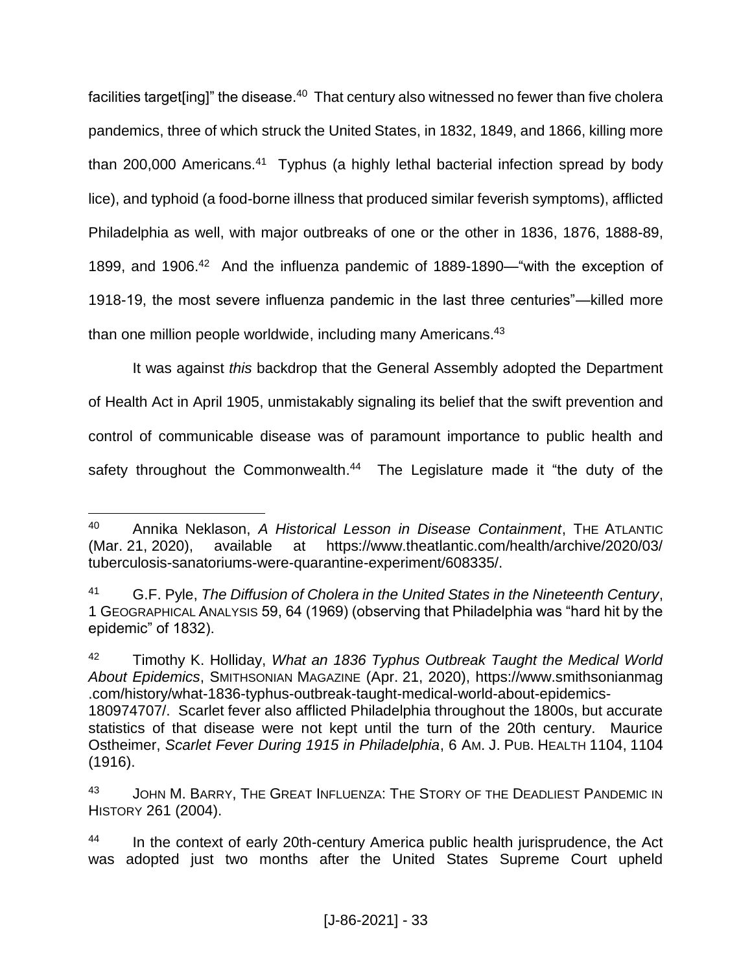facilities target[ing]" the disease.<sup>40</sup> That century also witnessed no fewer than five cholera pandemics, three of which struck the United States, in 1832, 1849, and 1866, killing more than 200,000 Americans.<sup>41</sup> Typhus (a highly lethal bacterial infection spread by body lice), and typhoid (a food-borne illness that produced similar feverish symptoms), afflicted Philadelphia as well, with major outbreaks of one or the other in 1836, 1876, 1888-89, 1899, and 1906.<sup>42</sup> And the influenza pandemic of 1889-1890—"with the exception of 1918-19, the most severe influenza pandemic in the last three centuries"—killed more than one million people worldwide, including many Americans.<sup>43</sup>

It was against *this* backdrop that the General Assembly adopted the Department of Health Act in April 1905, unmistakably signaling its belief that the swift prevention and control of communicable disease was of paramount importance to public health and safety throughout the Commonwealth.<sup>44</sup> The Legislature made it "the duty of the

<sup>42</sup> Timothy K. Holliday, *What an 1836 Typhus Outbreak Taught the Medical World About Epidemics*, SMITHSONIAN MAGAZINE (Apr. 21, 2020), https://www.smithsonianmag .com/history/what-1836-typhus-outbreak-taught-medical-world-about-epidemics-180974707/. Scarlet fever also afflicted Philadelphia throughout the 1800s, but accurate statistics of that disease were not kept until the turn of the 20th century. Maurice Ostheimer, *Scarlet Fever During 1915 in Philadelphia*, 6 AM. J. PUB. HEALTH 1104, 1104 (1916).

 $\overline{a}$ <sup>40</sup> Annika Neklason, *A Historical Lesson in Disease Containment*, THE ATLANTIC (Mar. 21, 2020), available at https://www.theatlantic.com/health/archive/2020/03/ tuberculosis-sanatoriums-were-quarantine-experiment/608335/.

<sup>41</sup> G.F. Pyle, *The Diffusion of Cholera in the United States in the Nineteenth Century*, 1 GEOGRAPHICAL ANALYSIS 59, 64 (1969) (observing that Philadelphia was "hard hit by the epidemic" of 1832).

<sup>43</sup> JOHN M. BARRY, THE GREAT INFLUENZA: THE STORY OF THE DEADLIEST PANDEMIC IN HISTORY 261 (2004).

<sup>&</sup>lt;sup>44</sup> In the context of early 20th-century America public health jurisprudence, the Act was adopted just two months after the United States Supreme Court upheld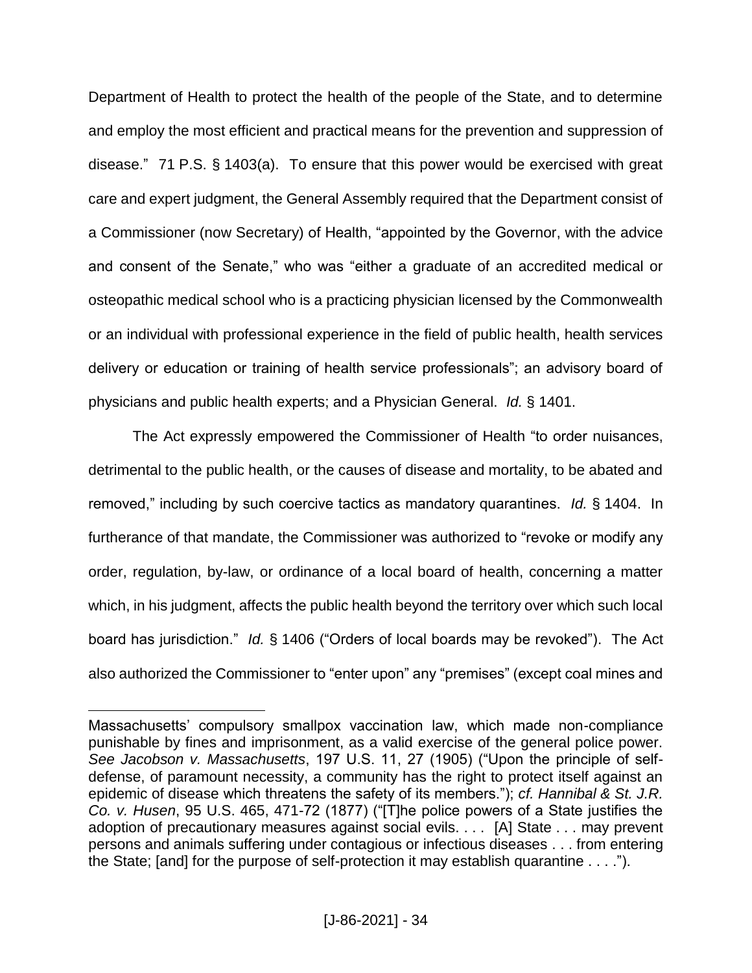Department of Health to protect the health of the people of the State, and to determine and employ the most efficient and practical means for the prevention and suppression of disease." 71 P.S. § 1403(a). To ensure that this power would be exercised with great care and expert judgment, the General Assembly required that the Department consist of a Commissioner (now Secretary) of Health, "appointed by the Governor, with the advice and consent of the Senate," who was "either a graduate of an accredited medical or osteopathic medical school who is a practicing physician licensed by the Commonwealth or an individual with professional experience in the field of public health, health services delivery or education or training of health service professionals"; an advisory board of physicians and public health experts; and a Physician General. *Id.* § 1401.

The Act expressly empowered the Commissioner of Health "to order nuisances, detrimental to the public health, or the causes of disease and mortality, to be abated and removed," including by such coercive tactics as mandatory quarantines. *Id.* § 1404. In furtherance of that mandate, the Commissioner was authorized to "revoke or modify any order, regulation, by-law, or ordinance of a local board of health, concerning a matter which, in his judgment, affects the public health beyond the territory over which such local board has jurisdiction." *Id.* § 1406 ("Orders of local boards may be revoked"). The Act also authorized the Commissioner to "enter upon" any "premises" (except coal mines and

Massachusetts' compulsory smallpox vaccination law, which made non-compliance punishable by fines and imprisonment, as a valid exercise of the general police power. *See Jacobson v. Massachusetts*, 197 U.S. 11, 27 (1905) ("Upon the principle of selfdefense, of paramount necessity, a community has the right to protect itself against an epidemic of disease which threatens the safety of its members."); *cf. Hannibal & St. J.R. Co. v. Husen*, 95 U.S. 465, 471-72 (1877) ("[T]he police powers of a State justifies the adoption of precautionary measures against social evils. . . . [A] State . . . may prevent persons and animals suffering under contagious or infectious diseases . . . from entering the State; [and] for the purpose of self-protection it may establish quarantine . . . .").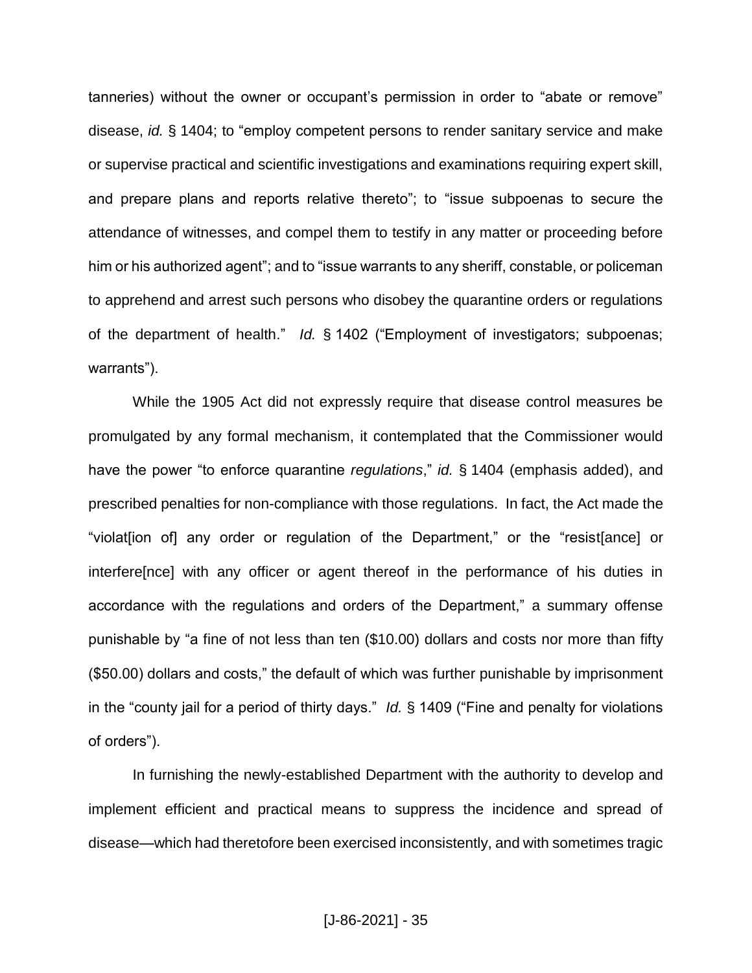tanneries) without the owner or occupant's permission in order to "abate or remove" disease, *id.* § 1404; to "employ competent persons to render sanitary service and make or supervise practical and scientific investigations and examinations requiring expert skill, and prepare plans and reports relative thereto"; to "issue subpoenas to secure the attendance of witnesses, and compel them to testify in any matter or proceeding before him or his authorized agent"; and to "issue warrants to any sheriff, constable, or policeman to apprehend and arrest such persons who disobey the quarantine orders or regulations of the department of health." *Id.* § 1402 ("Employment of investigators; subpoenas; warrants").

While the 1905 Act did not expressly require that disease control measures be promulgated by any formal mechanism, it contemplated that the Commissioner would have the power "to enforce quarantine *regulations*," *id.* § 1404 (emphasis added), and prescribed penalties for non-compliance with those regulations. In fact, the Act made the "violat[ion of] any order or regulation of the Department," or the "resist[ance] or interfere[nce] with any officer or agent thereof in the performance of his duties in accordance with the regulations and orders of the Department," a summary offense punishable by "a fine of not less than ten (\$10.00) dollars and costs nor more than fifty (\$50.00) dollars and costs," the default of which was further punishable by imprisonment in the "county jail for a period of thirty days." *Id.* § 1409 ("Fine and penalty for violations of orders").

In furnishing the newly-established Department with the authority to develop and implement efficient and practical means to suppress the incidence and spread of disease—which had theretofore been exercised inconsistently, and with sometimes tragic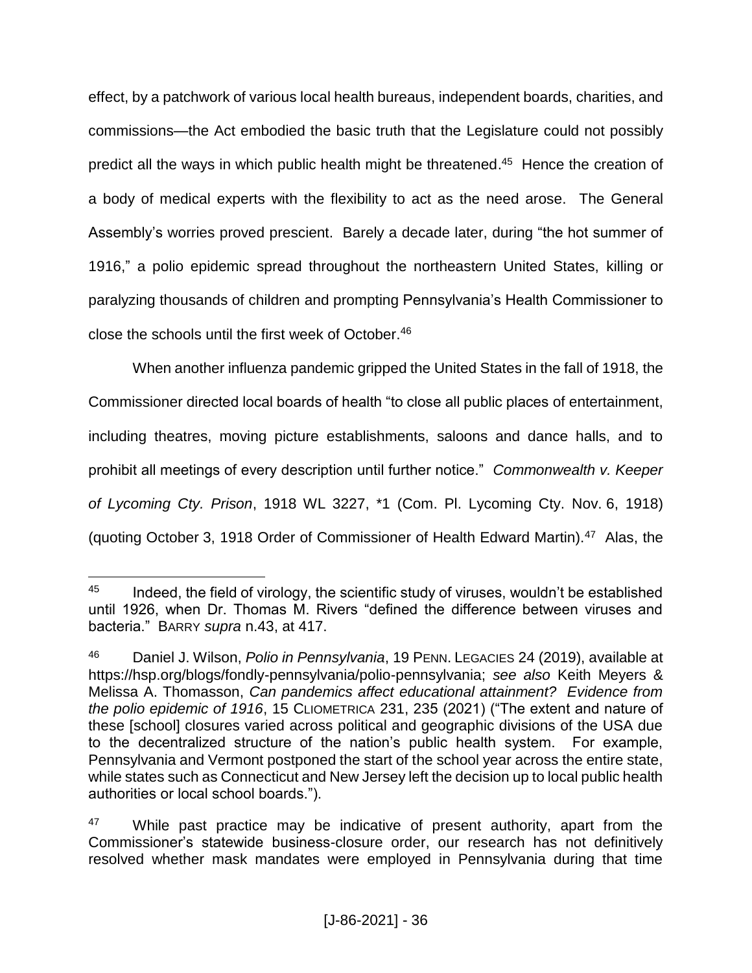effect, by a patchwork of various local health bureaus, independent boards, charities, and commissions—the Act embodied the basic truth that the Legislature could not possibly predict all the ways in which public health might be threatened.<sup>45</sup> Hence the creation of a body of medical experts with the flexibility to act as the need arose. The General Assembly's worries proved prescient. Barely a decade later, during "the hot summer of 1916," a polio epidemic spread throughout the northeastern United States, killing or paralyzing thousands of children and prompting Pennsylvania's Health Commissioner to close the schools until the first week of October. 46

When another influenza pandemic gripped the United States in the fall of 1918, the Commissioner directed local boards of health "to close all public places of entertainment, including theatres, moving picture establishments, saloons and dance halls, and to prohibit all meetings of every description until further notice." *Commonwealth v. Keeper of Lycoming Cty. Prison*, 1918 WL 3227, \*1 (Com. Pl. Lycoming Cty. Nov. 6, 1918) (quoting October 3, 1918 Order of Commissioner of Health Edward Martin).<sup>47</sup> Alas, the

 $\overline{a}$  $45$  Indeed, the field of virology, the scientific study of viruses, wouldn't be established until 1926, when Dr. Thomas M. Rivers "defined the difference between viruses and bacteria." BARRY *supra* n.43, at 417.

<sup>46</sup> Daniel J. Wilson, *Polio in Pennsylvania*, 19 PENN. LEGACIES 24 (2019), available at https://hsp.org/blogs/fondly-pennsylvania/polio-pennsylvania; *see also* Keith Meyers & Melissa A. Thomasson, *Can pandemics affect educational attainment? Evidence from the polio epidemic of 1916*, 15 CLIOMETRICA 231, 235 (2021) ("The extent and nature of these [school] closures varied across political and geographic divisions of the USA due to the decentralized structure of the nation's public health system. For example, Pennsylvania and Vermont postponed the start of the school year across the entire state, while states such as Connecticut and New Jersey left the decision up to local public health authorities or local school boards.").

 $47$  While past practice may be indicative of present authority, apart from the Commissioner's statewide business-closure order, our research has not definitively resolved whether mask mandates were employed in Pennsylvania during that time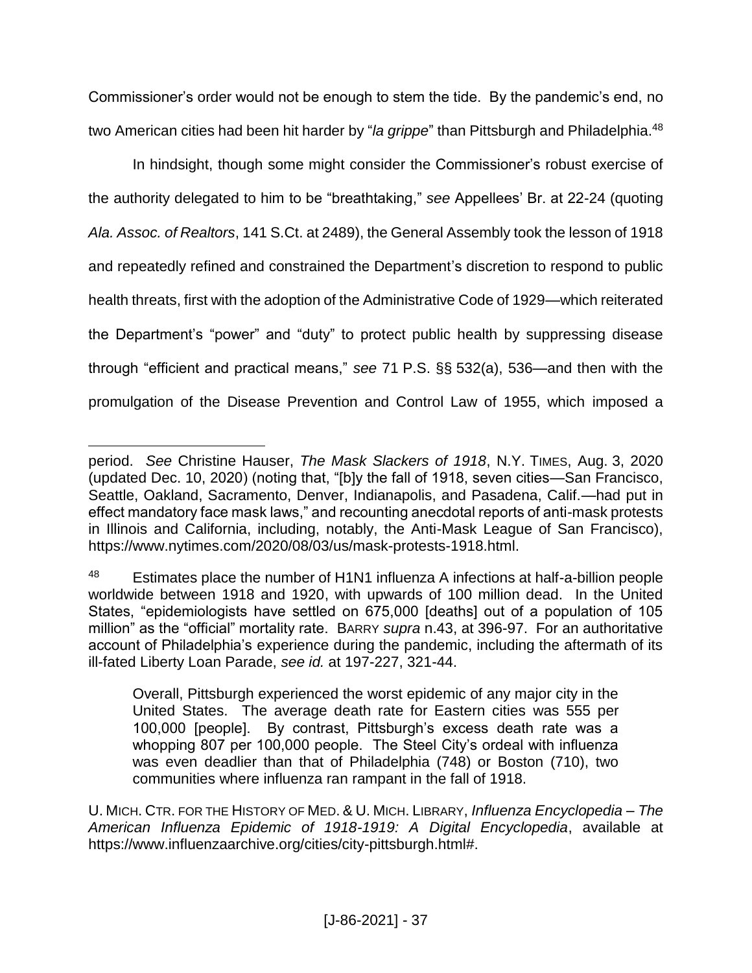Commissioner's order would not be enough to stem the tide. By the pandemic's end, no two American cities had been hit harder by "*la grippe*" than Pittsburgh and Philadelphia. 48

In hindsight, though some might consider the Commissioner's robust exercise of the authority delegated to him to be "breathtaking," *see* Appellees' Br. at 22-24 (quoting *Ala. Assoc. of Realtors*, 141 S.Ct. at 2489), the General Assembly took the lesson of 1918 and repeatedly refined and constrained the Department's discretion to respond to public health threats, first with the adoption of the Administrative Code of 1929—which reiterated the Department's "power" and "duty" to protect public health by suppressing disease through "efficient and practical means," *see* 71 P.S. §§ 532(a), 536—and then with the promulgation of the Disease Prevention and Control Law of 1955, which imposed a

 $\overline{a}$ 

Overall, Pittsburgh experienced the worst epidemic of any major city in the United States. The average death rate for Eastern cities was 555 per 100,000 [people]. By contrast, Pittsburgh's excess death rate was a whopping 807 per 100,000 people. The Steel City's ordeal with influenza was even deadlier than that of Philadelphia (748) or Boston (710), two communities where influenza ran rampant in the fall of 1918.

period. *See* Christine Hauser, *The Mask Slackers of 1918*, N.Y. TIMES, Aug. 3, 2020 (updated Dec. 10, 2020) (noting that, "[b]y the fall of 1918, seven cities—San Francisco, Seattle, Oakland, Sacramento, Denver, Indianapolis, and Pasadena, Calif.—had put in effect mandatory face mask laws," and recounting anecdotal reports of anti-mask protests in Illinois and California, including, notably, the Anti-Mask League of San Francisco), https://www.nytimes.com/2020/08/03/us/mask-protests-1918.html.

<sup>48</sup> Estimates place the number of H1N1 influenza A infections at half-a-billion people worldwide between 1918 and 1920, with upwards of 100 million dead. In the United States, "epidemiologists have settled on 675,000 [deaths] out of a population of 105 million" as the "official" mortality rate. BARRY *supra* n.43, at 396-97. For an authoritative account of Philadelphia's experience during the pandemic, including the aftermath of its ill-fated Liberty Loan Parade, *see id.* at 197-227, 321-44.

U. MICH. CTR. FOR THE HISTORY OF MED. & U. MICH. LIBRARY, *Influenza Encyclopedia – The American Influenza Epidemic of 1918-1919: A Digital Encyclopedia*, available at https://www.influenzaarchive.org/cities/city-pittsburgh.html#.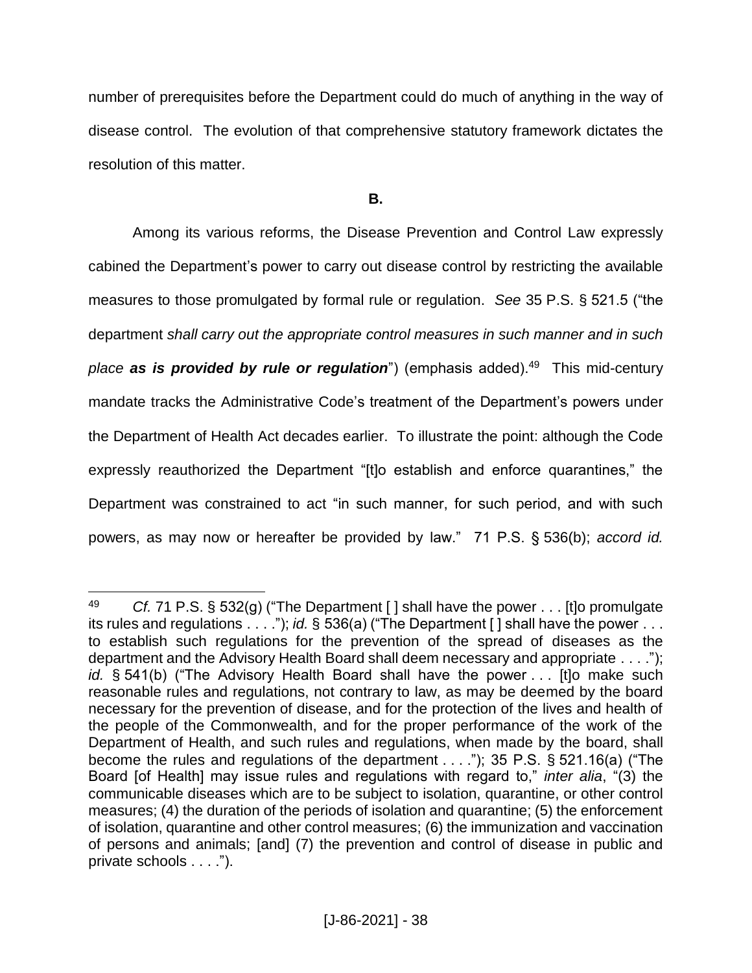number of prerequisites before the Department could do much of anything in the way of disease control. The evolution of that comprehensive statutory framework dictates the resolution of this matter.

**B.**

Among its various reforms, the Disease Prevention and Control Law expressly cabined the Department's power to carry out disease control by restricting the available measures to those promulgated by formal rule or regulation. *See* 35 P.S. § 521.5 ("the department *shall carry out the appropriate control measures in such manner and in such place as is provided by rule or regulation*") (emphasis added). 49 This mid-century mandate tracks the Administrative Code's treatment of the Department's powers under the Department of Health Act decades earlier. To illustrate the point: although the Code expressly reauthorized the Department "[t]o establish and enforce quarantines," the Department was constrained to act "in such manner, for such period, and with such powers, as may now or hereafter be provided by law." 71 P.S. § 536(b); *accord id.*

 $\overline{a}$ <sup>49</sup> *Cf.* 71 P.S. § 532(g) ("The Department [ ] shall have the power . . . [t]o promulgate its rules and regulations  $\ldots$  "); *id.* § 536(a) ("The Department [] shall have the power . . . to establish such regulations for the prevention of the spread of diseases as the department and the Advisory Health Board shall deem necessary and appropriate . . . ."); *id.* § 541(b) ("The Advisory Health Board shall have the power . . . [t]o make such reasonable rules and regulations, not contrary to law, as may be deemed by the board necessary for the prevention of disease, and for the protection of the lives and health of the people of the Commonwealth, and for the proper performance of the work of the Department of Health, and such rules and regulations, when made by the board, shall become the rules and regulations of the department . . . ."); 35 P.S. § 521.16(a) ("The Board [of Health] may issue rules and regulations with regard to," *inter alia*, "(3) the communicable diseases which are to be subject to isolation, quarantine, or other control measures; (4) the duration of the periods of isolation and quarantine; (5) the enforcement of isolation, quarantine and other control measures; (6) the immunization and vaccination of persons and animals; [and] (7) the prevention and control of disease in public and private schools . . . .").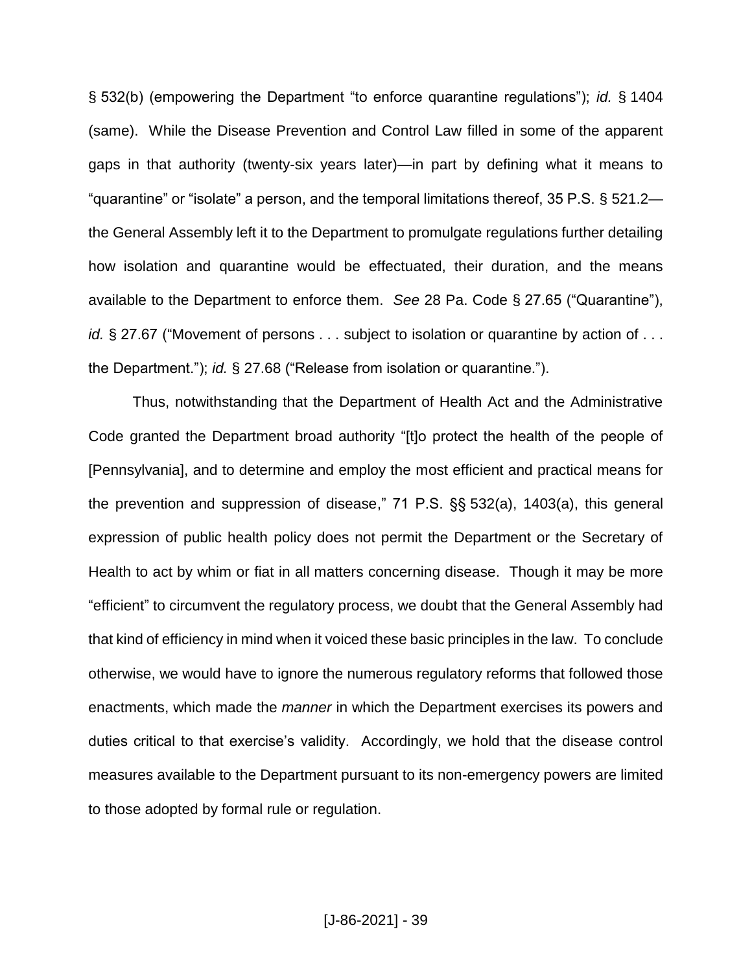§ 532(b) (empowering the Department "to enforce quarantine regulations"); *id.* § 1404 (same). While the Disease Prevention and Control Law filled in some of the apparent gaps in that authority (twenty-six years later)—in part by defining what it means to "quarantine" or "isolate" a person, and the temporal limitations thereof, 35 P.S. § 521.2 the General Assembly left it to the Department to promulgate regulations further detailing how isolation and quarantine would be effectuated, their duration, and the means available to the Department to enforce them. *See* 28 Pa. Code § 27.65 ("Quarantine"), *id.* § 27.67 ("Movement of persons . . . subject to isolation or quarantine by action of . . . the Department."); *id.* § 27.68 ("Release from isolation or quarantine.").

Thus, notwithstanding that the Department of Health Act and the Administrative Code granted the Department broad authority "[t]o protect the health of the people of [Pennsylvania], and to determine and employ the most efficient and practical means for the prevention and suppression of disease," 71 P.S. §§ 532(a), 1403(a), this general expression of public health policy does not permit the Department or the Secretary of Health to act by whim or fiat in all matters concerning disease. Though it may be more "efficient" to circumvent the regulatory process, we doubt that the General Assembly had that kind of efficiency in mind when it voiced these basic principles in the law. To conclude otherwise, we would have to ignore the numerous regulatory reforms that followed those enactments, which made the *manner* in which the Department exercises its powers and duties critical to that exercise's validity. Accordingly, we hold that the disease control measures available to the Department pursuant to its non-emergency powers are limited to those adopted by formal rule or regulation.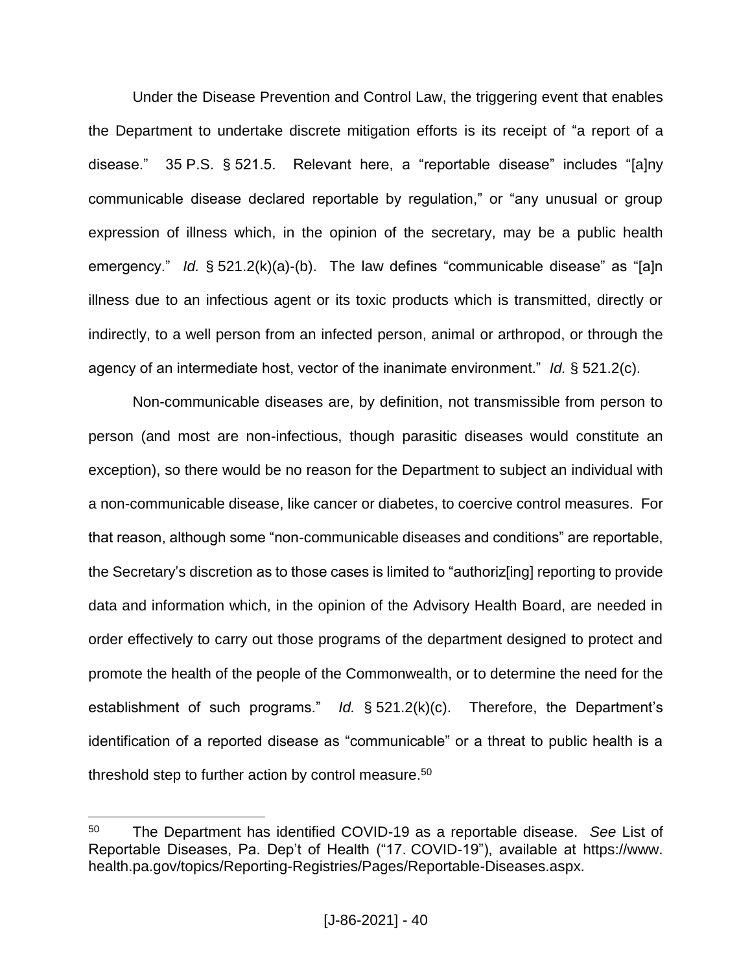Under the Disease Prevention and Control Law, the triggering event that enables the Department to undertake discrete mitigation efforts is its receipt of "a report of a disease." 35 P.S. § 521.5. Relevant here, a "reportable disease" includes "[a]ny communicable disease declared reportable by regulation," or "any unusual or group expression of illness which, in the opinion of the secretary, may be a public health emergency." *Id.* § 521.2(k)(a)-(b). The law defines "communicable disease" as "[a]n illness due to an infectious agent or its toxic products which is transmitted, directly or indirectly, to a well person from an infected person, animal or arthropod, or through the agency of an intermediate host, vector of the inanimate environment." *Id.* § 521.2(c).

Non-communicable diseases are, by definition, not transmissible from person to person (and most are non-infectious, though parasitic diseases would constitute an exception), so there would be no reason for the Department to subject an individual with a non-communicable disease, like cancer or diabetes, to coercive control measures. For that reason, although some "non-communicable diseases and conditions" are reportable, the Secretary's discretion as to those cases is limited to "authoriz[ing] reporting to provide data and information which, in the opinion of the Advisory Health Board, are needed in order effectively to carry out those programs of the department designed to protect and promote the health of the people of the Commonwealth, or to determine the need for the establishment of such programs." *Id.* § 521.2(k)(c). Therefore, the Department's identification of a reported disease as "communicable" or a threat to public health is a threshold step to further action by control measure.<sup>50</sup>

<sup>50</sup> The Department has identified COVID-19 as a reportable disease. *See* List of Reportable Diseases, Pa. Dep't of Health ("17. COVID-19"), available at https://www. health.pa.gov/topics/Reporting-Registries/Pages/Reportable-Diseases.aspx.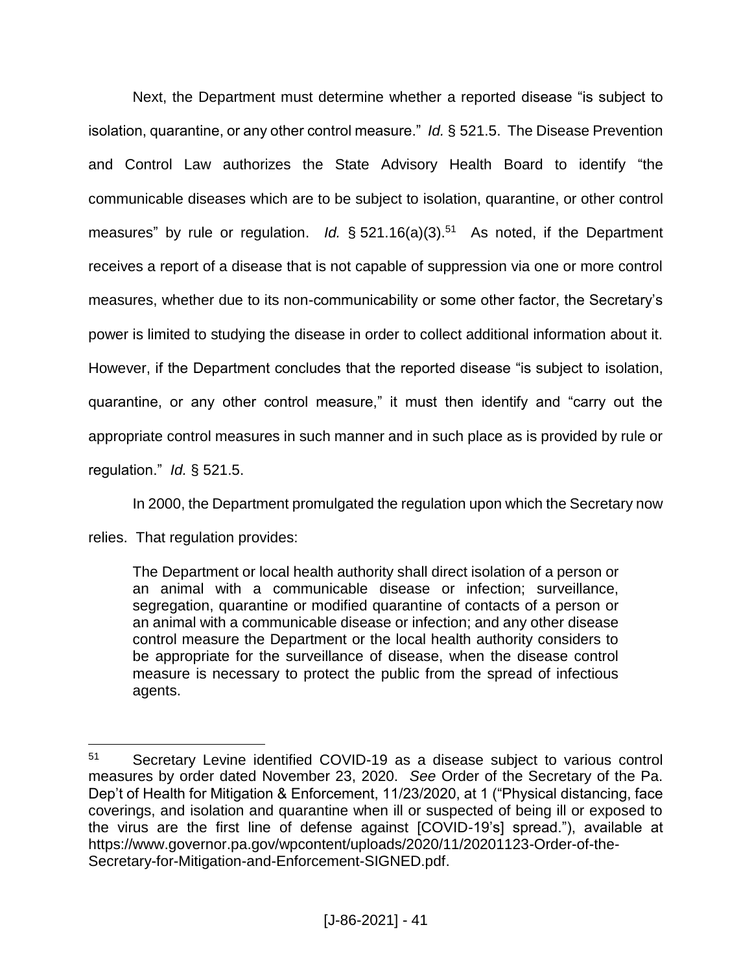Next, the Department must determine whether a reported disease "is subject to isolation, quarantine, or any other control measure." *Id.* § 521.5. The Disease Prevention and Control Law authorizes the State Advisory Health Board to identify "the communicable diseases which are to be subject to isolation, quarantine, or other control measures" by rule or regulation. *Id.* § 521.16(a)(3).<sup>51</sup> As noted, if the Department receives a report of a disease that is not capable of suppression via one or more control measures, whether due to its non-communicability or some other factor, the Secretary's power is limited to studying the disease in order to collect additional information about it. However, if the Department concludes that the reported disease "is subject to isolation, quarantine, or any other control measure," it must then identify and "carry out the appropriate control measures in such manner and in such place as is provided by rule or regulation." *Id.* § 521.5.

In 2000, the Department promulgated the regulation upon which the Secretary now

relies. That regulation provides:

 $\overline{a}$ 

The Department or local health authority shall direct isolation of a person or an animal with a communicable disease or infection; surveillance, segregation, quarantine or modified quarantine of contacts of a person or an animal with a communicable disease or infection; and any other disease control measure the Department or the local health authority considers to be appropriate for the surveillance of disease, when the disease control measure is necessary to protect the public from the spread of infectious agents.

<sup>51</sup> Secretary Levine identified COVID-19 as a disease subject to various control measures by order dated November 23, 2020. *See* Order of the Secretary of the Pa. Dep't of Health for Mitigation & Enforcement, 11/23/2020, at 1 ("Physical distancing, face coverings, and isolation and quarantine when ill or suspected of being ill or exposed to the virus are the first line of defense against [COVID-19's] spread."), available at https://www.governor.pa.gov/wpcontent/uploads/2020/11/20201123-Order-of-the-Secretary-for-Mitigation-and-Enforcement-SIGNED.pdf.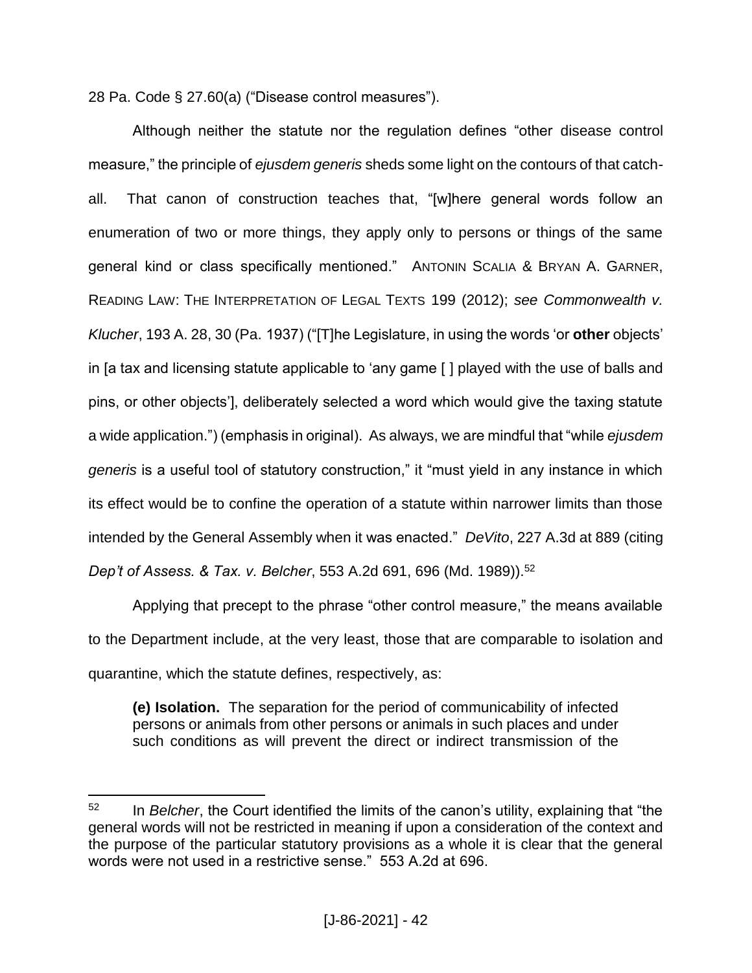28 Pa. Code § 27.60(a) ("Disease control measures").

Although neither the statute nor the regulation defines "other disease control measure," the principle of *ejusdem generis* sheds some light on the contours of that catchall. That canon of construction teaches that, "[w]here general words follow an enumeration of two or more things, they apply only to persons or things of the same general kind or class specifically mentioned." ANTONIN SCALIA & BRYAN A. GARNER, READING LAW: THE INTERPRETATION OF LEGAL TEXTS 199 (2012); *see Commonwealth v. Klucher*, 193 A. 28, 30 (Pa. 1937) ("[T]he Legislature, in using the words 'or **other** objects' in [a tax and licensing statute applicable to 'any game [ ] played with the use of balls and pins, or other objects'], deliberately selected a word which would give the taxing statute a wide application.") (emphasis in original). As always, we are mindful that "while *ejusdem generis* is a useful tool of statutory construction," it "must yield in any instance in which its effect would be to confine the operation of a statute within narrower limits than those intended by the General Assembly when it was enacted." *DeVito*, 227 A.3d at 889 (citing *Dep't of Assess. & Tax. v. Belcher, 553 A.2d 691, 696 (Md. 1989)).*<sup>52</sup>

Applying that precept to the phrase "other control measure," the means available to the Department include, at the very least, those that are comparable to isolation and quarantine, which the statute defines, respectively, as:

**(e) Isolation.** The separation for the period of communicability of infected persons or animals from other persons or animals in such places and under such conditions as will prevent the direct or indirect transmission of the

<sup>52</sup> In *Belcher*, the Court identified the limits of the canon's utility, explaining that "the general words will not be restricted in meaning if upon a consideration of the context and the purpose of the particular statutory provisions as a whole it is clear that the general words were not used in a restrictive sense." 553 A.2d at 696.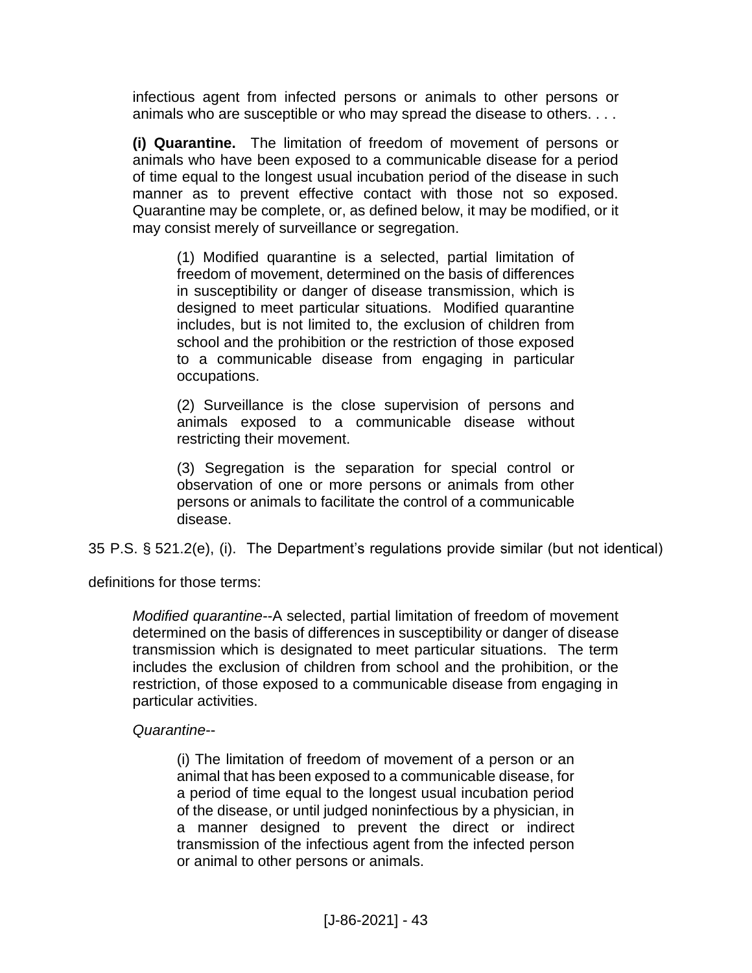infectious agent from infected persons or animals to other persons or animals who are susceptible or who may spread the disease to others. . . .

**(i) Quarantine.** The limitation of freedom of movement of persons or animals who have been exposed to a communicable disease for a period of time equal to the longest usual incubation period of the disease in such manner as to prevent effective contact with those not so exposed. Quarantine may be complete, or, as defined below, it may be modified, or it may consist merely of surveillance or segregation.

(1) Modified quarantine is a selected, partial limitation of freedom of movement, determined on the basis of differences in susceptibility or danger of disease transmission, which is designed to meet particular situations. Modified quarantine includes, but is not limited to, the exclusion of children from school and the prohibition or the restriction of those exposed to a communicable disease from engaging in particular occupations.

(2) Surveillance is the close supervision of persons and animals exposed to a communicable disease without restricting their movement.

(3) Segregation is the separation for special control or observation of one or more persons or animals from other persons or animals to facilitate the control of a communicable disease.

35 P.S. § 521.2(e), (i). The Department's regulations provide similar (but not identical)

definitions for those terms:

*Modified quarantine*--A selected, partial limitation of freedom of movement determined on the basis of differences in susceptibility or danger of disease transmission which is designated to meet particular situations. The term includes the exclusion of children from school and the prohibition, or the restriction, of those exposed to a communicable disease from engaging in particular activities.

# *Quarantine*--

(i) The limitation of freedom of movement of a person or an animal that has been exposed to a communicable disease, for a period of time equal to the longest usual incubation period of the disease, or until judged noninfectious by a physician, in a manner designed to prevent the direct or indirect transmission of the infectious agent from the infected person or animal to other persons or animals.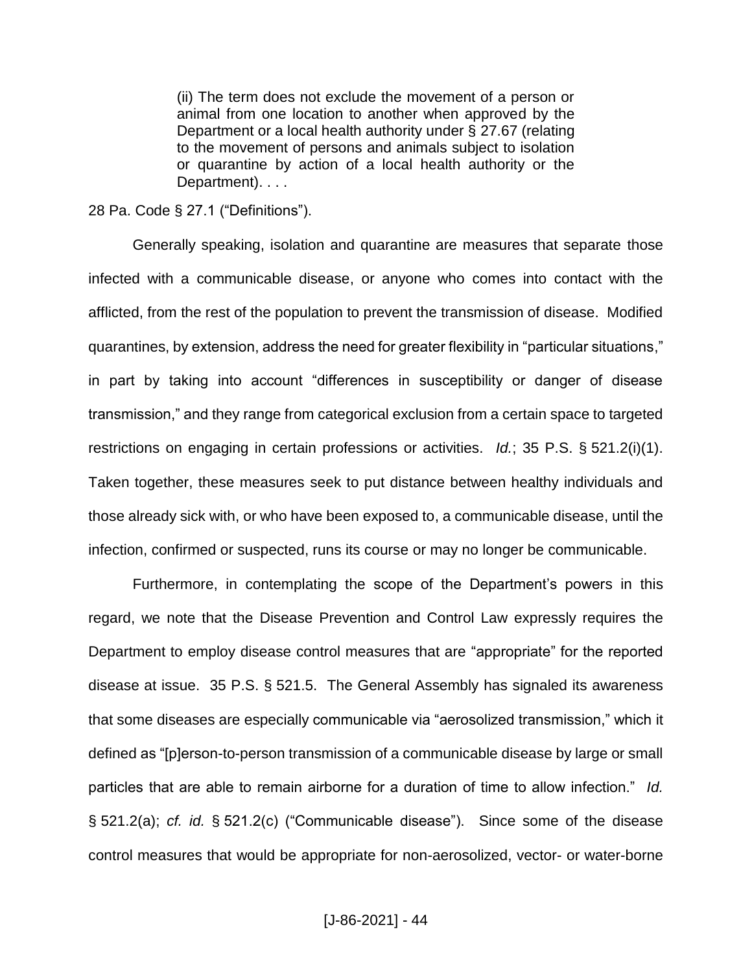(ii) The term does not exclude the movement of a person or animal from one location to another when approved by the Department or a local health authority under § 27.67 (relating to the movement of persons and animals subject to isolation or quarantine by action of a local health authority or the Department). . . .

#### 28 Pa. Code § 27.1 ("Definitions").

Generally speaking, isolation and quarantine are measures that separate those infected with a communicable disease, or anyone who comes into contact with the afflicted, from the rest of the population to prevent the transmission of disease. Modified quarantines, by extension, address the need for greater flexibility in "particular situations," in part by taking into account "differences in susceptibility or danger of disease transmission," and they range from categorical exclusion from a certain space to targeted restrictions on engaging in certain professions or activities. *Id.*; 35 P.S. § 521.2(i)(1). Taken together, these measures seek to put distance between healthy individuals and those already sick with, or who have been exposed to, a communicable disease, until the infection, confirmed or suspected, runs its course or may no longer be communicable.

Furthermore, in contemplating the scope of the Department's powers in this regard, we note that the Disease Prevention and Control Law expressly requires the Department to employ disease control measures that are "appropriate" for the reported disease at issue. 35 P.S. § 521.5. The General Assembly has signaled its awareness that some diseases are especially communicable via "aerosolized transmission," which it defined as "[p]erson-to-person transmission of a communicable disease by large or small particles that are able to remain airborne for a duration of time to allow infection." *Id.* § 521.2(a); *cf. id.* § 521.2(c) ("Communicable disease"). Since some of the disease control measures that would be appropriate for non-aerosolized, vector- or water-borne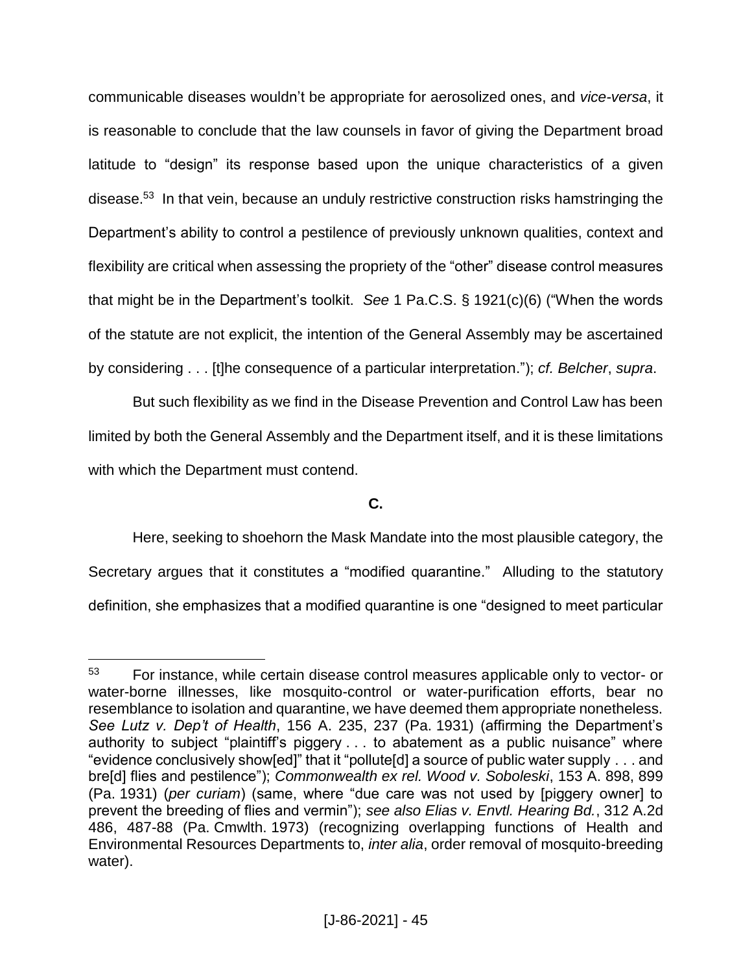communicable diseases wouldn't be appropriate for aerosolized ones, and *vice-versa*, it is reasonable to conclude that the law counsels in favor of giving the Department broad latitude to "design" its response based upon the unique characteristics of a given disease. 53 In that vein, because an unduly restrictive construction risks hamstringing the Department's ability to control a pestilence of previously unknown qualities, context and flexibility are critical when assessing the propriety of the "other" disease control measures that might be in the Department's toolkit. *See* 1 Pa.C.S. § 1921(c)(6) ("When the words of the statute are not explicit, the intention of the General Assembly may be ascertained by considering . . . [t]he consequence of a particular interpretation."); *cf. Belcher*, *supra*.

But such flexibility as we find in the Disease Prevention and Control Law has been limited by both the General Assembly and the Department itself, and it is these limitations with which the Department must contend.

# **C.**

Here, seeking to shoehorn the Mask Mandate into the most plausible category, the Secretary argues that it constitutes a "modified quarantine." Alluding to the statutory definition, she emphasizes that a modified quarantine is one "designed to meet particular

<sup>53</sup> For instance, while certain disease control measures applicable only to vector- or water-borne illnesses, like mosquito-control or water-purification efforts, bear no resemblance to isolation and quarantine, we have deemed them appropriate nonetheless. *See Lutz v. Dep't of Health*, 156 A. 235, 237 (Pa. 1931) (affirming the Department's authority to subject "plaintiff's piggery . . . to abatement as a public nuisance" where "evidence conclusively show[ed]" that it "pollute[d] a source of public water supply . . . and bre[d] flies and pestilence"); *Commonwealth ex rel. Wood v. Soboleski*, 153 A. 898, 899 (Pa. 1931) (*per curiam*) (same, where "due care was not used by [piggery owner] to prevent the breeding of flies and vermin"); *see also Elias v. Envtl. Hearing Bd.*, 312 A.2d 486, 487-88 (Pa. Cmwlth. 1973) (recognizing overlapping functions of Health and Environmental Resources Departments to, *inter alia*, order removal of mosquito-breeding water).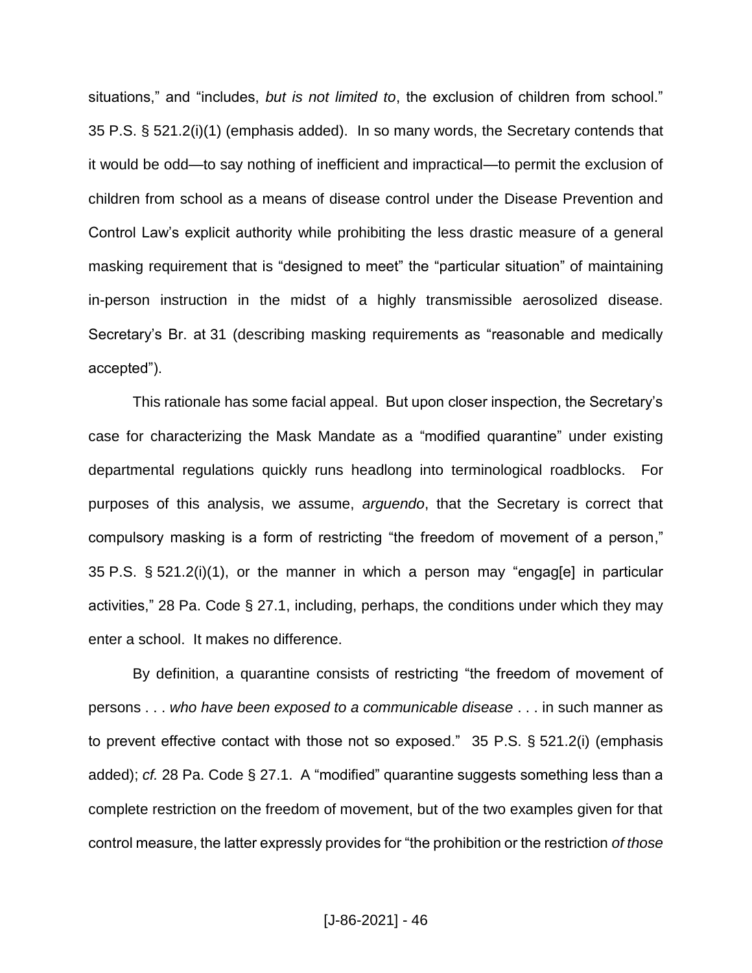situations," and "includes, *but is not limited to*, the exclusion of children from school." 35 P.S. § 521.2(i)(1) (emphasis added). In so many words, the Secretary contends that it would be odd—to say nothing of inefficient and impractical—to permit the exclusion of children from school as a means of disease control under the Disease Prevention and Control Law's explicit authority while prohibiting the less drastic measure of a general masking requirement that is "designed to meet" the "particular situation" of maintaining in-person instruction in the midst of a highly transmissible aerosolized disease. Secretary's Br. at 31 (describing masking requirements as "reasonable and medically accepted").

This rationale has some facial appeal. But upon closer inspection, the Secretary's case for characterizing the Mask Mandate as a "modified quarantine" under existing departmental regulations quickly runs headlong into terminological roadblocks. For purposes of this analysis, we assume, *arguendo*, that the Secretary is correct that compulsory masking is a form of restricting "the freedom of movement of a person," 35 P.S. § 521.2(i)(1), or the manner in which a person may "engag[e] in particular activities," 28 Pa. Code § 27.1, including, perhaps, the conditions under which they may enter a school. It makes no difference.

By definition, a quarantine consists of restricting "the freedom of movement of persons . . . *who have been exposed to a communicable disease* . . . in such manner as to prevent effective contact with those not so exposed." 35 P.S. § 521.2(i) (emphasis added); *cf.* 28 Pa. Code § 27.1. A "modified" quarantine suggests something less than a complete restriction on the freedom of movement, but of the two examples given for that control measure, the latter expressly provides for "the prohibition or the restriction *of those*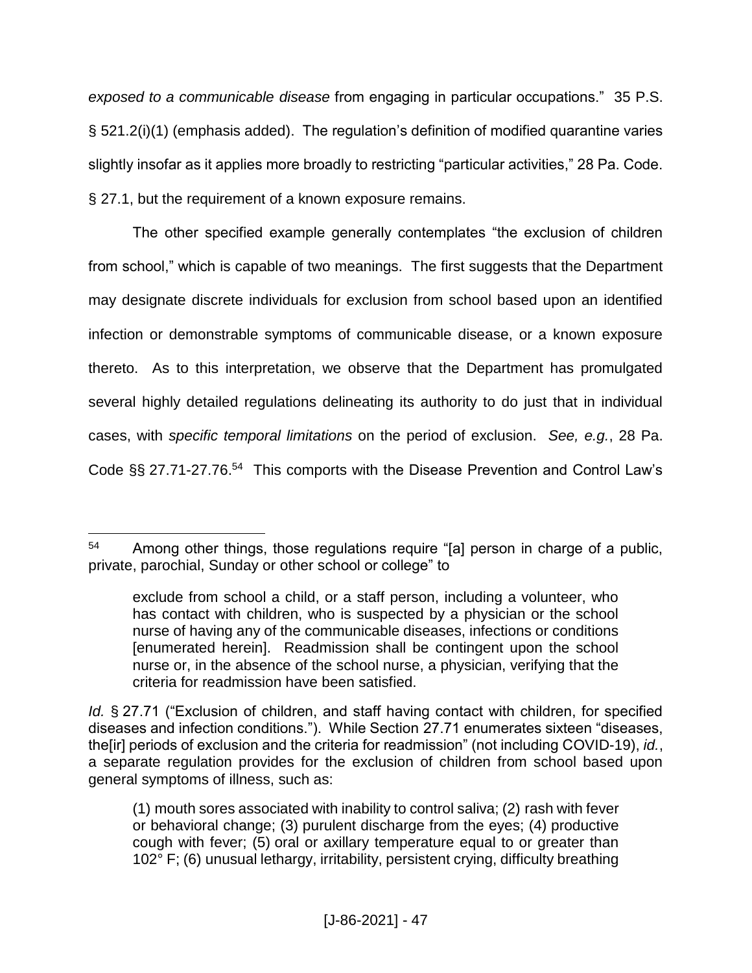*exposed to a communicable disease* from engaging in particular occupations." 35 P.S. § 521.2(i)(1) (emphasis added). The regulation's definition of modified quarantine varies slightly insofar as it applies more broadly to restricting "particular activities," 28 Pa. Code. § 27.1, but the requirement of a known exposure remains.

The other specified example generally contemplates "the exclusion of children from school," which is capable of two meanings. The first suggests that the Department may designate discrete individuals for exclusion from school based upon an identified infection or demonstrable symptoms of communicable disease, or a known exposure thereto. As to this interpretation, we observe that the Department has promulgated several highly detailed regulations delineating its authority to do just that in individual cases, with *specific temporal limitations* on the period of exclusion. *See, e.g.*, 28 Pa. Code §§ 27.71-27.76.<sup>54</sup> This comports with the Disease Prevention and Control Law's

 $\overline{a}$ <sup>54</sup> Among other things, those regulations require "[a] person in charge of a public, private, parochial, Sunday or other school or college" to

exclude from school a child, or a staff person, including a volunteer, who has contact with children, who is suspected by a physician or the school nurse of having any of the communicable diseases, infections or conditions [enumerated herein]. Readmission shall be contingent upon the school nurse or, in the absence of the school nurse, a physician, verifying that the criteria for readmission have been satisfied.

*Id.* § 27.71 ("Exclusion of children, and staff having contact with children, for specified diseases and infection conditions."). While Section 27.71 enumerates sixteen "diseases, the[ir] periods of exclusion and the criteria for readmission" (not including COVID-19), *id.*, a separate regulation provides for the exclusion of children from school based upon general symptoms of illness, such as:

<sup>(1)</sup> mouth sores associated with inability to control saliva; (2) rash with fever or behavioral change; (3) purulent discharge from the eyes; (4) productive cough with fever; (5) oral or axillary temperature equal to or greater than 102° F; (6) unusual lethargy, irritability, persistent crying, difficulty breathing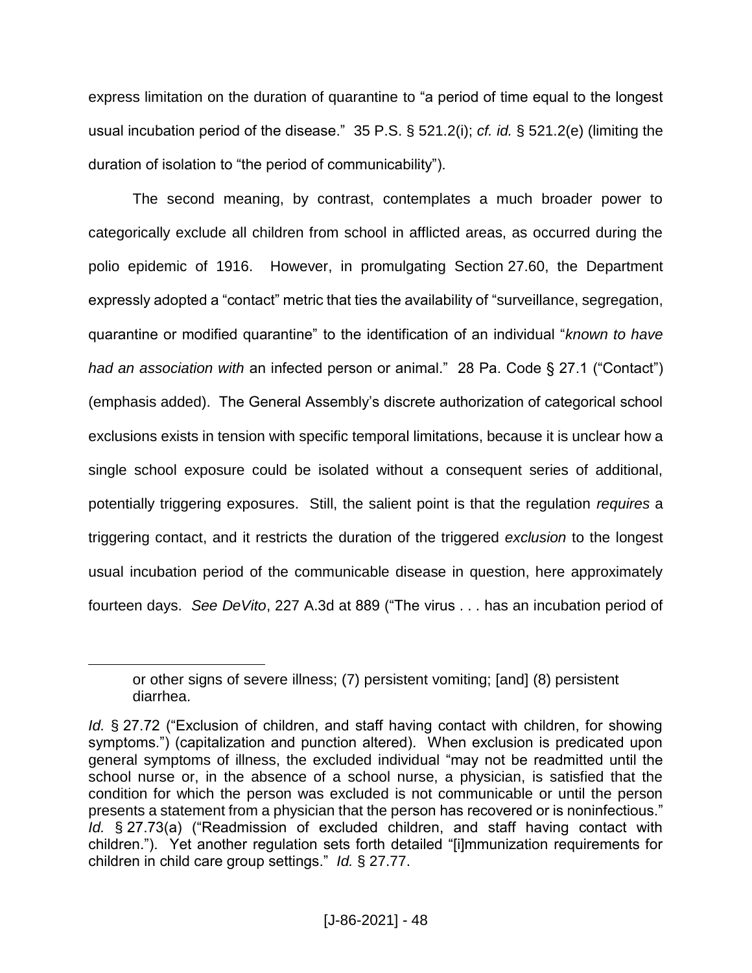express limitation on the duration of quarantine to "a period of time equal to the longest usual incubation period of the disease." 35 P.S. § 521.2(i); *cf. id.* § 521.2(e) (limiting the duration of isolation to "the period of communicability").

The second meaning, by contrast, contemplates a much broader power to categorically exclude all children from school in afflicted areas, as occurred during the polio epidemic of 1916. However, in promulgating Section 27.60, the Department expressly adopted a "contact" metric that ties the availability of "surveillance, segregation, quarantine or modified quarantine" to the identification of an individual "*known to have had an association with* an infected person or animal." 28 Pa. Code § 27.1 ("Contact") (emphasis added). The General Assembly's discrete authorization of categorical school exclusions exists in tension with specific temporal limitations, because it is unclear how a single school exposure could be isolated without a consequent series of additional, potentially triggering exposures. Still, the salient point is that the regulation *requires* a triggering contact, and it restricts the duration of the triggered *exclusion* to the longest usual incubation period of the communicable disease in question, here approximately fourteen days. *See DeVito*, 227 A.3d at 889 ("The virus . . . has an incubation period of

or other signs of severe illness; (7) persistent vomiting; [and] (8) persistent diarrhea.

*Id.* § 27.72 ("Exclusion of children, and staff having contact with children, for showing symptoms.") (capitalization and punction altered). When exclusion is predicated upon general symptoms of illness, the excluded individual "may not be readmitted until the school nurse or, in the absence of a school nurse, a physician, is satisfied that the condition for which the person was excluded is not communicable or until the person presents a statement from a physician that the person has recovered or is noninfectious." *Id.* § 27.73(a) ("Readmission of excluded children, and staff having contact with children."). Yet another regulation sets forth detailed "[i]mmunization requirements for children in child care group settings." *Id.* § 27.77.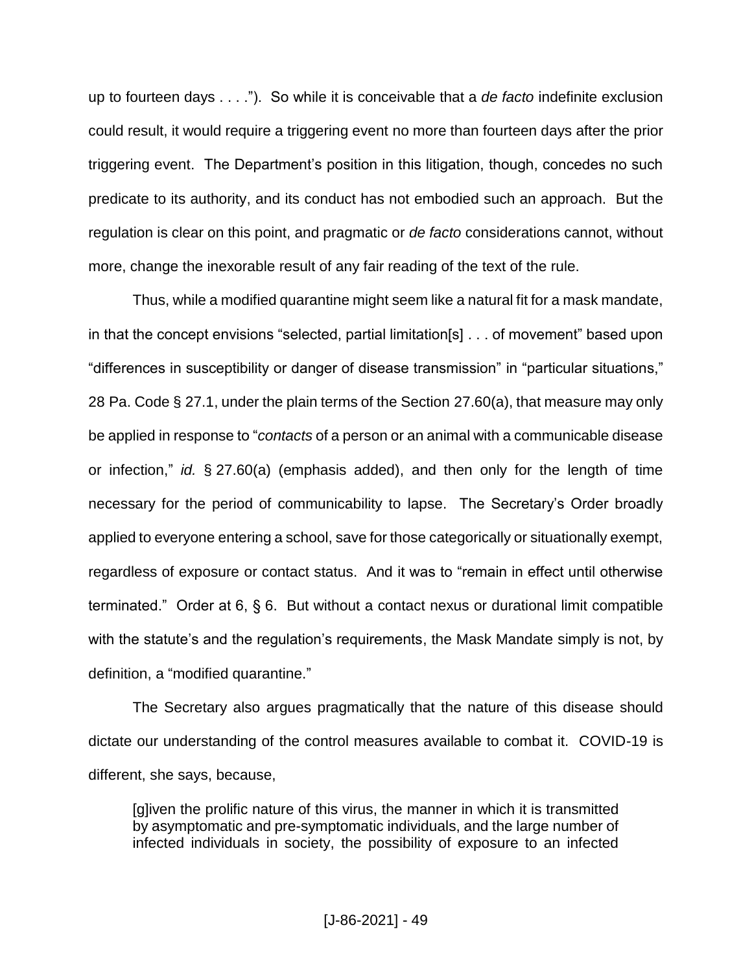up to fourteen days . . . ."). So while it is conceivable that a *de facto* indefinite exclusion could result, it would require a triggering event no more than fourteen days after the prior triggering event. The Department's position in this litigation, though, concedes no such predicate to its authority, and its conduct has not embodied such an approach. But the regulation is clear on this point, and pragmatic or *de facto* considerations cannot, without more, change the inexorable result of any fair reading of the text of the rule.

Thus, while a modified quarantine might seem like a natural fit for a mask mandate, in that the concept envisions "selected, partial limitation[s] . . . of movement" based upon "differences in susceptibility or danger of disease transmission" in "particular situations," 28 Pa. Code § 27.1, under the plain terms of the Section 27.60(a), that measure may only be applied in response to "*contacts* of a person or an animal with a communicable disease or infection," *id.* § 27.60(a) (emphasis added), and then only for the length of time necessary for the period of communicability to lapse. The Secretary's Order broadly applied to everyone entering a school, save for those categorically or situationally exempt, regardless of exposure or contact status. And it was to "remain in effect until otherwise terminated." Order at 6, § 6. But without a contact nexus or durational limit compatible with the statute's and the regulation's requirements, the Mask Mandate simply is not, by definition, a "modified quarantine."

The Secretary also argues pragmatically that the nature of this disease should dictate our understanding of the control measures available to combat it. COVID-19 is different, she says, because,

[g]iven the prolific nature of this virus, the manner in which it is transmitted by asymptomatic and pre-symptomatic individuals, and the large number of infected individuals in society, the possibility of exposure to an infected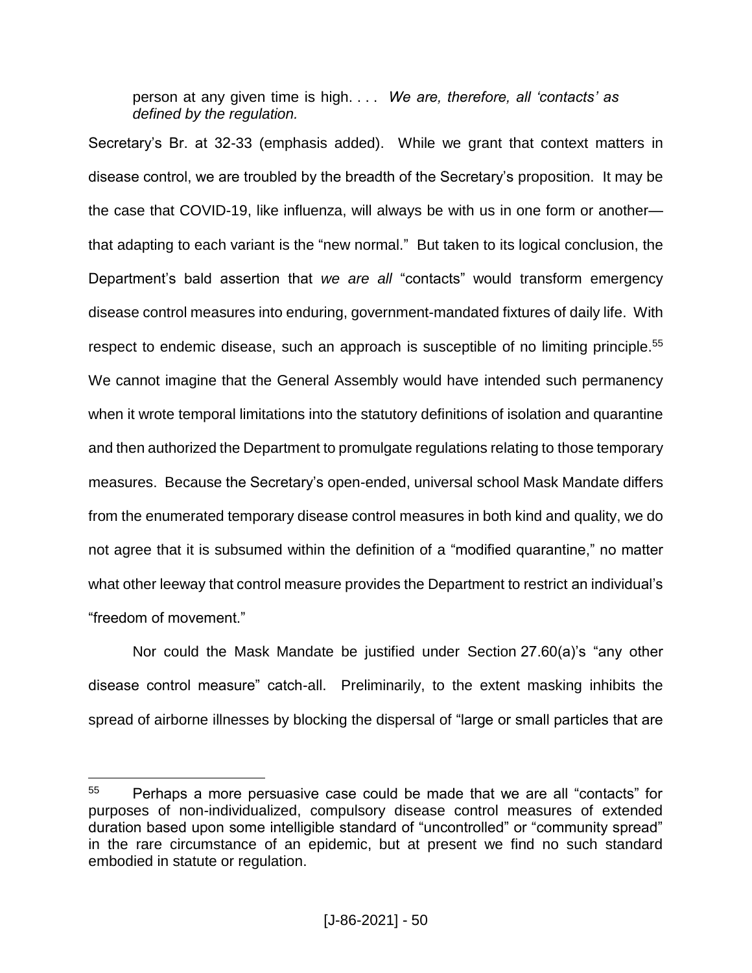person at any given time is high. . . . *We are, therefore, all 'contacts' as defined by the regulation.*

Secretary's Br. at 32-33 (emphasis added). While we grant that context matters in disease control, we are troubled by the breadth of the Secretary's proposition. It may be the case that COVID-19, like influenza, will always be with us in one form or another that adapting to each variant is the "new normal." But taken to its logical conclusion, the Department's bald assertion that *we are all* "contacts" would transform emergency disease control measures into enduring, government-mandated fixtures of daily life. With respect to endemic disease, such an approach is susceptible of no limiting principle.<sup>55</sup> We cannot imagine that the General Assembly would have intended such permanency when it wrote temporal limitations into the statutory definitions of isolation and quarantine and then authorized the Department to promulgate regulations relating to those temporary measures. Because the Secretary's open-ended, universal school Mask Mandate differs from the enumerated temporary disease control measures in both kind and quality, we do not agree that it is subsumed within the definition of a "modified quarantine," no matter what other leeway that control measure provides the Department to restrict an individual's "freedom of movement."

Nor could the Mask Mandate be justified under Section 27.60(a)'s "any other disease control measure" catch-all. Preliminarily, to the extent masking inhibits the spread of airborne illnesses by blocking the dispersal of "large or small particles that are

<sup>55</sup> Perhaps a more persuasive case could be made that we are all "contacts" for purposes of non-individualized, compulsory disease control measures of extended duration based upon some intelligible standard of "uncontrolled" or "community spread" in the rare circumstance of an epidemic, but at present we find no such standard embodied in statute or regulation.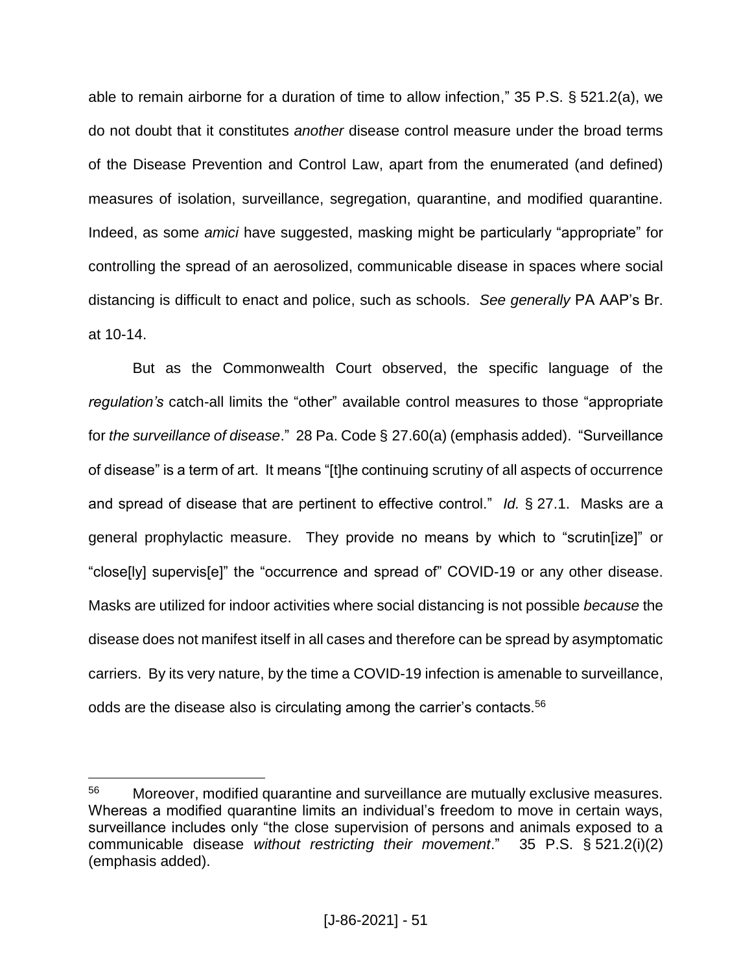able to remain airborne for a duration of time to allow infection," 35 P.S. § 521.2(a), we do not doubt that it constitutes *another* disease control measure under the broad terms of the Disease Prevention and Control Law, apart from the enumerated (and defined) measures of isolation, surveillance, segregation, quarantine, and modified quarantine. Indeed, as some *amici* have suggested, masking might be particularly "appropriate" for controlling the spread of an aerosolized, communicable disease in spaces where social distancing is difficult to enact and police, such as schools. *See generally* PA AAP's Br. at 10-14.

But as the Commonwealth Court observed, the specific language of the *regulation's* catch-all limits the "other" available control measures to those "appropriate for *the surveillance of disease*." 28 Pa. Code § 27.60(a) (emphasis added). "Surveillance of disease" is a term of art. It means "[t]he continuing scrutiny of all aspects of occurrence and spread of disease that are pertinent to effective control." *Id.* § 27.1. Masks are a general prophylactic measure. They provide no means by which to "scrutin[ize]" or "close[ly] supervis[e]" the "occurrence and spread of" COVID-19 or any other disease. Masks are utilized for indoor activities where social distancing is not possible *because* the disease does not manifest itself in all cases and therefore can be spread by asymptomatic carriers. By its very nature, by the time a COVID-19 infection is amenable to surveillance, odds are the disease also is circulating among the carrier's contacts.<sup>56</sup>

<sup>&</sup>lt;sup>56</sup> Moreover, modified quarantine and surveillance are mutually exclusive measures. Whereas a modified quarantine limits an individual's freedom to move in certain ways, surveillance includes only "the close supervision of persons and animals exposed to a communicable disease *without restricting their movement*." 35 P.S. § 521.2(i)(2) (emphasis added).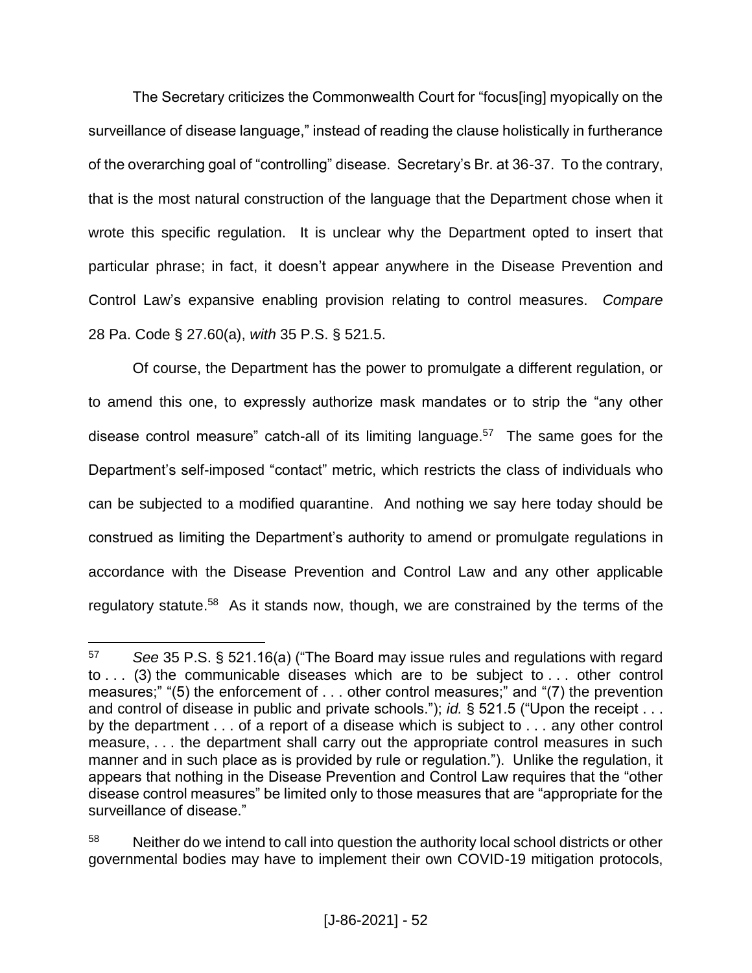The Secretary criticizes the Commonwealth Court for "focus[ing] myopically on the surveillance of disease language," instead of reading the clause holistically in furtherance of the overarching goal of "controlling" disease. Secretary's Br. at 36-37. To the contrary, that is the most natural construction of the language that the Department chose when it wrote this specific regulation. It is unclear why the Department opted to insert that particular phrase; in fact, it doesn't appear anywhere in the Disease Prevention and Control Law's expansive enabling provision relating to control measures. *Compare* 28 Pa. Code § 27.60(a), *with* 35 P.S. § 521.5.

Of course, the Department has the power to promulgate a different regulation, or to amend this one, to expressly authorize mask mandates or to strip the "any other disease control measure" catch-all of its limiting language.<sup>57</sup> The same goes for the Department's self-imposed "contact" metric, which restricts the class of individuals who can be subjected to a modified quarantine. And nothing we say here today should be construed as limiting the Department's authority to amend or promulgate regulations in accordance with the Disease Prevention and Control Law and any other applicable regulatory statute.<sup>58</sup> As it stands now, though, we are constrained by the terms of the

 $\overline{a}$ <sup>57</sup> *See* 35 P.S. § 521.16(a) ("The Board may issue rules and regulations with regard to . . . (3) the communicable diseases which are to be subject to . . . other control measures;" "(5) the enforcement of . . . other control measures;" and "(7) the prevention and control of disease in public and private schools."); *id.* § 521.5 ("Upon the receipt . . . by the department . . . of a report of a disease which is subject to . . . any other control measure, . . . the department shall carry out the appropriate control measures in such manner and in such place as is provided by rule or regulation."). Unlike the regulation, it appears that nothing in the Disease Prevention and Control Law requires that the "other disease control measures" be limited only to those measures that are "appropriate for the surveillance of disease."

<sup>58</sup> Neither do we intend to call into question the authority local school districts or other governmental bodies may have to implement their own COVID-19 mitigation protocols,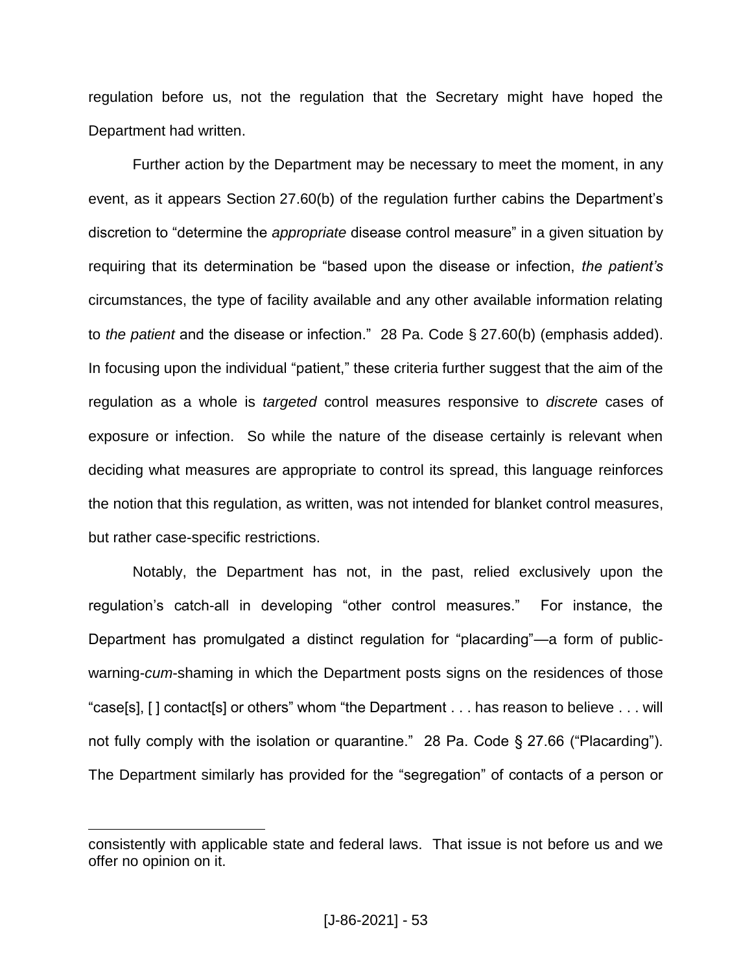regulation before us, not the regulation that the Secretary might have hoped the Department had written.

Further action by the Department may be necessary to meet the moment, in any event, as it appears Section 27.60(b) of the regulation further cabins the Department's discretion to "determine the *appropriate* disease control measure" in a given situation by requiring that its determination be "based upon the disease or infection, *the patient's* circumstances, the type of facility available and any other available information relating to *the patient* and the disease or infection." 28 Pa. Code § 27.60(b) (emphasis added). In focusing upon the individual "patient," these criteria further suggest that the aim of the regulation as a whole is *targeted* control measures responsive to *discrete* cases of exposure or infection. So while the nature of the disease certainly is relevant when deciding what measures are appropriate to control its spread, this language reinforces the notion that this regulation, as written, was not intended for blanket control measures, but rather case-specific restrictions.

Notably, the Department has not, in the past, relied exclusively upon the regulation's catch-all in developing "other control measures." For instance, the Department has promulgated a distinct regulation for "placarding"—a form of publicwarning-*cum*-shaming in which the Department posts signs on the residences of those "case[s], [ ] contact[s] or others" whom "the Department . . . has reason to believe . . . will not fully comply with the isolation or quarantine." 28 Pa. Code § 27.66 ("Placarding"). The Department similarly has provided for the "segregation" of contacts of a person or

consistently with applicable state and federal laws. That issue is not before us and we offer no opinion on it.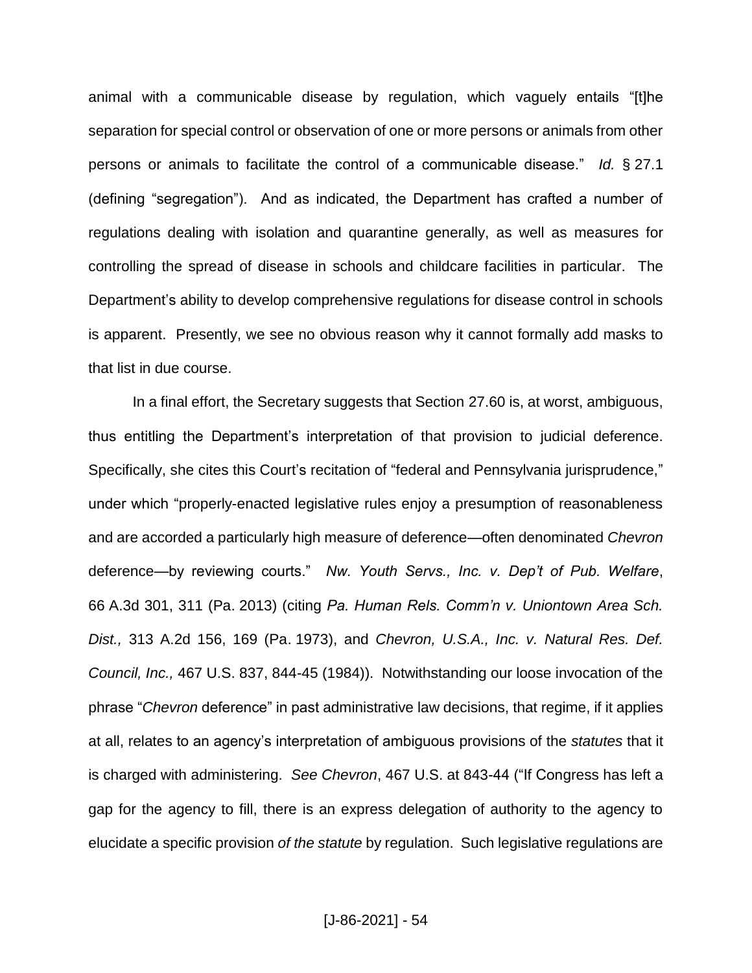animal with a communicable disease by regulation, which vaguely entails "[t]he separation for special control or observation of one or more persons or animals from other persons or animals to facilitate the control of a communicable disease." *Id.* § 27.1 (defining "segregation"). And as indicated, the Department has crafted a number of regulations dealing with isolation and quarantine generally, as well as measures for controlling the spread of disease in schools and childcare facilities in particular. The Department's ability to develop comprehensive regulations for disease control in schools is apparent. Presently, we see no obvious reason why it cannot formally add masks to that list in due course.

In a final effort, the Secretary suggests that Section 27.60 is, at worst, ambiguous, thus entitling the Department's interpretation of that provision to judicial deference. Specifically, she cites this Court's recitation of "federal and Pennsylvania jurisprudence," under which "properly-enacted legislative rules enjoy a presumption of reasonableness and are accorded a particularly high measure of deference—often denominated *Chevron* deference—by reviewing courts." *Nw. Youth Servs., Inc. v. Dep't of Pub. Welfare*, 66 A.3d 301, 311 (Pa. 2013) (citing *Pa. Human Rels. Comm'n v. Uniontown Area Sch. Dist.,* 313 A.2d 156, 169 (Pa. 1973), and *Chevron, U.S.A., Inc. v. Natural Res. Def. Council, Inc.,* 467 U.S. 837, 844-45 (1984)). Notwithstanding our loose invocation of the phrase "*Chevron* deference" in past administrative law decisions, that regime, if it applies at all, relates to an agency's interpretation of ambiguous provisions of the *statutes* that it is charged with administering. *See Chevron*, 467 U.S. at 843-44 ("If Congress has left a gap for the agency to fill, there is an express delegation of authority to the agency to elucidate a specific provision *of the statute* by regulation. Such legislative regulations are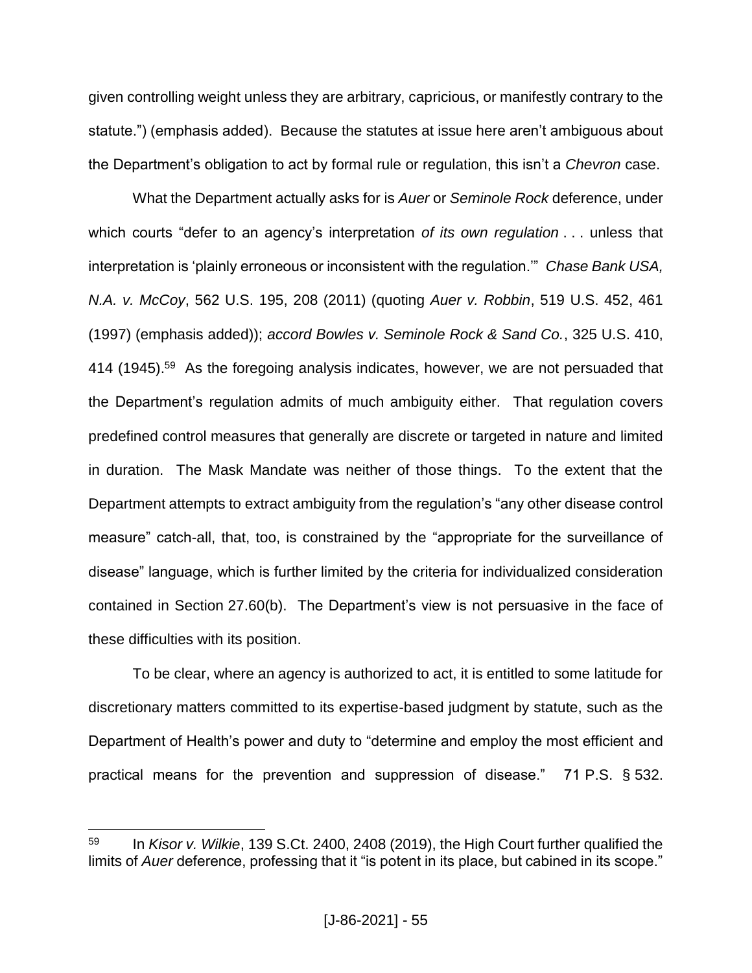given controlling weight unless they are arbitrary, capricious, or manifestly contrary to the statute.") (emphasis added). Because the statutes at issue here aren't ambiguous about the Department's obligation to act by formal rule or regulation, this isn't a *Chevron* case.

What the Department actually asks for is *Auer* or *Seminole Rock* deference, under which courts "defer to an agency's interpretation *of its own regulation* . . . unless that interpretation is 'plainly erroneous or inconsistent with the regulation.'" *Chase Bank USA, N.A. v. McCoy*, 562 U.S. 195, 208 (2011) (quoting *Auer v. Robbin*, 519 U.S. 452, 461 (1997) (emphasis added)); *accord Bowles v. Seminole Rock & Sand Co.*, 325 U.S. 410, 414 (1945).<sup>59</sup> As the foregoing analysis indicates, however, we are not persuaded that the Department's regulation admits of much ambiguity either. That regulation covers predefined control measures that generally are discrete or targeted in nature and limited in duration. The Mask Mandate was neither of those things. To the extent that the Department attempts to extract ambiguity from the regulation's "any other disease control measure" catch-all, that, too, is constrained by the "appropriate for the surveillance of disease" language, which is further limited by the criteria for individualized consideration contained in Section 27.60(b). The Department's view is not persuasive in the face of these difficulties with its position.

To be clear, where an agency is authorized to act, it is entitled to some latitude for discretionary matters committed to its expertise-based judgment by statute, such as the Department of Health's power and duty to "determine and employ the most efficient and practical means for the prevention and suppression of disease." 71 P.S. § 532.

<sup>59</sup> In *Kisor v. Wilkie*, 139 S.Ct. 2400, 2408 (2019), the High Court further qualified the limits of *Auer* deference, professing that it "is potent in its place, but cabined in its scope."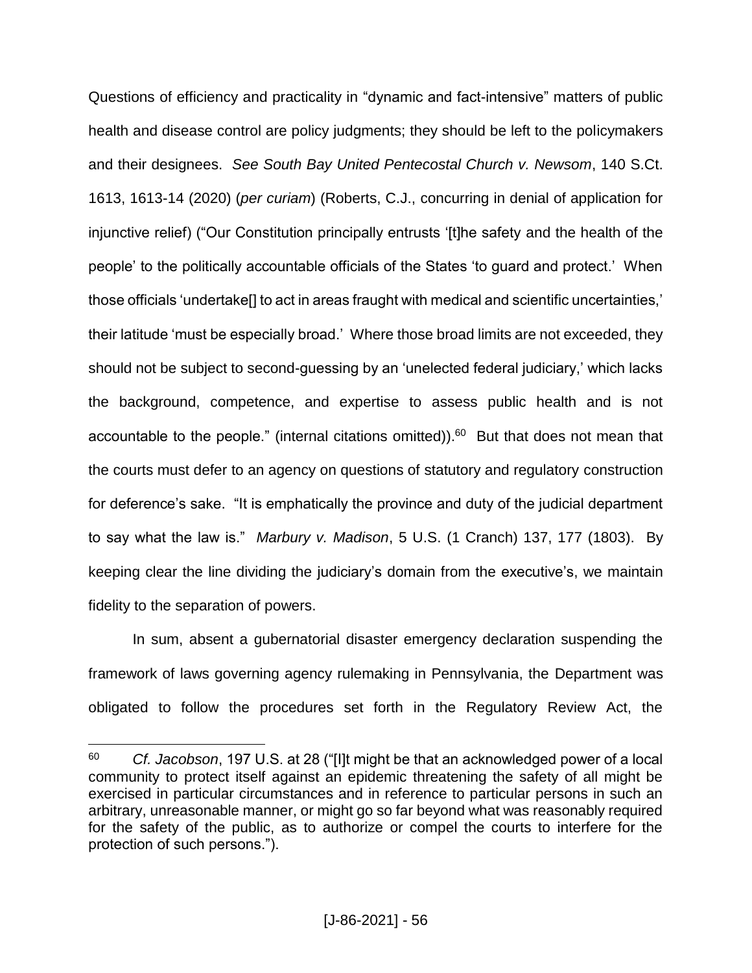Questions of efficiency and practicality in "dynamic and fact-intensive" matters of public health and disease control are policy judgments; they should be left to the policymakers and their designees. *See South Bay United Pentecostal Church v. Newsom*, 140 S.Ct. 1613, 1613-14 (2020) (*per curiam*) (Roberts, C.J., concurring in denial of application for injunctive relief) ("Our Constitution principally entrusts '[t]he safety and the health of the people' to the politically accountable officials of the States 'to guard and protect.' When those officials 'undertake[] to act in areas fraught with medical and scientific uncertainties,' their latitude 'must be especially broad.' Where those broad limits are not exceeded, they should not be subject to second-guessing by an 'unelected federal judiciary,' which lacks the background, competence, and expertise to assess public health and is not accountable to the people." (internal citations omitted)). $60$  But that does not mean that the courts must defer to an agency on questions of statutory and regulatory construction for deference's sake. "It is emphatically the province and duty of the judicial department to say what the law is." *Marbury v. Madison*, 5 U.S. (1 Cranch) 137, 177 (1803). By keeping clear the line dividing the judiciary's domain from the executive's, we maintain fidelity to the separation of powers.

In sum, absent a gubernatorial disaster emergency declaration suspending the framework of laws governing agency rulemaking in Pennsylvania, the Department was obligated to follow the procedures set forth in the Regulatory Review Act, the

<sup>60</sup> *Cf. Jacobson*, 197 U.S. at 28 ("[I]t might be that an acknowledged power of a local community to protect itself against an epidemic threatening the safety of all might be exercised in particular circumstances and in reference to particular persons in such an arbitrary, unreasonable manner, or might go so far beyond what was reasonably required for the safety of the public, as to authorize or compel the courts to interfere for the protection of such persons.").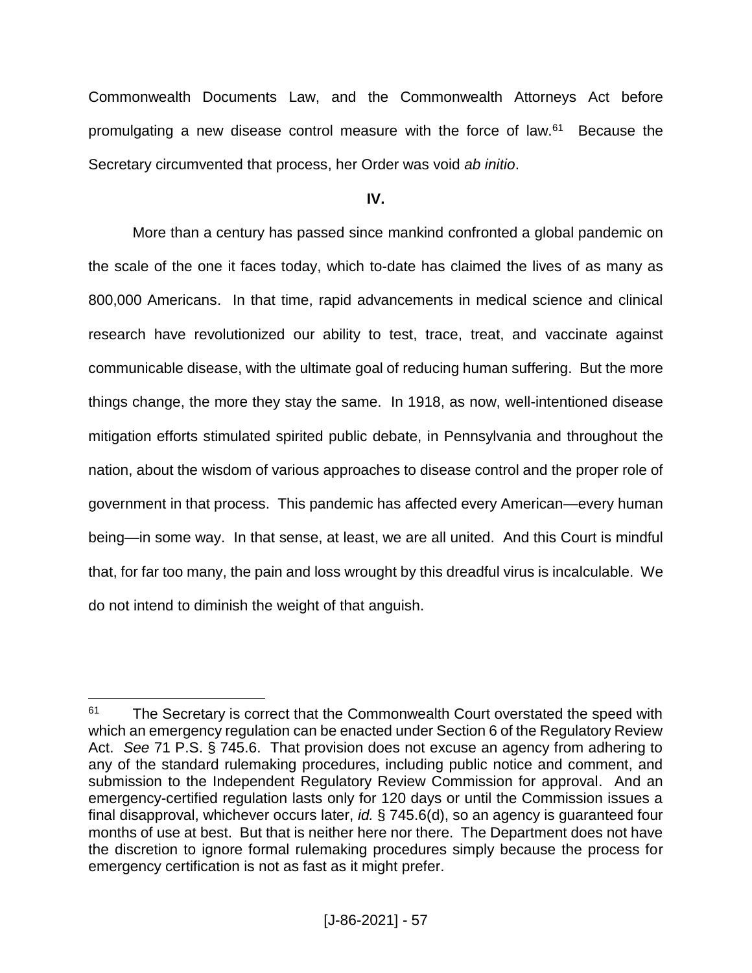Commonwealth Documents Law, and the Commonwealth Attorneys Act before promulgating a new disease control measure with the force of law.<sup>61</sup> Because the Secretary circumvented that process, her Order was void *ab initio*.

**IV.**

More than a century has passed since mankind confronted a global pandemic on the scale of the one it faces today, which to-date has claimed the lives of as many as 800,000 Americans. In that time, rapid advancements in medical science and clinical research have revolutionized our ability to test, trace, treat, and vaccinate against communicable disease, with the ultimate goal of reducing human suffering. But the more things change, the more they stay the same. In 1918, as now, well-intentioned disease mitigation efforts stimulated spirited public debate, in Pennsylvania and throughout the nation, about the wisdom of various approaches to disease control and the proper role of government in that process. This pandemic has affected every American—every human being—in some way. In that sense, at least, we are all united. And this Court is mindful that, for far too many, the pain and loss wrought by this dreadful virus is incalculable. We do not intend to diminish the weight of that anguish.

<sup>&</sup>lt;sup>61</sup> The Secretary is correct that the Commonwealth Court overstated the speed with which an emergency regulation can be enacted under Section 6 of the Regulatory Review Act. *See* 71 P.S. § 745.6. That provision does not excuse an agency from adhering to any of the standard rulemaking procedures, including public notice and comment, and submission to the Independent Regulatory Review Commission for approval. And an emergency-certified regulation lasts only for 120 days or until the Commission issues a final disapproval, whichever occurs later, *id.* § 745.6(d), so an agency is guaranteed four months of use at best. But that is neither here nor there. The Department does not have the discretion to ignore formal rulemaking procedures simply because the process for emergency certification is not as fast as it might prefer.